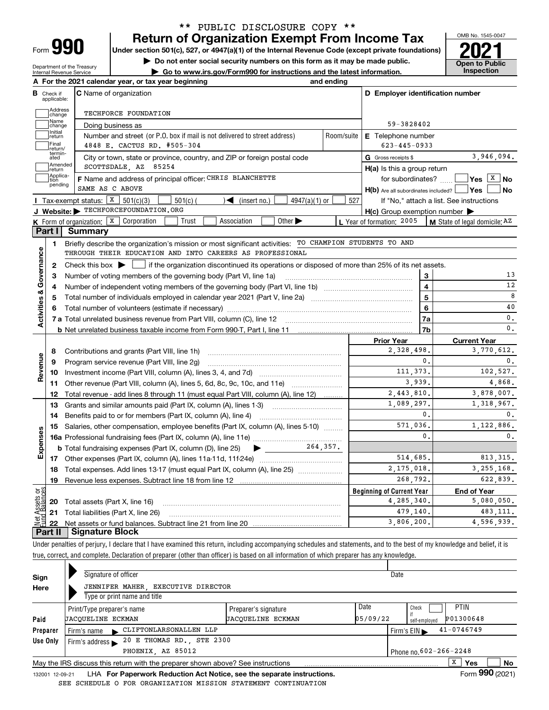| ⊢orm |  |
|------|--|

Department of the Treasury Internal Revenue Service

### **Return of Organization Exempt From Income Tax** \*\* PUBLIC DISCLOSURE COPY \*\*

Under section 501(c), 527, or 4947(a)(1) of the Internal Revenue Code (except private foundations) **2021** 

**| Do not enter social security numbers on this form as it may be made public.**

**| Go to www.irs.gov/Form990 for instructions and the latest information. Inspection**



| В                       |                         | A For the 2021 calendar year, or tax year beginning                                                                                                 | and ending |                                                     |                                                                                                          |
|-------------------------|-------------------------|-----------------------------------------------------------------------------------------------------------------------------------------------------|------------|-----------------------------------------------------|----------------------------------------------------------------------------------------------------------|
|                         | Check if<br>applicable: | <b>C</b> Name of organization                                                                                                                       |            | D Employer identification number                    |                                                                                                          |
|                         | Address<br>change       | TECHFORCE FOUNDATION                                                                                                                                |            |                                                     |                                                                                                          |
|                         | Name<br>change          | Doing business as                                                                                                                                   |            | 59-3828402                                          |                                                                                                          |
|                         | Initial<br>return       | Number and street (or P.O. box if mail is not delivered to street address)                                                                          | Room/suite | <b>E</b> Telephone number                           |                                                                                                          |
|                         | Final<br>return/        | 4848 E. CACTUS RD. #505-304                                                                                                                         |            | $623 - 445 - 0933$                                  |                                                                                                          |
|                         | termin-<br>ated         | City or town, state or province, country, and ZIP or foreign postal code                                                                            |            | G Gross receipts \$                                 | 3,946,094.                                                                                               |
|                         | Amended<br>Ireturn      | SCOTTSDALE, AZ 85254                                                                                                                                |            | $H(a)$ is this a group return                       |                                                                                                          |
|                         | Applica-<br>tion        | F Name and address of principal officer: CHRIS BLANCHETTE                                                                                           |            |                                                     | for subordinates? $\frac{1}{2}$ Yes $\boxed{X}$ No                                                       |
|                         | pending                 | SAME AS C ABOVE                                                                                                                                     |            | $H(b)$ Are all subordinates included? $\Box$ Yes    | l No                                                                                                     |
|                         |                         | <b>I</b> Tax-exempt status: $\boxed{\textbf{X}}$ 501(c)(3)<br>$\sqrt{\frac{1}{1}}$ (insert no.)<br>$4947(a)(1)$ or<br>$501(c)$ (                    | 527        |                                                     | If "No," attach a list. See instructions                                                                 |
|                         |                         | J Website: FECHFORCEFOUNDATION.ORG                                                                                                                  |            | $H(c)$ Group exemption number $\blacktriangleright$ |                                                                                                          |
|                         |                         | K Form of organization: $X$ Corporation<br>Trust<br>Association<br>Other $\blacktriangleright$                                                      |            | L Year of formation: 2005                           | $\vert$ M State of legal domicile; AZ                                                                    |
|                         | Part I                  | Summary                                                                                                                                             |            |                                                     |                                                                                                          |
|                         | 1                       | Briefly describe the organization's mission or most significant activities: TO CHAMPION STUDENTS TO AND                                             |            |                                                     |                                                                                                          |
|                         |                         | THROUGH THEIR EDUCATION AND INTO CAREERS AS PROFESSIONAL                                                                                            |            |                                                     |                                                                                                          |
|                         | 2                       | Check this box $\blacktriangleright$ $\blacksquare$ if the organization discontinued its operations or disposed of more than 25% of its net assets. |            |                                                     |                                                                                                          |
|                         | 3                       | Number of voting members of the governing body (Part VI, line 1a)                                                                                   |            | 3                                                   | 13                                                                                                       |
|                         | 4                       |                                                                                                                                                     |            | $\overline{\mathbf{4}}$                             | 12                                                                                                       |
|                         | 5                       | Total number of individuals employed in calendar year 2021 (Part V, line 2a) manufacture contains an intervent                                      |            | 5                                                   | 8                                                                                                        |
| Activities & Governance |                         |                                                                                                                                                     |            | 6                                                   | 40                                                                                                       |
|                         |                         |                                                                                                                                                     |            | 7a                                                  | 0.                                                                                                       |
|                         |                         |                                                                                                                                                     |            | 7b                                                  | 0.                                                                                                       |
|                         |                         |                                                                                                                                                     |            | <b>Prior Year</b>                                   | <b>Current Year</b>                                                                                      |
|                         | 8                       | Contributions and grants (Part VIII, line 1h)                                                                                                       |            | 2,328,498.                                          | 3.770.612.                                                                                               |
| Revenue                 | 9                       | Program service revenue (Part VIII, line 2g)                                                                                                        |            | 0.                                                  | 0.                                                                                                       |
|                         | 10                      |                                                                                                                                                     |            | 111, 373.                                           | 102,527.                                                                                                 |
|                         | 11                      | Other revenue (Part VIII, column (A), lines 5, 6d, 8c, 9c, 10c, and 11e)                                                                            |            | 3,939.                                              | 4,868.                                                                                                   |
|                         | 12                      | Total revenue - add lines 8 through 11 (must equal Part VIII, column (A), line 12)                                                                  |            | $\overline{2}$ , 443, 810.                          | 3,878,007.                                                                                               |
|                         | 13                      | Grants and similar amounts paid (Part IX, column (A), lines 1-3)                                                                                    |            |                                                     |                                                                                                          |
|                         |                         |                                                                                                                                                     |            | 1,089,297.                                          |                                                                                                          |
|                         | 14                      | Benefits paid to or for members (Part IX, column (A), line 4)                                                                                       |            | $\mathbf{0}$ .                                      |                                                                                                          |
|                         | 15                      | Salaries, other compensation, employee benefits (Part IX, column (A), lines 5-10)                                                                   |            | 571.036.                                            |                                                                                                          |
|                         |                         |                                                                                                                                                     |            | $\mathbf{0}$ .                                      |                                                                                                          |
|                         |                         | 264,357.<br><b>b</b> Total fundraising expenses (Part IX, column (D), line 25)<br>$\blacktriangleright$ and $\blacktriangleright$                   |            |                                                     |                                                                                                          |
|                         |                         |                                                                                                                                                     |            | 514,685.                                            |                                                                                                          |
|                         | 18                      | Total expenses. Add lines 13-17 (must equal Part IX, column (A), line 25)                                                                           |            | 2, 175, 018.                                        |                                                                                                          |
|                         | 19                      |                                                                                                                                                     |            | 268.792.                                            |                                                                                                          |
|                         |                         |                                                                                                                                                     |            | <b>Beginning of Current Year</b>                    | <b>End of Year</b>                                                                                       |
|                         | 20                      | Total assets (Part X, line 16)                                                                                                                      |            | 4, 285, 340.                                        |                                                                                                          |
| Expenses<br>ಕ್ಷ         | 21                      | Total liabilities (Part X, line 26)                                                                                                                 |            | 479,140.                                            | 1,318,967.<br>0.<br>1,122,886.<br>0.<br>813, 315.<br>3, 255, 168.<br>622.839.<br>5,080,050.<br>483, 111. |

Under penalties of perjury, I declare that I have examined this return, including accompanying schedules and statements, and to the best of my knowledge and belief, it is true, correct, and complete. Declaration of preparer (other than officer) is based on all information of which preparer has any knowledge.

| Sign            | Signature of officer                                                            |                          | Date     |                                                    |  |  |  |  |
|-----------------|---------------------------------------------------------------------------------|--------------------------|----------|----------------------------------------------------|--|--|--|--|
| Here            | JENNIFER MAHER, EXECUTIVE DIRECTOR                                              |                          |          |                                                    |  |  |  |  |
|                 | Type or print name and title                                                    |                          |          |                                                    |  |  |  |  |
|                 | Print/Type preparer's name                                                      | Preparer's signature     | Date     | <b>PTIN</b><br>Check                               |  |  |  |  |
| Paid            | <b>JACOUELINE ECKMAN</b>                                                        | <b>JACOUELINE ECKMAN</b> | 05/09/22 | P01300648<br>self-emploved                         |  |  |  |  |
| Preparer        | CLIFTONLARSONALLEN LLP<br>Firm's name $\blacktriangleright$                     |                          |          | $41 - 0746749$<br>Firm's $EIN \blacktriangleright$ |  |  |  |  |
| Use Only        | 20 E THOMAS RD., STE 2300<br>Firm's address $\blacktriangleright$               |                          |          |                                                    |  |  |  |  |
|                 | PHOENIX, AZ 85012                                                               |                          |          | Phone no. 602-266-2248                             |  |  |  |  |
|                 | May the IRS discuss this return with the preparer shown above? See instructions |                          |          | x<br>No<br><b>Yes</b>                              |  |  |  |  |
| 132001 12-09-21 | LHA For Paperwork Reduction Act Notice, see the separate instructions.          |                          |          | Form 990 (2021)                                    |  |  |  |  |

SEE SCHEDULE O FOR ORGANIZATION MISSION STATEMENT CONTINUATION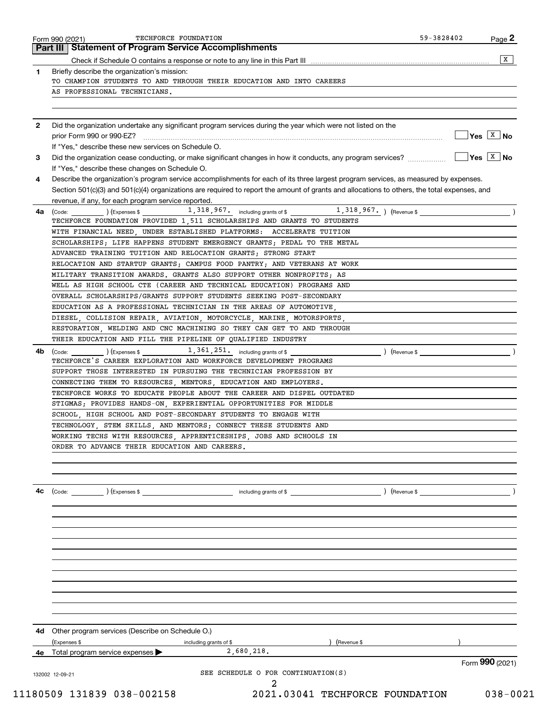|              | Part III   Statement of Program Service Accomplishments                                                                                           |                                                        |
|--------------|---------------------------------------------------------------------------------------------------------------------------------------------------|--------------------------------------------------------|
|              |                                                                                                                                                   | X                                                      |
| 1            | Briefly describe the organization's mission:                                                                                                      |                                                        |
|              | TO CHAMPION STUDENTS TO AND THROUGH THEIR EDUCATION AND INTO CAREERS                                                                              |                                                        |
|              | AS PROFESSIONAL TECHNICIANS.                                                                                                                      |                                                        |
|              |                                                                                                                                                   |                                                        |
| $\mathbf{2}$ | Did the organization undertake any significant program services during the year which were not listed on the                                      |                                                        |
|              |                                                                                                                                                   | $\sqrt{\mathsf{Yes} \mid \mathsf{X} \mid \mathsf{No}}$ |
|              | If "Yes," describe these new services on Schedule O.                                                                                              |                                                        |
| 3            | Did the organization cease conducting, or make significant changes in how it conducts, any program services?                                      | $\sqrt{\mathsf{Yes} \mid \mathsf{X} \mid \mathsf{No}}$ |
|              | If "Yes," describe these changes on Schedule O.                                                                                                   |                                                        |
| 4            | Describe the organization's program service accomplishments for each of its three largest program services, as measured by expenses.              |                                                        |
|              | Section 501(c)(3) and 501(c)(4) organizations are required to report the amount of grants and allocations to others, the total expenses, and      |                                                        |
|              | revenue, if any, for each program service reported.                                                                                               |                                                        |
| 4a           | (Code: ) (Expenses \$1,318,967, including grants of \$1,318,967, ) (Revenue \$                                                                    |                                                        |
|              | TECHFORCE FOUNDATION PROVIDED 1,511 SCHOLARSHIPS AND GRANTS TO STUDENTS                                                                           |                                                        |
|              | WITH FINANCIAL NEED, UNDER ESTABLISHED PLATFORMS: ACCELERATE TUITION                                                                              |                                                        |
|              | SCHOLARSHIPS; LIFE HAPPENS STUDENT EMERGENCY GRANTS; PEDAL TO THE METAL                                                                           |                                                        |
|              | ADVANCED TRAINING TUITION AND RELOCATION GRANTS: STRONG START                                                                                     |                                                        |
|              | RELOCATION AND STARTUP GRANTS; CAMPUS FOOD PANTRY; AND VETERANS AT WORK                                                                           |                                                        |
|              | MILITARY TRANSITION AWARDS. GRANTS ALSO SUPPORT OTHER NONPROFITS; AS                                                                              |                                                        |
|              | WELL AS HIGH SCHOOL CTE (CAREER AND TECHNICAL EDUCATION) PROGRAMS AND                                                                             |                                                        |
|              | OVERALL SCHOLARSHIPS/GRANTS SUPPORT STUDENTS SEEKING POST-SECONDARY                                                                               |                                                        |
|              | EDUCATION AS A PROFESSIONAL TECHNICIAN IN THE AREAS OF AUTOMOTIVE.                                                                                |                                                        |
|              | DIESEL, COLLISION REPAIR, AVIATION, MOTORCYCLE, MARINE, MOTORSPORTS,                                                                              |                                                        |
|              | RESTORATION, WELDING AND CNC MACHINING SO THEY CAN GET TO AND THROUGH                                                                             |                                                        |
|              | THEIR EDUCATION AND FILL THE PIPELINE OF QUALIFIED INDUSTRY                                                                                       |                                                        |
| 4b           | $\frac{1}{361}$ , $\frac{361}{251}$ , $\frac{1}{251}$ including grants of \$<br>TECHFORCE'S CAREER EXPLORATION AND WORKFORCE DEVELOPMENT PROGRAMS |                                                        |
|              | SUPPORT THOSE INTERESTED IN PURSUING THE TECHNICIAN PROFESSION BY                                                                                 |                                                        |
|              | CONNECTING THEM TO RESOURCES, MENTORS, EDUCATION AND EMPLOYERS.                                                                                   |                                                        |
|              | TECHFORCE WORKS TO EDUCATE PEOPLE ABOUT THE CAREER AND DISPEL OUTDATED                                                                            |                                                        |
|              | STIGMAS; PROVIDES HANDS-ON, EXPERIENTIAL OPPORTUNITIES FOR MIDDLE                                                                                 |                                                        |
|              | SCHOOL HIGH SCHOOL AND POST-SECONDARY STUDENTS TO ENGAGE WITH                                                                                     |                                                        |
|              | TECHNOLOGY, STEM SKILLS, AND MENTORS; CONNECT THESE STUDENTS AND                                                                                  |                                                        |
|              | WORKING TECHS WITH RESOURCES, APPRENTICESHIPS, JOBS AND SCHOOLS IN                                                                                |                                                        |
|              | ORDER TO ADVANCE THEIR EDUCATION AND CAREERS.                                                                                                     |                                                        |
|              |                                                                                                                                                   |                                                        |
|              |                                                                                                                                                   |                                                        |
| 4c           | ) (Revenue \$<br>$\left(\text{Code:} \right)$ $\left(\text{Expenses $}\right)$<br>including grants of \$                                          |                                                        |
|              |                                                                                                                                                   |                                                        |
|              |                                                                                                                                                   |                                                        |
|              |                                                                                                                                                   |                                                        |
|              |                                                                                                                                                   |                                                        |
|              |                                                                                                                                                   |                                                        |
|              |                                                                                                                                                   |                                                        |
|              | 4d Other program services (Describe on Schedule O.)                                                                                               |                                                        |
|              | (Expenses \$<br>) (Revenue \$<br>including grants of \$                                                                                           |                                                        |
| 4е           | 2,680,218.<br>Total program service expenses                                                                                                      | Form 990 (2021)                                        |
|              |                                                                                                                                                   |                                                        |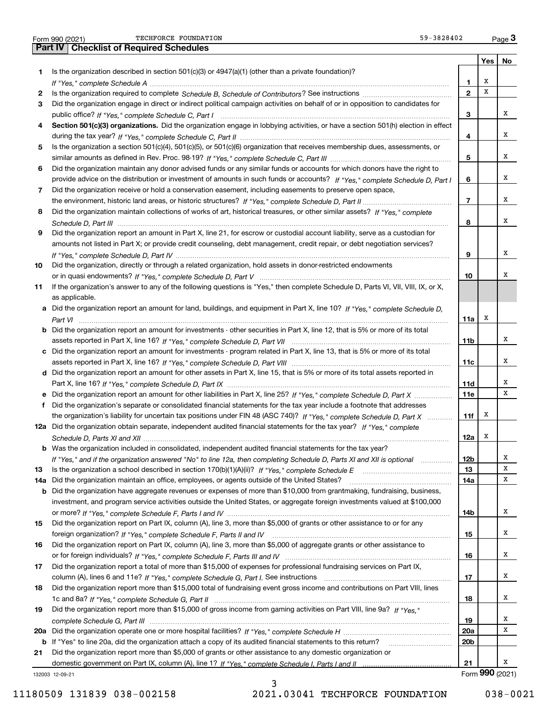|  | Form 990 (2021) |
|--|-----------------|

|     |                                                                                                                                       |                          |                 | Yes   No |
|-----|---------------------------------------------------------------------------------------------------------------------------------------|--------------------------|-----------------|----------|
| 1.  | Is the organization described in section 501(c)(3) or $4947(a)(1)$ (other than a private foundation)?                                 |                          |                 |          |
|     |                                                                                                                                       | 1                        | х               |          |
| 2   |                                                                                                                                       | $\overline{2}$           | X               |          |
| 3   | Did the organization engage in direct or indirect political campaign activities on behalf of or in opposition to candidates for       |                          |                 |          |
|     |                                                                                                                                       | 3                        |                 | x        |
| 4   | Section 501(c)(3) organizations. Did the organization engage in lobbying activities, or have a section 501(h) election in effect      |                          |                 |          |
|     |                                                                                                                                       | 4                        |                 | х        |
| 5   | Is the organization a section 501(c)(4), 501(c)(5), or 501(c)(6) organization that receives membership dues, assessments, or          |                          |                 |          |
|     |                                                                                                                                       | 5                        |                 | x        |
| 6   | Did the organization maintain any donor advised funds or any similar funds or accounts for which donors have the right to             |                          |                 |          |
|     | provide advice on the distribution or investment of amounts in such funds or accounts? If "Yes," complete Schedule D, Part I          | 6                        |                 | х        |
| 7   | Did the organization receive or hold a conservation easement, including easements to preserve open space,                             |                          |                 |          |
|     |                                                                                                                                       | $\overline{\phantom{a}}$ |                 | x        |
| 8   | Did the organization maintain collections of works of art, historical treasures, or other similar assets? If "Yes," complete          |                          |                 |          |
|     |                                                                                                                                       | 8                        |                 | х        |
| 9   | Did the organization report an amount in Part X, line 21, for escrow or custodial account liability, serve as a custodian for         |                          |                 |          |
|     | amounts not listed in Part X; or provide credit counseling, debt management, credit repair, or debt negotiation services?             |                          |                 |          |
|     |                                                                                                                                       | 9                        |                 | х        |
| 10  | Did the organization, directly or through a related organization, hold assets in donor-restricted endowments                          |                          |                 |          |
|     |                                                                                                                                       | 10                       |                 | x        |
| 11  | If the organization's answer to any of the following questions is "Yes," then complete Schedule D, Parts VI, VII, VIII, IX, or X,     |                          |                 |          |
|     | as applicable.                                                                                                                        |                          |                 |          |
|     | a Did the organization report an amount for land, buildings, and equipment in Part X, line 10? If "Yes," complete Schedule D.         |                          |                 |          |
|     |                                                                                                                                       | 11a                      | х               |          |
|     | <b>b</b> Did the organization report an amount for investments - other securities in Part X, line 12, that is 5% or more of its total |                          |                 |          |
|     |                                                                                                                                       | 11b                      |                 | x        |
|     | c Did the organization report an amount for investments - program related in Part X, line 13, that is 5% or more of its total         |                          |                 |          |
|     |                                                                                                                                       | 11c                      |                 | x        |
|     | d Did the organization report an amount for other assets in Part X, line 15, that is 5% or more of its total assets reported in       |                          |                 |          |
|     |                                                                                                                                       | 11d                      |                 | х        |
|     |                                                                                                                                       |                          |                 | x        |
|     | e Did the organization report an amount for other liabilities in Part X, line 25? If "Yes," complete Schedule D, Part X               | 11e                      |                 |          |
| f   | Did the organization's separate or consolidated financial statements for the tax year include a footnote that addresses               |                          | х               |          |
|     | the organization's liability for uncertain tax positions under FIN 48 (ASC 740)? If "Yes," complete Schedule D, Part X                | 11f                      |                 |          |
|     | 12a Did the organization obtain separate, independent audited financial statements for the tax year? If "Yes," complete               |                          | х               |          |
|     |                                                                                                                                       | 12a                      |                 |          |
|     | <b>b</b> Was the organization included in consolidated, independent audited financial statements for the tax year?                    |                          |                 |          |
|     | If "Yes," and if the organization answered "No" to line 12a, then completing Schedule D, Parts XI and XII is optional                 | 12 <sub>b</sub>          |                 | х<br>х   |
| 13  |                                                                                                                                       | 13                       |                 | x        |
| 14a | Did the organization maintain an office, employees, or agents outside of the United States?                                           | 14a                      |                 |          |
|     | <b>b</b> Did the organization have aggregate revenues or expenses of more than \$10,000 from grantmaking, fundraising, business,      |                          |                 |          |
|     | investment, and program service activities outside the United States, or aggregate foreign investments valued at \$100,000            |                          |                 | х        |
|     |                                                                                                                                       | 14b                      |                 |          |
| 15  | Did the organization report on Part IX, column (A), line 3, more than \$5,000 of grants or other assistance to or for any             |                          |                 | x        |
|     |                                                                                                                                       | 15                       |                 |          |
| 16  | Did the organization report on Part IX, column (A), line 3, more than \$5,000 of aggregate grants or other assistance to              |                          |                 |          |
|     |                                                                                                                                       | 16                       |                 | x        |
| 17  | Did the organization report a total of more than \$15,000 of expenses for professional fundraising services on Part IX,               |                          |                 |          |
|     |                                                                                                                                       | 17                       |                 | x        |
| 18  | Did the organization report more than \$15,000 total of fundraising event gross income and contributions on Part VIII, lines          |                          |                 |          |
|     |                                                                                                                                       | 18                       |                 | x        |
| 19  | Did the organization report more than \$15,000 of gross income from gaming activities on Part VIII, line 9a? If "Yes."                |                          |                 |          |
|     |                                                                                                                                       | 19                       |                 | x        |
|     |                                                                                                                                       | 20a                      |                 | x        |
|     | b If "Yes" to line 20a, did the organization attach a copy of its audited financial statements to this return?                        | 20b                      |                 |          |
| 21  | Did the organization report more than \$5,000 of grants or other assistance to any domestic organization or                           |                          |                 |          |
|     |                                                                                                                                       | 21                       |                 | x        |
|     | 132003 12-09-21                                                                                                                       |                          | Form 990 (2021) |          |

3

11180509 131839 038-002158 2021.03041 TECHFORCE FOUNDATION 038-0021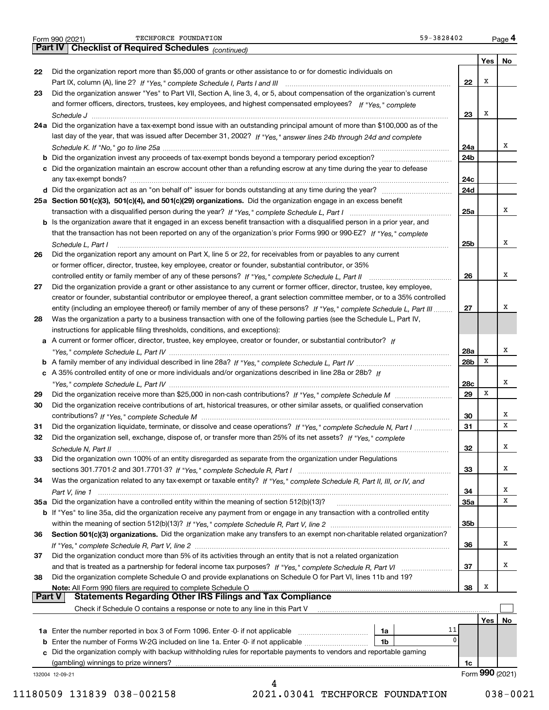|  | Form 990 (2021) |
|--|-----------------|
|  |                 |

Form 990 (2021) TECHFORCE\_FOUNDATION 59-3828402 <sub>Page</sub> 4<br>**Part IV | Checklist of Required Schedules** <sub>(continued)</sub> 59-3828402 <sub>Page</sub> 4 TECHFORCE FOUNDATION 59-3828402

132004 12-09-21 **Yes No 22**Did the organization report more than \$5,000 of grants or other assistance to or for domestic individuals on **2324a**Did the organization have a tax-exempt bond issue with an outstanding principal amount of more than \$100,000 as of the **25aSection 501(c)(3), 501(c)(4), and 501(c)(29) organizations.**  Did the organization engage in an excess benefit **26272829303132333435a** Did the organization have a controlled entity within the meaning of section 512(b)(13)? **363738222324a24b24c24d25a25b262728a28b28c29303132333435a35b363738b** Did the organization invest any proceeds of tax-exempt bonds beyond a temporary period exception? \_\_\_\_\_\_\_\_\_\_\_\_\_\_\_\_\_ **c**Did the organization maintain an escrow account other than a refunding escrow at any time during the year to defease **d** Did the organization act as an "on behalf of" issuer for bonds outstanding at any time during the year? www.communically **b** Is the organization aware that it engaged in an excess benefit transaction with a disqualified person in a prior year, and **ab***If "Yes," complete Schedule L, Part IV* A family member of any individual described in line 28a? ~~~~~~~~~~~~~~~**c***If* A 35% controlled entity of one or more individuals and/or organizations described in line 28a or 28b? **b** If "Yes" to line 35a, did the organization receive any payment from or engage in any transaction with a controlled entity **Section 501(c)(3) organizations.** Did the organization make any transfers to an exempt non-charitable related organization? **Note:**  All Form 990 filers are required to complete Schedule O **Yes No 1a** Enter the number reported in box 3 of Form 1096. Enter -0- if not applicable  $\ldots$  $\ldots$  $\ldots$  $\ldots$  $\ldots$ **b** Enter the number of Forms W-2G included on line 1a. Enter -0- if not applicable  $\ldots$  $\ldots$  $\ldots$  $\ldots$  ${\bf c}$  Did the organization comply with backup withholding rules for reportable payments to vendors and reportable gaming **1a1b1c***(continued)* Part IX, column (A), line 2? H "Yes," complete Schedule I, Parts I and III **www.www.www.www.www.www.www.ww** *If "Yes," complete* and former officers, directors, trustees, key employees, and highest compensated employees? *Schedule J* last day of the year, that was issued after December 31, 2002? If "Yes," answer lines 24b through 24d and complete *Schedule K. If "No," go to line 25a* ~~~~~~~~~~~~~~~~~~~~~~~~~~~~~~~~~~~~~~~~~~~~~ transaction with a disqualified person during the year? If "Yes," complete Schedule L, Part I multimated and the *If "Yes," complete* that the transaction has not been reported on any of the organization's prior Forms 990 or 990-EZ? *Schedule L, Part I* controlled entity or family member of any of these persons?  $H$  "Yes," complete Schedule L, Part II www.www.www.www. entity (including an employee thereof) or family member of any of these persons? If "Yes," c*omplete Schedule L, Part III* ......... A current or former officer, director, trustee, key employee, creator or founder, or substantial contributor? If *"Yes," complete Schedule L, Part IV* ~~~~~~~~~~~~~~~~~~~~~~~~~~~~~~~~~~~~~~~~~~~~*"Yes," complete Schedule L, Part IV* ~~~~~~~~~~~~~~~~~~~~~~~~~~~~~~~~~~~~~~~~~~~~ Did the organization receive more than \$25,000 in non-cash contributions? If "Yes," complete Schedule M ........................... *If "Yes," complete Schedule M* contributions? ~~~~~~~~~~~~~~~~~~~~~~~~~~~~~~~~~~~~~~~Did the organization liquidate, terminate, or dissolve and cease operations? If "Yes," c*omplete Schedule N, Part I If "Yes," complete* Did the organization sell, exchange, dispose of, or transfer more than 25% of its net assets? *Schedule N, Part II* ~~~~~~~~~~~~~~~~~~~~~~~~~~~~~~~~~~~~~~~~~~~~~~~~~~~~ *If "Yes," complete Schedule R, Part I* sections 301.7701-2 and 301.7701-3? ~~~~~~~~~~~~~~~~~~~~~~~~ Was the organization related to any tax-exempt or taxable entity? If "Yes," complete Schedule R, Part II, III, or IV, and *Part V, line 1* within the meaning of section 512(b)(13)? If "Yes," complete Schedule R, Part V, line 2 ……………………………………………… If "Yes," complete Schedule R, Part V, line 2 …………………………………………………………………………………………… and that is treated as a partnership for federal income tax purposes? *H* "Yes," complete Schedule R, Part VI ......................... Did the organization answer "Yes" to Part VII, Section A, line 3, 4, or 5, about compensation of the organization's current any tax-exempt bonds? ~~~~~~~~~~~~~~~~~~~~~~~~~~~~~~~~~~~~~~~~~~~~~~~~~~ Did the organization report any amount on Part X, line 5 or 22, for receivables from or payables to any current or former officer, director, trustee, key employee, creator or founder, substantial contributor, or 35% Did the organization provide a grant or other assistance to any current or former officer, director, trustee, key employee, creator or founder, substantial contributor or employee thereof, a grant selection committee member, or to a 35% controlled Was the organization a party to a business transaction with one of the following parties (see the Schedule L, Part IV, instructions for applicable filing thresholds, conditions, and exceptions): Did the organization receive contributions of art, historical treasures, or other similar assets, or qualified conservation Did the organization own 100% of an entity disregarded as separate from the organization under Regulations Did the organization conduct more than 5% of its activities through an entity that is not a related organization Did the organization complete Schedule O and provide explanations on Schedule O for Part VI, lines 11b and 19? Check if Schedule O contains a response or note to any line in this Part V (gambling) winnings to prize winners? Form (2021) **990Part V** | Statements Regarding Other IRS Filings and Tax Compliance  $\mathcal{L}^{\text{max}}$ XXXXXXXXXXXX11 $\overline{0}$ XXXXXXXX4 11180509 131839 038-002158 2021.03041 TECHFORCE FOUNDATION 038-0021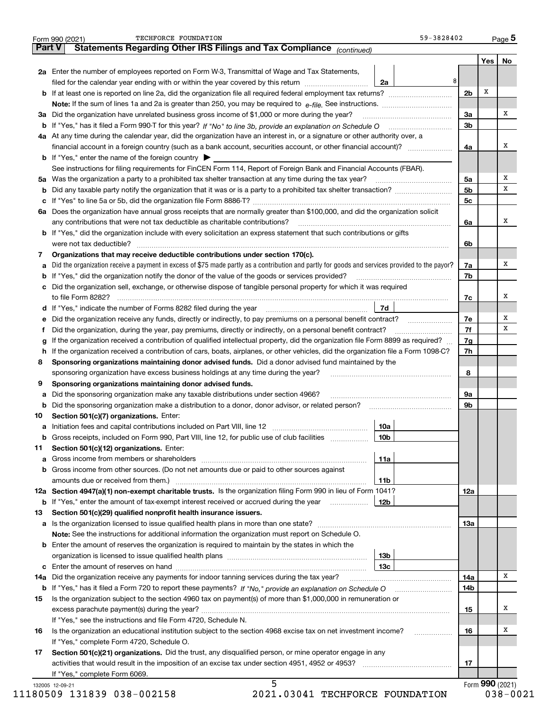|               | 59-3828402<br>TECHFORCE FOUNDATION<br>Form 990 (2021)                                                                                           |                |     | Page 5          |  |  |  |  |  |  |
|---------------|-------------------------------------------------------------------------------------------------------------------------------------------------|----------------|-----|-----------------|--|--|--|--|--|--|
| <b>Part V</b> | Statements Regarding Other IRS Filings and Tax Compliance (continued)                                                                           |                |     |                 |  |  |  |  |  |  |
|               |                                                                                                                                                 |                | Yes | No              |  |  |  |  |  |  |
|               | 2a Enter the number of employees reported on Form W-3, Transmittal of Wage and Tax Statements,                                                  |                |     |                 |  |  |  |  |  |  |
|               | 8<br>filed for the calendar year ending with or within the year covered by this return<br>2a                                                    |                |     |                 |  |  |  |  |  |  |
|               |                                                                                                                                                 | 2 <sub>b</sub> | х   |                 |  |  |  |  |  |  |
|               |                                                                                                                                                 |                |     |                 |  |  |  |  |  |  |
| за            | Did the organization have unrelated business gross income of \$1,000 or more during the year?                                                   | 3a             |     | х               |  |  |  |  |  |  |
|               |                                                                                                                                                 |                |     |                 |  |  |  |  |  |  |
|               | 4a At any time during the calendar year, did the organization have an interest in, or a signature or other authority over, a                    | 3b             |     |                 |  |  |  |  |  |  |
|               | financial account in a foreign country (such as a bank account, securities account, or other financial account)?                                | 4a             |     | х               |  |  |  |  |  |  |
|               | <b>b</b> If "Yes," enter the name of the foreign country $\blacktriangleright$                                                                  |                |     |                 |  |  |  |  |  |  |
|               |                                                                                                                                                 |                |     |                 |  |  |  |  |  |  |
|               | See instructions for filing requirements for FinCEN Form 114, Report of Foreign Bank and Financial Accounts (FBAR).                             |                |     | х               |  |  |  |  |  |  |
| 5a            | Was the organization a party to a prohibited tax shelter transaction at any time during the tax year?                                           | 5a             |     | х               |  |  |  |  |  |  |
| b             |                                                                                                                                                 | 5 <sub>b</sub> |     |                 |  |  |  |  |  |  |
| с             |                                                                                                                                                 | 5с             |     |                 |  |  |  |  |  |  |
|               | 6a Does the organization have annual gross receipts that are normally greater than \$100,000, and did the organization solicit                  |                |     |                 |  |  |  |  |  |  |
|               | any contributions that were not tax deductible as charitable contributions?                                                                     | 6a             |     | х               |  |  |  |  |  |  |
|               | <b>b</b> If "Yes," did the organization include with every solicitation an express statement that such contributions or gifts                   |                |     |                 |  |  |  |  |  |  |
|               | were not tax deductible?                                                                                                                        | 6b             |     |                 |  |  |  |  |  |  |
| 7             | Organizations that may receive deductible contributions under section 170(c).                                                                   |                |     |                 |  |  |  |  |  |  |
| а             | Did the organization receive a payment in excess of \$75 made partly as a contribution and partly for goods and services provided to the payor? | 7a             |     | х               |  |  |  |  |  |  |
| b             | If "Yes," did the organization notify the donor of the value of the goods or services provided?                                                 | 7b             |     |                 |  |  |  |  |  |  |
| с             | Did the organization sell, exchange, or otherwise dispose of tangible personal property for which it was required                               |                |     |                 |  |  |  |  |  |  |
|               |                                                                                                                                                 | 7c             |     | X               |  |  |  |  |  |  |
|               | 7d<br>d If "Yes," indicate the number of Forms 8282 filed during the year [11] [11] North Matters 11 [11] Matters 11                            |                |     |                 |  |  |  |  |  |  |
| е             | Did the organization receive any funds, directly or indirectly, to pay premiums on a personal benefit contract?                                 | 7e             |     | х               |  |  |  |  |  |  |
| f             | Did the organization, during the year, pay premiums, directly or indirectly, on a personal benefit contract?                                    | 7f             |     | х               |  |  |  |  |  |  |
| g             | If the organization received a contribution of qualified intellectual property, did the organization file Form 8899 as required?                | 7g             |     |                 |  |  |  |  |  |  |
| h.            | If the organization received a contribution of cars, boats, airplanes, or other vehicles, did the organization file a Form 1098-C?              | 7h             |     |                 |  |  |  |  |  |  |
| 8             | Sponsoring organizations maintaining donor advised funds. Did a donor advised fund maintained by the                                            |                |     |                 |  |  |  |  |  |  |
|               |                                                                                                                                                 |                |     |                 |  |  |  |  |  |  |
| 9             | sponsoring organization have excess business holdings at any time during the year?                                                              | 8              |     |                 |  |  |  |  |  |  |
|               | Sponsoring organizations maintaining donor advised funds.                                                                                       |                |     |                 |  |  |  |  |  |  |
| а             | Did the sponsoring organization make any taxable distributions under section 4966?                                                              | 9a             |     |                 |  |  |  |  |  |  |
| b             | Did the sponsoring organization make a distribution to a donor, donor advisor, or related person?                                               | 9b             |     |                 |  |  |  |  |  |  |
| 10            | Section 501(c)(7) organizations. Enter:                                                                                                         |                |     |                 |  |  |  |  |  |  |
| a             | 10a<br>Initiation fees and capital contributions included on Part VIII, line 12 [111] [11] [12] [11] [12] [11] [12] [                           |                |     |                 |  |  |  |  |  |  |
|               | 10 <sub>b</sub><br>Gross receipts, included on Form 990, Part VIII, line 12, for public use of club facilities                                  |                |     |                 |  |  |  |  |  |  |
| 11            | Section 501(c)(12) organizations. Enter:                                                                                                        |                |     |                 |  |  |  |  |  |  |
|               | <b>a</b> Gross income from members or shareholders<br>11a                                                                                       |                |     |                 |  |  |  |  |  |  |
| b             | Gross income from other sources. (Do not net amounts due or paid to other sources against                                                       |                |     |                 |  |  |  |  |  |  |
|               | amounts due or received from them.)<br>11b                                                                                                      |                |     |                 |  |  |  |  |  |  |
|               | 12a Section 4947(a)(1) non-exempt charitable trusts. Is the organization filing Form 990 in lieu of Form 1041?                                  | 12a            |     |                 |  |  |  |  |  |  |
|               | 12b<br><b>b</b> If "Yes," enter the amount of tax-exempt interest received or accrued during the year <i>manument</i> of                        |                |     |                 |  |  |  |  |  |  |
| 13            | Section 501(c)(29) qualified nonprofit health insurance issuers.                                                                                |                |     |                 |  |  |  |  |  |  |
| а             | Is the organization licensed to issue qualified health plans in more than one state?                                                            | 13a            |     |                 |  |  |  |  |  |  |
|               | Note: See the instructions for additional information the organization must report on Schedule O.                                               |                |     |                 |  |  |  |  |  |  |
| b             | Enter the amount of reserves the organization is required to maintain by the states in which the                                                |                |     |                 |  |  |  |  |  |  |
|               | 13b                                                                                                                                             |                |     |                 |  |  |  |  |  |  |
| с             | 13с                                                                                                                                             |                |     |                 |  |  |  |  |  |  |
| 14a           | Did the organization receive any payments for indoor tanning services during the tax year?                                                      | 14a            |     | х               |  |  |  |  |  |  |
|               | <b>b</b> If "Yes," has it filed a Form 720 to report these payments? If "No," provide an explanation on Schedule O                              | 14b            |     |                 |  |  |  |  |  |  |
| 15            | Is the organization subject to the section 4960 tax on payment(s) of more than \$1,000,000 in remuneration or                                   |                |     |                 |  |  |  |  |  |  |
|               |                                                                                                                                                 | 15             |     | х               |  |  |  |  |  |  |
|               | If "Yes," see the instructions and file Form 4720, Schedule N.                                                                                  |                |     |                 |  |  |  |  |  |  |
| 16            | Is the organization an educational institution subject to the section 4968 excise tax on net investment income?                                 | 16             |     | х               |  |  |  |  |  |  |
|               |                                                                                                                                                 |                |     |                 |  |  |  |  |  |  |
|               | If "Yes," complete Form 4720, Schedule O.                                                                                                       |                |     |                 |  |  |  |  |  |  |
| 17            | Section 501(c)(21) organizations. Did the trust, any disqualified person, or mine operator engage in any                                        |                |     |                 |  |  |  |  |  |  |
|               |                                                                                                                                                 | 17             |     |                 |  |  |  |  |  |  |
|               | If "Yes," complete Form 6069.                                                                                                                   |                |     |                 |  |  |  |  |  |  |
|               | 5<br>132005 12-09-21                                                                                                                            |                |     | Form 990 (2021) |  |  |  |  |  |  |

11180509 131839 038-002158

2021.03041 TECHFORCE FOUNDATION

 $038 - 0021$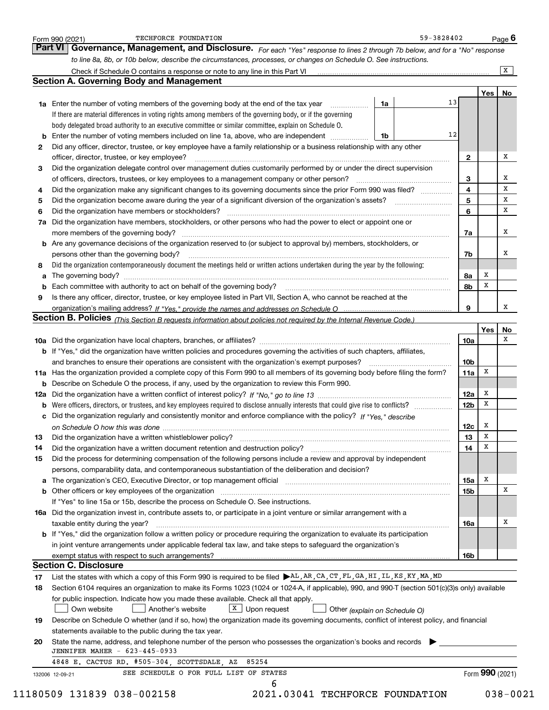|    | Governance, Management, and Disclosure. For each "Yes" response to lines 2 through 7b below, and for a "No" response<br>to line 8a, 8b, or 10b below, describe the circumstances, processes, or changes on Schedule O. See instructions. |    |                 |     |              |
|----|------------------------------------------------------------------------------------------------------------------------------------------------------------------------------------------------------------------------------------------|----|-----------------|-----|--------------|
|    | Check if Schedule O contains a response or note to any line in this Part VI [11] [12] Check if Schedule O contains a response or note to any line in this Part VI                                                                        |    |                 |     | $\mathbf{x}$ |
|    | <b>Section A. Governing Body and Management</b>                                                                                                                                                                                          |    |                 |     |              |
|    |                                                                                                                                                                                                                                          |    |                 | Yes | No           |
|    | <b>1a</b> Enter the number of voting members of the governing body at the end of the tax year <i>manumum</i><br>1a                                                                                                                       | 13 |                 |     |              |
|    | If there are material differences in voting rights among members of the governing body, or if the governing                                                                                                                              |    |                 |     |              |
|    | body delegated broad authority to an executive committee or similar committee, explain on Schedule O.                                                                                                                                    |    |                 |     |              |
| b  | Enter the number of voting members included on line 1a, above, who are independent <i>management</i><br>1b                                                                                                                               | 12 |                 |     |              |
| 2  | Did any officer, director, trustee, or key employee have a family relationship or a business relationship with any other                                                                                                                 |    |                 |     |              |
|    | officer, director, trustee, or key employee?                                                                                                                                                                                             |    | $\mathbf{2}$    |     | x            |
| З  | Did the organization delegate control over management duties customarily performed by or under the direct supervision                                                                                                                    |    |                 |     |              |
|    |                                                                                                                                                                                                                                          |    | 3               |     | x            |
| 4  | Did the organization make any significant changes to its governing documents since the prior Form 990 was filed?                                                                                                                         |    | 4               |     | х            |
| 5  | Did the organization become aware during the year of a significant diversion of the organization's assets?                                                                                                                               |    | 5               |     | х            |
| 6  | Did the organization have members or stockholders?                                                                                                                                                                                       |    | 6               |     | x            |
| 7a | Did the organization have members, stockholders, or other persons who had the power to elect or appoint one or                                                                                                                           |    |                 |     |              |
|    |                                                                                                                                                                                                                                          |    | 7a              |     | x            |
|    | b Are any governance decisions of the organization reserved to (or subject to approval by) members, stockholders, or                                                                                                                     |    |                 |     |              |
|    |                                                                                                                                                                                                                                          |    |                 |     | x            |
|    | persons other than the governing body?                                                                                                                                                                                                   |    | 7b              |     |              |
| 8  | Did the organization contemporaneously document the meetings held or written actions undertaken during the year by the following:                                                                                                        |    |                 | x   |              |
| a  |                                                                                                                                                                                                                                          |    | 8a              | х   |              |
| b  |                                                                                                                                                                                                                                          |    | 8b              |     |              |
| 9  | Is there any officer, director, trustee, or key employee listed in Part VII, Section A, who cannot be reached at the                                                                                                                     |    |                 |     | X            |
|    |                                                                                                                                                                                                                                          |    | 9               |     |              |
|    | Section B. Policies (This Section B requests information about policies not required by the Internal Revenue Code.)                                                                                                                      |    |                 |     |              |
|    |                                                                                                                                                                                                                                          |    |                 | Yes | No           |
|    |                                                                                                                                                                                                                                          |    | 10a             |     | х            |
|    | b If "Yes," did the organization have written policies and procedures governing the activities of such chapters, affiliates,                                                                                                             |    |                 |     |              |
|    | and branches to ensure their operations are consistent with the organization's exempt purposes?                                                                                                                                          |    | 10 <sub>b</sub> |     |              |
|    | 11a Has the organization provided a complete copy of this Form 990 to all members of its governing body before filing the form?                                                                                                          |    | 11a             | х   |              |
|    | <b>b</b> Describe on Schedule O the process, if any, used by the organization to review this Form 990.                                                                                                                                   |    |                 |     |              |
|    |                                                                                                                                                                                                                                          |    | 12a             | x   |              |
|    |                                                                                                                                                                                                                                          |    | 12 <sub>b</sub> | x   |              |
|    | c Did the organization regularly and consistently monitor and enforce compliance with the policy? If "Yes," describe                                                                                                                     |    |                 |     |              |
|    |                                                                                                                                                                                                                                          |    | 12c             | x   |              |
| 13 | Did the organization have a written whistleblower policy?                                                                                                                                                                                |    | 13              | X   |              |
| 14 | Did the organization have a written document retention and destruction policy? manufactured and the organization have a written document retention and destruction policy?                                                               |    | 14              | х   |              |
| 15 | Did the process for determining compensation of the following persons include a review and approval by independent                                                                                                                       |    |                 |     |              |
|    | persons, comparability data, and contemporaneous substantiation of the deliberation and decision?                                                                                                                                        |    |                 |     |              |
| a  | The organization's CEO, Executive Director, or top management official manufacture content content of the organization's CEO, Executive Director, or top management official                                                             |    | 15a             | x   |              |
|    |                                                                                                                                                                                                                                          |    | 15b             |     | x            |
|    | If "Yes" to line 15a or 15b, describe the process on Schedule O. See instructions.                                                                                                                                                       |    |                 |     |              |
|    | 16a Did the organization invest in, contribute assets to, or participate in a joint venture or similar arrangement with a                                                                                                                |    |                 |     |              |
|    | taxable entity during the year?                                                                                                                                                                                                          |    | 16a             |     | x            |
|    | <b>b</b> If "Yes," did the organization follow a written policy or procedure requiring the organization to evaluate its participation                                                                                                    |    |                 |     |              |
|    | in joint venture arrangements under applicable federal tax law, and take steps to safeguard the organization's                                                                                                                           |    |                 |     |              |
|    |                                                                                                                                                                                                                                          |    | 16b             |     |              |
|    | <b>Section C. Disclosure</b>                                                                                                                                                                                                             |    |                 |     |              |
|    | List the states with which a copy of this Form 990 is required to be filed AL, AR, CA, CT, FL, GA, HI, IL, KS, KY, MA, MD                                                                                                                |    |                 |     |              |
|    |                                                                                                                                                                                                                                          |    |                 |     |              |
| 18 | Section 6104 requires an organization to make its Forms 1023 (1024 or 1024-A, if applicable), 990, and 990-T (section 501(c)(3)s only) available                                                                                         |    |                 |     |              |
| 17 |                                                                                                                                                                                                                                          |    |                 |     |              |
|    | for public inspection. Indicate how you made these available. Check all that apply.<br>Own website<br>Another's website                                                                                                                  |    |                 |     |              |
|    | $X$ Upon request<br>Other (explain on Schedule O)                                                                                                                                                                                        |    |                 |     |              |
| 19 | Describe on Schedule O whether (and if so, how) the organization made its governing documents, conflict of interest policy, and financial                                                                                                |    |                 |     |              |
|    | statements available to the public during the tax year.                                                                                                                                                                                  |    |                 |     |              |
| 20 | State the name, address, and telephone number of the person who possesses the organization's books and records<br>JENNIFER MAHER - 623-445-0933                                                                                          |    |                 |     |              |
|    | 4848 E. CACTUS RD. #505-304, SCOTTSDALE, AZ 85254                                                                                                                                                                                        |    |                 |     |              |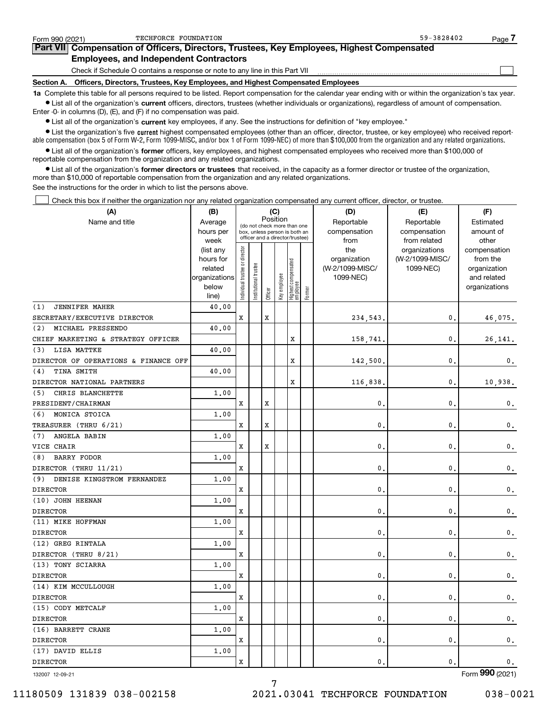| Form 990 (2021)                                                                                                                                            | TECHFORCE FOUNDATION                                                                       | 59-3828402 | Page. |  |  |  |  |  |  |
|------------------------------------------------------------------------------------------------------------------------------------------------------------|--------------------------------------------------------------------------------------------|------------|-------|--|--|--|--|--|--|
|                                                                                                                                                            | Part VII Compensation of Officers, Directors, Trustees, Key Employees, Highest Compensated |            |       |  |  |  |  |  |  |
|                                                                                                                                                            | <b>Employees, and Independent Contractors</b>                                              |            |       |  |  |  |  |  |  |
|                                                                                                                                                            | Check if Schedule O contains a response or note to any line in this Part VII               |            |       |  |  |  |  |  |  |
| Section A.                                                                                                                                                 | Officers, Directors, Trustees, Key Employees, and Highest Compensated Employees            |            |       |  |  |  |  |  |  |
| 1a Complete this table for all persons required to be listed. Report compensation for the calendar year ending with or within the organization's tax year. |                                                                                            |            |       |  |  |  |  |  |  |

**•** List all of the organization's current officers, directors, trustees (whether individuals or organizations), regardless of amount of compensation. Enter -0- in columns (D), (E), and (F) if no compensation was paid.

 $\bullet$  List all of the organization's  $\sf current$  key employees, if any. See the instructions for definition of "key employee."

**•** List the organization's five current highest compensated employees (other than an officer, director, trustee, or key employee) who received reportable compensation (box 5 of Form W-2, Form 1099-MISC, and/or box 1 of Form 1099-NEC) of more than \$100,000 from the organization and any related organizations.

**•** List all of the organization's former officers, key employees, and highest compensated employees who received more than \$100,000 of reportable compensation from the organization and any related organizations.

**former directors or trustees**  ¥ List all of the organization's that received, in the capacity as a former director or trustee of the organization, more than \$10,000 of reportable compensation from the organization and any related organizations.

See the instructions for the order in which to list the persons above.

Check this box if neither the organization nor any related organization compensated any current officer, director, or trustee.  $\mathcal{L}^{\text{max}}$ 

| (A)                                  | (B)               | (C)<br>Position                |                                                                  |         |              |                                   |        | (D)             | (E)                           | (F)                   |  |  |
|--------------------------------------|-------------------|--------------------------------|------------------------------------------------------------------|---------|--------------|-----------------------------------|--------|-----------------|-------------------------------|-----------------------|--|--|
| Name and title                       | Average           |                                | (do not check more than one                                      |         |              |                                   |        | Reportable      | Reportable                    | Estimated             |  |  |
|                                      | hours per         |                                | box, unless person is both an<br>officer and a director/trustee) |         |              |                                   |        | compensation    | compensation                  | amount of             |  |  |
|                                      | week<br>(list any |                                |                                                                  |         |              |                                   |        | from<br>the     | from related<br>organizations | other<br>compensation |  |  |
|                                      | hours for         |                                |                                                                  |         |              |                                   |        | organization    | (W-2/1099-MISC/               | from the              |  |  |
|                                      | related           |                                | trustee                                                          |         |              |                                   |        | (W-2/1099-MISC/ | 1099-NEC)                     | organization          |  |  |
|                                      | organizations     |                                |                                                                  |         |              |                                   |        | 1099-NEC)       |                               | and related           |  |  |
|                                      | below             | Individual trustee or director | Institutional t                                                  |         | Key employee | Highest compensated<br>  employee |        |                 |                               | organizations         |  |  |
|                                      | line)             |                                |                                                                  | Officer |              |                                   | Former |                 |                               |                       |  |  |
| (1)<br><b>JENNIFER MAHER</b>         | 40.00             |                                |                                                                  |         |              |                                   |        |                 |                               |                       |  |  |
| SECRETARY/EXECUTIVE DIRECTOR         |                   | X                              |                                                                  | X       |              |                                   |        | 234,543.        | 0.                            | 46,075.               |  |  |
| (2)<br>MICHAEL PRESSENDO             | 40.00             |                                |                                                                  |         |              |                                   |        |                 |                               |                       |  |  |
| CHIEF MARKETING & STRATEGY OFFICER   |                   |                                |                                                                  |         |              | x                                 |        | 158,741.        | $\mathbf{0}$ .                | 26,141.               |  |  |
| LISA MATTKE<br>(3)                   | 40.00             |                                |                                                                  |         |              |                                   |        |                 |                               |                       |  |  |
| DIRECTOR OF OPERATIONS & FINANCE OFF |                   |                                |                                                                  |         |              | X                                 |        | 142,500         | $\mathbf{0}$ .                | 0.                    |  |  |
| TINA SMITH<br>(4)                    | 40.00             |                                |                                                                  |         |              |                                   |        |                 |                               |                       |  |  |
| DIRECTOR NATIONAL PARTNERS           |                   |                                |                                                                  |         |              | X                                 |        | 116,838.        | $\mathbf{0}$ .                | 10,938.               |  |  |
| CHRIS BLANCHETTE<br>(5)              | 1.00              |                                |                                                                  |         |              |                                   |        |                 |                               |                       |  |  |
| PRESIDENT/CHAIRMAN                   |                   | X                              |                                                                  | X       |              |                                   |        | $\mathbf{0}$ .  | $\mathbf{0}$ .                | 0.                    |  |  |
| MONICA STOICA<br>(6)                 | 1.00              |                                |                                                                  |         |              |                                   |        |                 |                               |                       |  |  |
| TREASURER (THRU 6/21)                |                   | x                              |                                                                  | X       |              |                                   |        | $\mathbf{0}$ .  | $\mathbf{0}$ .                | $\mathbf{0}$ .        |  |  |
| ANGELA BABIN<br>(7)                  | 1.00              |                                |                                                                  |         |              |                                   |        |                 |                               |                       |  |  |
| VICE CHAIR                           |                   | x                              |                                                                  | X       |              |                                   |        | $\mathbf{0}$ .  | $\mathbf{0}$ .                | $\mathbf 0$ .         |  |  |
| <b>BARRY FODOR</b><br>(8)            | 1.00              |                                |                                                                  |         |              |                                   |        |                 |                               |                       |  |  |
| DIRECTOR (THRU 11/21)                |                   | x                              |                                                                  |         |              |                                   |        | $\mathbf{0}$ .  | $\mathbf{0}$ .                | 0.                    |  |  |
| DENISE KINGSTROM FERNANDEZ<br>(9)    | 1.00              |                                |                                                                  |         |              |                                   |        |                 |                               |                       |  |  |
| <b>DIRECTOR</b>                      |                   | x                              |                                                                  |         |              |                                   |        | $\mathbf{0}$ .  | $\mathbf{0}$ .                | $\mathbf 0$ .         |  |  |
| (10) JOHN HEENAN                     | 1.00              |                                |                                                                  |         |              |                                   |        |                 |                               |                       |  |  |
| <b>DIRECTOR</b>                      |                   | x                              |                                                                  |         |              |                                   |        | $\mathbf{0}$ .  | $\mathbf{0}$ .                | $\mathsf{0}\,.$       |  |  |
| (11) MIKE HOFFMAN                    | 1.00              |                                |                                                                  |         |              |                                   |        |                 |                               |                       |  |  |
| <b>DIRECTOR</b>                      |                   | x                              |                                                                  |         |              |                                   |        | $\mathbf{0}$ .  | $\mathbf{0}$ .                | 0.                    |  |  |
| (12) GREG RINTALA                    | 1.00              |                                |                                                                  |         |              |                                   |        |                 |                               |                       |  |  |
| DIRECTOR (THRU 8/21)                 |                   | x                              |                                                                  |         |              |                                   |        | $\mathbf{0}$ .  | $\mathbf{0}$ .                | 0.                    |  |  |
| (13) TONY SCIARRA                    | 1.00              |                                |                                                                  |         |              |                                   |        |                 |                               |                       |  |  |
| <b>DIRECTOR</b>                      |                   | x                              |                                                                  |         |              |                                   |        | $\mathbf{0}$ .  | $\mathbf{0}$ .                | $\mathbf 0$ .         |  |  |
| (14) KIM MCCULLOUGH                  | 1.00              |                                |                                                                  |         |              |                                   |        |                 |                               |                       |  |  |
| <b>DIRECTOR</b>                      |                   | x                              |                                                                  |         |              |                                   |        | $\mathbf{0}$ .  | $\mathbf{0}$ .                | 0.                    |  |  |
| (15) CODY METCALF                    | 1.00              |                                |                                                                  |         |              |                                   |        |                 |                               |                       |  |  |
| <b>DIRECTOR</b>                      |                   | x                              |                                                                  |         |              |                                   |        | $\mathbf{0}$ .  | $\mathbf{0}$ .                | 0.                    |  |  |
| (16) BARRETT CRANE                   | 1.00              |                                |                                                                  |         |              |                                   |        |                 |                               |                       |  |  |
| <b>DIRECTOR</b>                      |                   | x                              |                                                                  |         |              |                                   |        | $\mathbf{0}$ .  | $\mathbf{0}$ .                | $\mathsf{0}\,.$       |  |  |
| (17) DAVID ELLIS                     | 1.00              |                                |                                                                  |         |              |                                   |        |                 |                               |                       |  |  |
| <b>DIRECTOR</b>                      |                   | X                              |                                                                  |         |              |                                   |        | $\mathbf{0}$ .  | $\mathbf{0}$ .                | 0.                    |  |  |

7

132007 12-09-21

Form (2021) **990**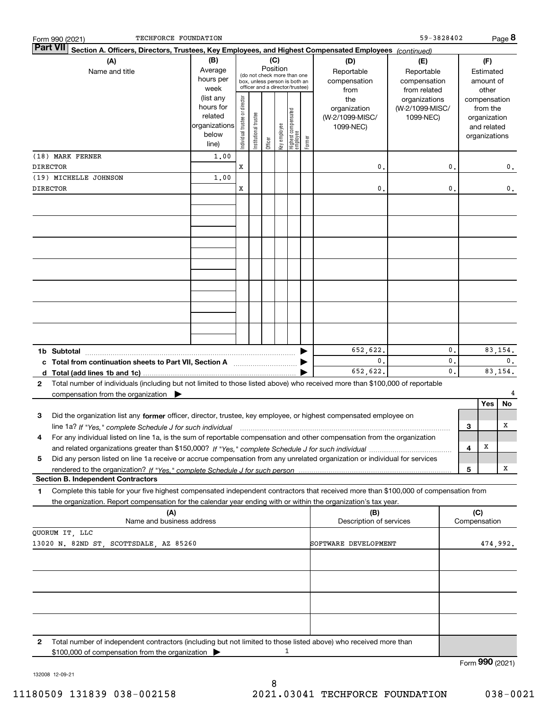|                       | TECHFORCE FOUNDATION<br>Form 990 (2021)                                                                                                                                                                                                                |                                                                              |                                |                        |          |              |                                                                        |        |                                                             | 59-3828402                                                    |          |     |                                                                                   | Page 8        |
|-----------------------|--------------------------------------------------------------------------------------------------------------------------------------------------------------------------------------------------------------------------------------------------------|------------------------------------------------------------------------------|--------------------------------|------------------------|----------|--------------|------------------------------------------------------------------------|--------|-------------------------------------------------------------|---------------------------------------------------------------|----------|-----|-----------------------------------------------------------------------------------|---------------|
|                       | <b>Part VII</b><br>Section A. Officers, Directors, Trustees, Key Employees, and Highest Compensated Employees (continued)                                                                                                                              |                                                                              |                                |                        |          |              |                                                                        |        |                                                             |                                                               |          |     |                                                                                   |               |
| (A)<br>Name and title |                                                                                                                                                                                                                                                        | (B)<br>Average<br>hours per                                                  |                                |                        | Position | (C)          | (do not check more than one<br>box, unless person is both an           |        | (D)<br>Reportable<br>compensation                           | (E)<br>Reportable<br>compensation                             |          |     | (F)<br>Estimated<br>amount of                                                     |               |
|                       |                                                                                                                                                                                                                                                        | week<br>(list any<br>hours for<br>related<br>organizations<br>below<br>line) | Individual trustee or director | In stitutional trustee | Officer  | key employee | officer and a director/trustee)<br>  Highest compensated<br>  employee | Former | from<br>the<br>organization<br>(W-2/1099-MISC/<br>1099-NEC) | from related<br>organizations<br>(W-2/1099-MISC/<br>1099-NEC) |          |     | other<br>compensation<br>from the<br>organization<br>and related<br>organizations |               |
|                       | (18) MARK FERNER                                                                                                                                                                                                                                       | 1,00                                                                         |                                |                        |          |              |                                                                        |        |                                                             |                                                               |          |     |                                                                                   |               |
|                       | <b>DIRECTOR</b>                                                                                                                                                                                                                                        |                                                                              | x                              |                        |          |              |                                                                        |        | 0                                                           |                                                               | 0.       |     |                                                                                   | 0.            |
|                       | (19) MICHELLE JOHNSON                                                                                                                                                                                                                                  | 1,00                                                                         |                                |                        |          |              |                                                                        |        |                                                             |                                                               |          |     |                                                                                   |               |
|                       | <b>DIRECTOR</b>                                                                                                                                                                                                                                        |                                                                              | x                              |                        |          |              |                                                                        |        | $\mathbf{0}$                                                |                                                               | 0.       |     |                                                                                   | 0.            |
|                       |                                                                                                                                                                                                                                                        |                                                                              |                                |                        |          |              |                                                                        |        |                                                             |                                                               |          |     |                                                                                   |               |
|                       |                                                                                                                                                                                                                                                        |                                                                              |                                |                        |          |              |                                                                        |        |                                                             |                                                               |          |     |                                                                                   |               |
|                       |                                                                                                                                                                                                                                                        |                                                                              |                                |                        |          |              |                                                                        |        |                                                             |                                                               |          |     |                                                                                   |               |
|                       |                                                                                                                                                                                                                                                        |                                                                              |                                |                        |          |              |                                                                        |        |                                                             |                                                               |          |     |                                                                                   |               |
|                       |                                                                                                                                                                                                                                                        |                                                                              |                                |                        |          |              |                                                                        |        |                                                             |                                                               |          |     |                                                                                   |               |
|                       |                                                                                                                                                                                                                                                        |                                                                              |                                |                        |          |              |                                                                        |        |                                                             |                                                               |          |     |                                                                                   |               |
|                       | 1b Subtotal                                                                                                                                                                                                                                            |                                                                              |                                |                        |          |              |                                                                        |        | 652,622.<br>0.                                              |                                                               | 0.<br>0. |     |                                                                                   | 83,154.<br>0. |
|                       | c Total from continuation sheets to Part VII, Section A                                                                                                                                                                                                |                                                                              |                                |                        |          |              |                                                                        |        | 652,622.                                                    |                                                               | 0.       |     |                                                                                   | 83, 154.      |
| $\mathbf{2}$          | Total number of individuals (including but not limited to those listed above) who received more than \$100,000 of reportable<br>compensation from the organization $\blacktriangleright$                                                               |                                                                              |                                |                        |          |              |                                                                        |        |                                                             |                                                               |          |     |                                                                                   |               |
| з                     | Did the organization list any former officer, director, trustee, key employee, or highest compensated employee on                                                                                                                                      |                                                                              |                                |                        |          |              |                                                                        |        |                                                             |                                                               |          |     | Yes                                                                               | No            |
|                       | line 1a? If "Yes," complete Schedule J for such individual manufactured contained and the Yes," complete Schedule J for such individual                                                                                                                |                                                                              |                                |                        |          |              |                                                                        |        |                                                             |                                                               |          | 3   |                                                                                   | Χ             |
| 4                     | For any individual listed on line 1a, is the sum of reportable compensation and other compensation from the organization                                                                                                                               |                                                                              |                                |                        |          |              |                                                                        |        |                                                             |                                                               |          |     |                                                                                   |               |
| 5                     | Did any person listed on line 1a receive or accrue compensation from any unrelated organization or individual for services                                                                                                                             |                                                                              |                                |                        |          |              |                                                                        |        |                                                             |                                                               |          | 4   | x                                                                                 |               |
|                       |                                                                                                                                                                                                                                                        |                                                                              |                                |                        |          |              |                                                                        |        |                                                             |                                                               |          | 5   |                                                                                   | X             |
|                       | <b>Section B. Independent Contractors</b>                                                                                                                                                                                                              |                                                                              |                                |                        |          |              |                                                                        |        |                                                             |                                                               |          |     |                                                                                   |               |
| 1                     | Complete this table for your five highest compensated independent contractors that received more than \$100,000 of compensation from<br>the organization. Report compensation for the calendar year ending with or within the organization's tax year. |                                                                              |                                |                        |          |              |                                                                        |        |                                                             |                                                               |          |     |                                                                                   |               |
|                       | (A)                                                                                                                                                                                                                                                    |                                                                              |                                |                        |          |              |                                                                        |        | (B)                                                         |                                                               |          | (C) |                                                                                   |               |
|                       | Name and business address<br>QUORUM IT, LLC                                                                                                                                                                                                            |                                                                              |                                |                        |          |              |                                                                        |        | Description of services                                     |                                                               |          |     | Compensation                                                                      |               |
|                       | 13020 N. 82ND ST, SCOTTSDALE, AZ 85260                                                                                                                                                                                                                 |                                                                              |                                |                        |          |              |                                                                        |        | SOFTWARE DEVELOPMENT                                        |                                                               |          |     |                                                                                   | 474,992.      |
|                       |                                                                                                                                                                                                                                                        |                                                                              |                                |                        |          |              |                                                                        |        |                                                             |                                                               |          |     |                                                                                   |               |
|                       |                                                                                                                                                                                                                                                        |                                                                              |                                |                        |          |              |                                                                        |        |                                                             |                                                               |          |     |                                                                                   |               |
|                       |                                                                                                                                                                                                                                                        |                                                                              |                                |                        |          |              |                                                                        |        |                                                             |                                                               |          |     |                                                                                   |               |
| 2                     | Total number of independent contractors (including but not limited to those listed above) who received more than                                                                                                                                       |                                                                              |                                |                        |          |              |                                                                        |        |                                                             |                                                               |          |     |                                                                                   |               |
|                       | \$100,000 of compensation from the organization                                                                                                                                                                                                        |                                                                              |                                |                        |          |              | 1                                                                      |        |                                                             |                                                               |          |     |                                                                                   |               |
|                       |                                                                                                                                                                                                                                                        |                                                                              |                                |                        |          |              |                                                                        |        |                                                             |                                                               |          |     | Form 990 (2021)                                                                   |               |

132008 12-09-21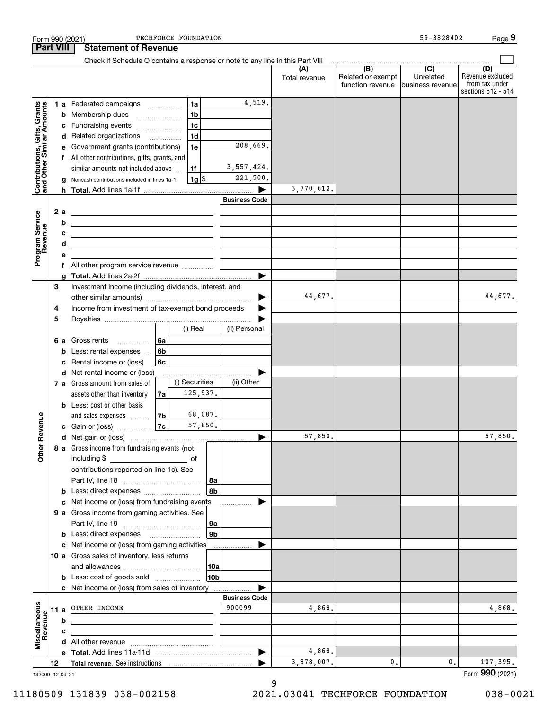|                                                           |                  |        | Form 990 (2021)                                                                                                                                                                                                                                      | TECHFORCE FOUNDATION |                |                      |                      |                                              | 59-3828402                           | Page 9                                                          |
|-----------------------------------------------------------|------------------|--------|------------------------------------------------------------------------------------------------------------------------------------------------------------------------------------------------------------------------------------------------------|----------------------|----------------|----------------------|----------------------|----------------------------------------------|--------------------------------------|-----------------------------------------------------------------|
|                                                           | <b>Part VIII</b> |        | <b>Statement of Revenue</b>                                                                                                                                                                                                                          |                      |                |                      |                      |                                              |                                      |                                                                 |
|                                                           |                  |        | Check if Schedule O contains a response or note to any line in this Part VIII                                                                                                                                                                        |                      |                |                      |                      |                                              |                                      |                                                                 |
|                                                           |                  |        |                                                                                                                                                                                                                                                      |                      |                |                      | (A)<br>Total revenue | (B)<br>Related or exempt<br>function revenue | (C)<br>Unrelated<br>business revenue | (D)<br>Revenue excluded<br>from tax under<br>sections 512 - 514 |
| Contributions, Gifts, Grants<br>and Other Similar Amounts |                  |        | 1 a Federated campaigns                                                                                                                                                                                                                              |                      | 1a             | 4,519.               |                      |                                              |                                      |                                                                 |
|                                                           |                  |        | <b>b</b> Membership dues                                                                                                                                                                                                                             |                      | 1 <sub>b</sub> |                      |                      |                                              |                                      |                                                                 |
|                                                           |                  |        | c Fundraising events                                                                                                                                                                                                                                 |                      | 1c             |                      |                      |                                              |                                      |                                                                 |
|                                                           |                  |        | d Related organizations                                                                                                                                                                                                                              |                      | 1 <sub>d</sub> |                      |                      |                                              |                                      |                                                                 |
|                                                           |                  |        | e Government grants (contributions)                                                                                                                                                                                                                  |                      | 1e             | 208,669.             |                      |                                              |                                      |                                                                 |
|                                                           |                  |        | f All other contributions, gifts, grants, and                                                                                                                                                                                                        |                      |                |                      |                      |                                              |                                      |                                                                 |
|                                                           |                  |        | similar amounts not included above                                                                                                                                                                                                                   |                      | 1f             | 3, 557, 424.         |                      |                                              |                                      |                                                                 |
|                                                           |                  |        | Noncash contributions included in lines 1a-1f                                                                                                                                                                                                        |                      | $1g$ \$        | 221,500.             |                      |                                              |                                      |                                                                 |
|                                                           |                  |        |                                                                                                                                                                                                                                                      |                      |                |                      | 3,770,612.           |                                              |                                      |                                                                 |
|                                                           |                  |        |                                                                                                                                                                                                                                                      |                      |                | <b>Business Code</b> |                      |                                              |                                      |                                                                 |
| Program Service<br>Revenue                                |                  | 2 a    | <u> 1989 - Andrea Andrew Maria (h. 1989).</u>                                                                                                                                                                                                        |                      |                |                      |                      |                                              |                                      |                                                                 |
|                                                           |                  | b      | <u> 1980 - Johann Barn, amerikansk politiker (d. 1980)</u>                                                                                                                                                                                           |                      |                |                      |                      |                                              |                                      |                                                                 |
|                                                           |                  | с<br>d | <u> 1989 - Johann Stein, mars et al. (b. 1989)</u>                                                                                                                                                                                                   |                      |                |                      |                      |                                              |                                      |                                                                 |
|                                                           |                  | е      | <u> 1989 - Johann Barn, mars ann an t-Amhain ann an t-Amhain ann an t-Amhain ann an t-Amhain ann an t-Amhain ann a</u>                                                                                                                               |                      |                |                      |                      |                                              |                                      |                                                                 |
|                                                           |                  | f      | All other program service revenue                                                                                                                                                                                                                    |                      |                |                      |                      |                                              |                                      |                                                                 |
|                                                           |                  | a      |                                                                                                                                                                                                                                                      |                      |                |                      |                      |                                              |                                      |                                                                 |
|                                                           | 3                |        | Investment income (including dividends, interest, and                                                                                                                                                                                                |                      |                |                      |                      |                                              |                                      |                                                                 |
|                                                           |                  |        |                                                                                                                                                                                                                                                      |                      |                |                      | 44,677.              |                                              |                                      | 44,677.                                                         |
|                                                           | 4                |        | Income from investment of tax-exempt bond proceeds                                                                                                                                                                                                   |                      |                |                      |                      |                                              |                                      |                                                                 |
|                                                           | 5                |        |                                                                                                                                                                                                                                                      |                      |                |                      |                      |                                              |                                      |                                                                 |
|                                                           |                  |        |                                                                                                                                                                                                                                                      |                      | (i) Real       | (ii) Personal        |                      |                                              |                                      |                                                                 |
|                                                           |                  |        | 6 a Gross rents<br>.                                                                                                                                                                                                                                 | 6a                   |                |                      |                      |                                              |                                      |                                                                 |
|                                                           |                  | b      | Less: rental expenses                                                                                                                                                                                                                                | 6b                   |                |                      |                      |                                              |                                      |                                                                 |
|                                                           |                  | с      | Rental income or (loss)                                                                                                                                                                                                                              | 6c                   |                |                      |                      |                                              |                                      |                                                                 |
|                                                           |                  |        | d Net rental income or (loss)                                                                                                                                                                                                                        |                      | (i) Securities | (ii) Other           |                      |                                              |                                      |                                                                 |
|                                                           |                  |        | 7 a Gross amount from sales of<br>assets other than inventory                                                                                                                                                                                        | 7a                   | 125,937.       |                      |                      |                                              |                                      |                                                                 |
|                                                           |                  |        | <b>b</b> Less: cost or other basis                                                                                                                                                                                                                   |                      |                |                      |                      |                                              |                                      |                                                                 |
|                                                           |                  |        | and sales expenses                                                                                                                                                                                                                                   | 7b                   | 68,087.        |                      |                      |                                              |                                      |                                                                 |
| venue                                                     |                  |        | c Gain or (loss)                                                                                                                                                                                                                                     | 7c                   | 57,850.        |                      |                      |                                              |                                      |                                                                 |
|                                                           |                  |        |                                                                                                                                                                                                                                                      |                      |                |                      | 57,850.              |                                              |                                      | 57,850.                                                         |
| Other Re                                                  |                  |        | 8 a Gross income from fundraising events (not                                                                                                                                                                                                        |                      |                |                      |                      |                                              |                                      |                                                                 |
|                                                           |                  |        | including \$<br><u>and the state of the state of the state of the state of the state of the state of the state of the state of the state of the state of the state of the state of the state of the state of the state of the state of the state</u> |                      |                |                      |                      |                                              |                                      |                                                                 |
|                                                           |                  |        | contributions reported on line 1c). See                                                                                                                                                                                                              |                      |                |                      |                      |                                              |                                      |                                                                 |
|                                                           |                  |        |                                                                                                                                                                                                                                                      |                      |                | 8a                   |                      |                                              |                                      |                                                                 |
|                                                           |                  | b      | Less: direct expenses                                                                                                                                                                                                                                |                      |                | 8b                   |                      |                                              |                                      |                                                                 |
|                                                           |                  |        | Net income or (loss) from fundraising events                                                                                                                                                                                                         |                      |                |                      |                      |                                              |                                      |                                                                 |
|                                                           |                  |        | 9 a Gross income from gaming activities. See                                                                                                                                                                                                         |                      |                |                      |                      |                                              |                                      |                                                                 |
|                                                           |                  |        |                                                                                                                                                                                                                                                      |                      |                | 9a                   |                      |                                              |                                      |                                                                 |
|                                                           |                  |        | c Net income or (loss) from gaming activities                                                                                                                                                                                                        |                      |                | 9b                   |                      |                                              |                                      |                                                                 |
|                                                           |                  |        | 10 a Gross sales of inventory, less returns                                                                                                                                                                                                          |                      |                |                      |                      |                                              |                                      |                                                                 |
|                                                           |                  |        |                                                                                                                                                                                                                                                      |                      |                | 10a                  |                      |                                              |                                      |                                                                 |
|                                                           |                  |        | <b>b</b> Less: cost of goods sold                                                                                                                                                                                                                    |                      |                | 10b                  |                      |                                              |                                      |                                                                 |
|                                                           |                  |        | c Net income or (loss) from sales of inventory                                                                                                                                                                                                       |                      |                |                      |                      |                                              |                                      |                                                                 |
|                                                           |                  |        |                                                                                                                                                                                                                                                      |                      |                | <b>Business Code</b> |                      |                                              |                                      |                                                                 |
|                                                           | 11 a             |        | OTHER INCOME                                                                                                                                                                                                                                         |                      |                | 900099               | 4,868.               |                                              |                                      | 4,868.                                                          |
| Miscellaneous<br>Revenue                                  |                  | b      |                                                                                                                                                                                                                                                      |                      |                |                      |                      |                                              |                                      |                                                                 |
|                                                           |                  | с      |                                                                                                                                                                                                                                                      |                      |                |                      |                      |                                              |                                      |                                                                 |
|                                                           |                  |        |                                                                                                                                                                                                                                                      |                      |                |                      |                      |                                              |                                      |                                                                 |
|                                                           |                  |        |                                                                                                                                                                                                                                                      |                      |                |                      | 4,868.               |                                              |                                      |                                                                 |
|                                                           | 12               |        |                                                                                                                                                                                                                                                      |                      |                |                      | 3,878,007.           | 0.                                           | 0.                                   | 107, 395.                                                       |
| 132009 12-09-21                                           |                  |        |                                                                                                                                                                                                                                                      |                      |                |                      |                      |                                              |                                      | Form 990 (2021)                                                 |

11180509 131839 038-002158 2021.03041 TECHFORCE FOUNDATION 038-0021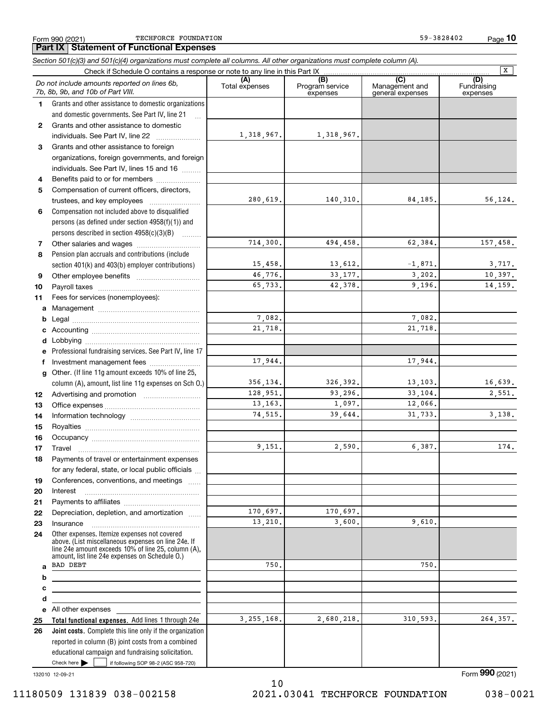Form 990 (2021) TECHFORCE FOUNDATION 59-3828402 Page

**Part IX Statement of Functional Expenses**

**10**

|              | Section 501(c)(3) and 501(c)(4) organizations must complete all columns. All other organizations must complete column (A).                                                                                   |                |                             |                                    | $\overline{\mathbf{x}}$ |
|--------------|--------------------------------------------------------------------------------------------------------------------------------------------------------------------------------------------------------------|----------------|-----------------------------|------------------------------------|-------------------------|
|              | Check if Schedule O contains a response or note to any line in this Part IX                                                                                                                                  | (A)            | (B)                         | (C)                                | (D)                     |
|              | Do not include amounts reported on lines 6b,<br>7b, 8b, 9b, and 10b of Part VIII.                                                                                                                            | Total expenses | Program service<br>expenses | Management and<br>general expenses | Fundraising<br>expenses |
| 1.           | Grants and other assistance to domestic organizations                                                                                                                                                        |                |                             |                                    |                         |
|              | and domestic governments. See Part IV, line 21                                                                                                                                                               |                |                             |                                    |                         |
| $\mathbf{2}$ | Grants and other assistance to domestic                                                                                                                                                                      |                |                             |                                    |                         |
|              | individuals. See Part IV, line 22                                                                                                                                                                            | 1,318,967.     | 1,318,967.                  |                                    |                         |
| 3            | Grants and other assistance to foreign                                                                                                                                                                       |                |                             |                                    |                         |
|              | organizations, foreign governments, and foreign                                                                                                                                                              |                |                             |                                    |                         |
|              | individuals. See Part IV, lines 15 and 16                                                                                                                                                                    |                |                             |                                    |                         |
| 4            | Benefits paid to or for members                                                                                                                                                                              |                |                             |                                    |                         |
| 5            | Compensation of current officers, directors,                                                                                                                                                                 |                |                             |                                    |                         |
|              |                                                                                                                                                                                                              | 280,619.       | 140,310.                    | 84,185.                            | 56,124.                 |
| 6            | Compensation not included above to disqualified                                                                                                                                                              |                |                             |                                    |                         |
|              | persons (as defined under section 4958(f)(1)) and                                                                                                                                                            |                |                             |                                    |                         |
|              | persons described in section 4958(c)(3)(B)                                                                                                                                                                   |                |                             |                                    |                         |
| 7            |                                                                                                                                                                                                              | 714,300.       | 494,458.                    | 62,384.                            | 157,458.                |
| 8            | Pension plan accruals and contributions (include                                                                                                                                                             |                |                             |                                    |                         |
|              | section 401(k) and 403(b) employer contributions)                                                                                                                                                            | 15,458.        | 13,612.                     | $-1,871.$                          | 3,717.                  |
| 9            |                                                                                                                                                                                                              | 46,776.        | 33, 177.                    | 3,202.                             | 10,397.                 |
| 10           |                                                                                                                                                                                                              | 65.733.        | 42,378.                     | 9,196.                             | 14.159.                 |
| 11           | Fees for services (nonemployees):                                                                                                                                                                            |                |                             |                                    |                         |
| a            |                                                                                                                                                                                                              |                |                             |                                    |                         |
| b            |                                                                                                                                                                                                              | 7,082.         |                             | 7,082.                             |                         |
| c            |                                                                                                                                                                                                              | 21,718.        |                             | 21,718.                            |                         |
| d            |                                                                                                                                                                                                              |                |                             |                                    |                         |
|              | Professional fundraising services. See Part IV, line 17                                                                                                                                                      |                |                             |                                    |                         |
| f            | Investment management fees                                                                                                                                                                                   | 17,944.        |                             | 17,944.                            |                         |
| g            | Other. (If line 11g amount exceeds 10% of line 25,                                                                                                                                                           |                |                             |                                    |                         |
|              | column (A), amount, list line 11g expenses on Sch O.)                                                                                                                                                        | 356, 134.      | 326, 392.                   | 13, 103.                           | 16,639.                 |
| 12           |                                                                                                                                                                                                              | 128,951.       | 93,296.                     | 33,104.                            | 2,551.                  |
| 13           |                                                                                                                                                                                                              | 13, 163.       | 1,097.                      | 12,066.                            |                         |
| 14           |                                                                                                                                                                                                              | 74,515.        | 39.644.                     | 31,733.                            | 3,138.                  |
| 15           |                                                                                                                                                                                                              |                |                             |                                    |                         |
| 16           |                                                                                                                                                                                                              |                |                             |                                    |                         |
| 17           |                                                                                                                                                                                                              | 9,151.         | 2,590.                      | 6,387.                             | 174.                    |
| 18           | Payments of travel or entertainment expenses                                                                                                                                                                 |                |                             |                                    |                         |
|              | for any federal, state, or local public officials                                                                                                                                                            |                |                             |                                    |                         |
| 19           | Conferences, conventions, and meetings                                                                                                                                                                       |                |                             |                                    |                         |
| 20           | Interest                                                                                                                                                                                                     |                |                             |                                    |                         |
| 21           |                                                                                                                                                                                                              |                |                             |                                    |                         |
| 22           | Depreciation, depletion, and amortization                                                                                                                                                                    | 170,697.       | 170,697.                    |                                    |                         |
| 23           | Insurance                                                                                                                                                                                                    | 13,210.        | 3,600.                      | 9,610.                             |                         |
| 24           | Other expenses. Itemize expenses not covered<br>above. (List miscellaneous expenses on line 24e. If<br>line 24e amount exceeds 10% of line 25, column (A),<br>amount, list line 24e expenses on Schedule O.) |                |                             |                                    |                         |
| a            | <b>BAD DEBT</b>                                                                                                                                                                                              | 750.           |                             | 750.                               |                         |
| b            | <u> 1989 - Johann Stein, marwolaethau a bhann an t-Albann an t-Albann an t-Albann an t-Albann an t-Albann an t-Alb</u>                                                                                       |                |                             |                                    |                         |
| с            | the control of the control of the control of the control of the control of the control of                                                                                                                    |                |                             |                                    |                         |
| d            |                                                                                                                                                                                                              |                |                             |                                    |                         |
|              | e All other expenses                                                                                                                                                                                         |                |                             |                                    |                         |
| 25           | Total functional expenses. Add lines 1 through 24e                                                                                                                                                           | 3, 255, 168.   | 2,680,218.                  | 310,593.                           | 264,357.                |
| 26           | Joint costs. Complete this line only if the organization                                                                                                                                                     |                |                             |                                    |                         |
|              | reported in column (B) joint costs from a combined                                                                                                                                                           |                |                             |                                    |                         |
|              | educational campaign and fundraising solicitation.                                                                                                                                                           |                |                             |                                    |                         |
|              | Check here         if following SOP 98-2 (ASC 958-720)                                                                                                                                                       |                |                             |                                    |                         |

132010 12-09-21

10 11180509 131839 038-002158 2021.03041 TECHFORCE FOUNDATION 038-0021

Form (2021) **990**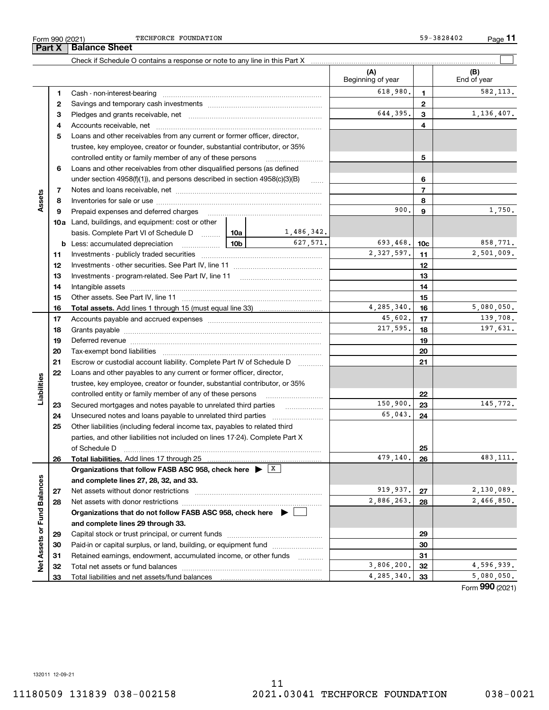**Part X Balance Sheet**

TECHFORCE FOUNDATION 59-3828402

|                             |    | Check if Schedule O contains a response or note to any line in this Part X                                    |                     |                          |                 |                      |
|-----------------------------|----|---------------------------------------------------------------------------------------------------------------|---------------------|--------------------------|-----------------|----------------------|
|                             |    |                                                                                                               |                     | (A)<br>Beginning of year |                 | (B)<br>End of year   |
|                             | 1  |                                                                                                               |                     | 618,980.                 | 1.              | 582,113.             |
|                             | 2  |                                                                                                               |                     | $\mathbf{2}$             |                 |                      |
|                             | 3  |                                                                                                               | 644,395.            | 3                        | 1,136,407.      |                      |
|                             | 4  |                                                                                                               |                     |                          | 4               |                      |
|                             | 5  | Loans and other receivables from any current or former officer, director,                                     |                     |                          |                 |                      |
|                             |    | trustee, key employee, creator or founder, substantial contributor, or 35%                                    |                     |                          |                 |                      |
|                             |    | controlled entity or family member of any of these persons                                                    |                     |                          | 5               |                      |
|                             | 6  | Loans and other receivables from other disqualified persons (as defined                                       |                     |                          |                 |                      |
|                             |    | under section $4958(f)(1)$ , and persons described in section $4958(c)(3)(B)$                                 | $\ldots$            |                          | 6               |                      |
|                             | 7  |                                                                                                               |                     |                          | $\overline{7}$  |                      |
| Assets                      | 8  |                                                                                                               |                     |                          | 8               |                      |
|                             | 9  | Prepaid expenses and deferred charges                                                                         |                     | 900.                     | 9               | 1,750.               |
|                             |    | <b>10a</b> Land, buildings, and equipment: cost or other                                                      |                     |                          |                 |                      |
|                             |    | basis. Complete Part VI of Schedule D    10a                                                                  | 1,486,342.          |                          |                 |                      |
|                             |    | $\frac{10b}{10b}$<br><b>b</b> Less: accumulated depreciation                                                  | 627,571.            | 693,468.                 | 10 <sub>c</sub> | 858,771.             |
|                             | 11 |                                                                                                               |                     | 2,327,597.               | 11              | 2,501,009.           |
|                             | 12 |                                                                                                               |                     |                          | 12              |                      |
|                             | 13 | Investments - program-related. See Part IV, line 11                                                           |                     |                          | 13              |                      |
|                             | 14 |                                                                                                               |                     |                          | 14              |                      |
|                             | 15 |                                                                                                               |                     | 15                       |                 |                      |
|                             | 16 |                                                                                                               | 4, 285, 340.        | 16                       | 5,080,050.      |                      |
|                             | 17 |                                                                                                               | 45,602.             | 17                       | 139,708.        |                      |
|                             | 18 |                                                                                                               |                     | 217,595.                 | 18              | 197,631.             |
|                             | 19 |                                                                                                               |                     |                          | 19              |                      |
|                             | 20 |                                                                                                               |                     |                          | 20              |                      |
|                             | 21 | Escrow or custodial account liability. Complete Part IV of Schedule D                                         | 1.1.1.1.1.1.1.1.1.1 |                          | 21              |                      |
|                             | 22 | Loans and other payables to any current or former officer, director,                                          |                     |                          |                 |                      |
|                             |    | trustee, key employee, creator or founder, substantial contributor, or 35%                                    |                     |                          |                 |                      |
| Liabilities                 |    | controlled entity or family member of any of these persons                                                    |                     |                          | 22              |                      |
|                             | 23 |                                                                                                               |                     | 150,900.                 | 23              | 145,772.             |
|                             | 24 | Unsecured notes and loans payable to unrelated third parties                                                  |                     | 65,043.                  | 24              |                      |
|                             | 25 | Other liabilities (including federal income tax, payables to related third                                    |                     |                          |                 |                      |
|                             |    | parties, and other liabilities not included on lines 17-24). Complete Part X                                  |                     |                          |                 |                      |
|                             |    | of Schedule D<br>Total liabilities. Add lines 17 through 25                                                   |                     | 479,140.                 | 25              | 483,111.             |
|                             | 26 | Organizations that follow FASB ASC 958, check here $\blacktriangleright \begin{array}{c} \perp X \end{array}$ |                     |                          | 26              |                      |
|                             |    | and complete lines 27, 28, 32, and 33.                                                                        |                     |                          |                 |                      |
|                             | 27 | Net assets without donor restrictions                                                                         |                     | 919,937.                 | 27              | 2,130,089.           |
|                             | 28 | Net assets with donor restrictions                                                                            |                     | 2,886,263.               | 28              | 2,466,850.           |
|                             |    | Organizations that do not follow FASB ASC 958, check here $\blacktriangleright$                               |                     |                          |                 |                      |
|                             |    | and complete lines 29 through 33.                                                                             |                     |                          |                 |                      |
|                             | 29 |                                                                                                               |                     |                          | 29              |                      |
|                             | 30 | Paid-in or capital surplus, or land, building, or equipment fund                                              |                     |                          | 30              |                      |
|                             | 31 | Retained earnings, endowment, accumulated income, or other funds                                              |                     |                          | 31              |                      |
| Net Assets or Fund Balances | 32 |                                                                                                               |                     | 3,806,200.               | 32              | 4,596,939.           |
|                             | 33 | Total liabilities and net assets/fund balances                                                                |                     | 4,285,340.               | 33              | 5,080,050.           |
|                             |    |                                                                                                               |                     |                          |                 | $000 \times 10^{-7}$ |

Form (2021) **990**

132011 12-09-21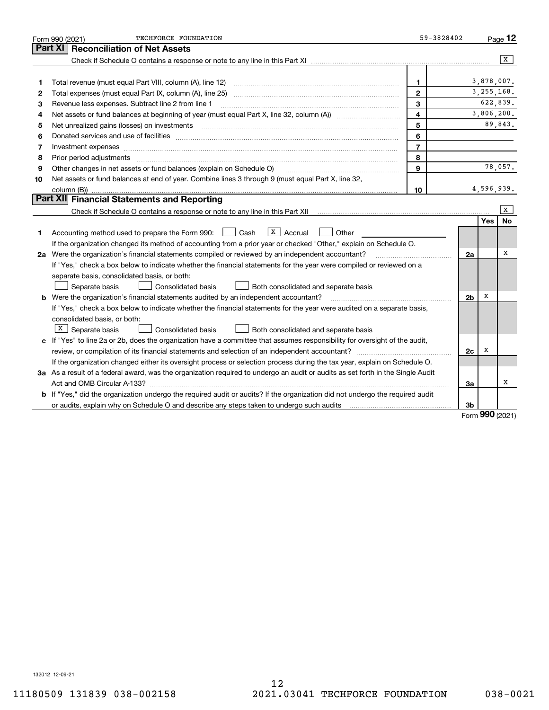|    | TECHFORCE FOUNDATION<br>Form 990 (2021)                                                                                              | 59-3828402     |                |            | Page $12$      |
|----|--------------------------------------------------------------------------------------------------------------------------------------|----------------|----------------|------------|----------------|
|    | Part XI<br><b>Reconciliation of Net Assets</b>                                                                                       |                |                |            |                |
|    |                                                                                                                                      |                |                |            | $\overline{X}$ |
|    |                                                                                                                                      |                |                |            |                |
| 1  | Total revenue (must equal Part VIII, column (A), line 12)                                                                            | $\mathbf{1}$   |                | 3,878,007. |                |
| 2  |                                                                                                                                      | $\mathbf{2}$   |                |            | 3, 255, 168.   |
| з  | Revenue less expenses. Subtract line 2 from line 1                                                                                   | 3              |                |            | 622,839.       |
| 4  |                                                                                                                                      | 4              |                |            | 3,806,200.     |
| 5  |                                                                                                                                      | 5              |                |            | 89,843.        |
| 6  |                                                                                                                                      | 6              |                |            |                |
| 7  | Investment expenses www.communication.communication.com/www.communication.com/www.communication.com                                  | $\overline{7}$ |                |            |                |
| 8  | Prior period adjustments                                                                                                             | 8              |                |            |                |
| 9  | Other changes in net assets or fund balances (explain on Schedule O)                                                                 | 9              |                |            | 78,057.        |
| 10 | Net assets or fund balances at end of year. Combine lines 3 through 9 (must equal Part X, line 32,                                   |                |                |            |                |
|    | column (B))                                                                                                                          | 10             |                |            | 4,596,939.     |
|    | Part XII Financial Statements and Reporting                                                                                          |                |                |            |                |
|    |                                                                                                                                      |                |                |            | X              |
|    |                                                                                                                                      |                |                | <b>Yes</b> | No             |
| 1  | $X \vert$ Accrual<br>Cash<br>Other<br>Accounting method used to prepare the Form 990:                                                |                |                |            |                |
|    | If the organization changed its method of accounting from a prior year or checked "Other," explain on Schedule O.                    |                |                |            |                |
|    | 2a Were the organization's financial statements compiled or reviewed by an independent accountant?                                   |                | 2a             |            | x              |
|    | If "Yes," check a box below to indicate whether the financial statements for the year were compiled or reviewed on a                 |                |                |            |                |
|    | separate basis, consolidated basis, or both:                                                                                         |                |                |            |                |
|    | Separate basis<br><b>Consolidated basis</b><br>Both consolidated and separate basis                                                  |                |                |            |                |
|    | <b>b</b> Were the organization's financial statements audited by an independent accountant?                                          |                | 2 <sub>b</sub> | х          |                |
|    | If "Yes," check a box below to indicate whether the financial statements for the year were audited on a separate basis,              |                |                |            |                |
|    | consolidated basis, or both:                                                                                                         |                |                |            |                |
|    | X<br>Separate basis<br>Consolidated basis<br>Both consolidated and separate basis                                                    |                |                |            |                |
|    | c If "Yes" to line 2a or 2b, does the organization have a committee that assumes responsibility for oversight of the audit,          |                |                |            |                |
|    | review, or compilation of its financial statements and selection of an independent accountant?                                       |                | 2c             | х          |                |
|    | If the organization changed either its oversight process or selection process during the tax year, explain on Schedule O.            |                |                |            |                |
|    | 3a As a result of a federal award, was the organization required to undergo an audit or audits as set forth in the Single Audit      |                |                |            |                |
|    |                                                                                                                                      |                | За             |            | X              |
|    | <b>b</b> If "Yes," did the organization undergo the required audit or audits? If the organization did not undergo the required audit |                |                |            |                |
|    |                                                                                                                                      |                | 3b             | nnn –      |                |

Form (2021) **990**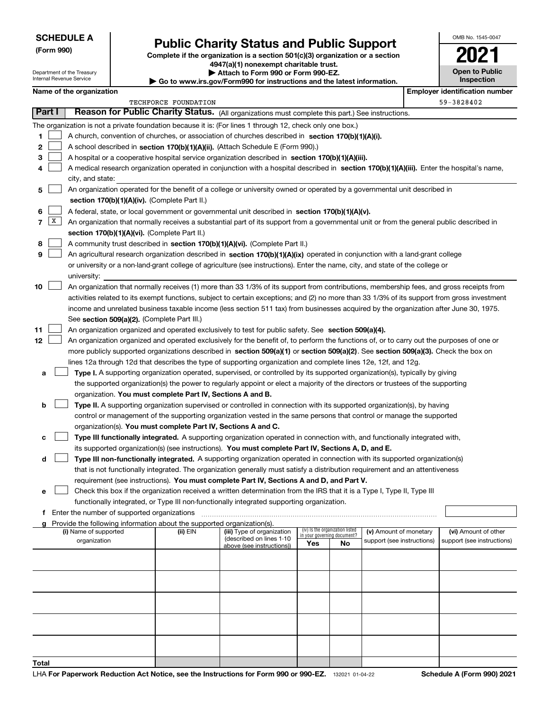Department of the Treasury Internal Revenue Service

**(Form 990)**

## **Public Charity Status and Public Support**

**Complete if the organization is a section 501(c)(3) organization or a section 4947(a)(1) nonexempt charitable trust.**

**| Attach to Form 990 or Form 990-EZ.** 

**| Go to www.irs.gov/Form990 for instructions and the latest information.**

| OMB No. 1545-0047                   |
|-------------------------------------|
| 202                                 |
| <b>Open to Public</b><br>Inspection |

|                      |                                                                                                            | Name of the organization                                                                                                                     |          |                            |                                    |                                 |                            |  | <b>Employer identification number</b> |
|----------------------|------------------------------------------------------------------------------------------------------------|----------------------------------------------------------------------------------------------------------------------------------------------|----------|----------------------------|------------------------------------|---------------------------------|----------------------------|--|---------------------------------------|
| TECHFORCE FOUNDATION |                                                                                                            |                                                                                                                                              |          |                            |                                    |                                 | 59-3828402                 |  |                                       |
|                      | Part I<br>Reason for Public Charity Status. (All organizations must complete this part.) See instructions. |                                                                                                                                              |          |                            |                                    |                                 |                            |  |                                       |
|                      |                                                                                                            | The organization is not a private foundation because it is: (For lines 1 through 12, check only one box.)                                    |          |                            |                                    |                                 |                            |  |                                       |
| 1                    |                                                                                                            | A church, convention of churches, or association of churches described in section 170(b)(1)(A)(i).                                           |          |                            |                                    |                                 |                            |  |                                       |
| 2                    |                                                                                                            | A school described in section 170(b)(1)(A)(ii). (Attach Schedule E (Form 990).)                                                              |          |                            |                                    |                                 |                            |  |                                       |
| З                    |                                                                                                            | A hospital or a cooperative hospital service organization described in section 170(b)(1)(A)(iii).                                            |          |                            |                                    |                                 |                            |  |                                       |
|                      |                                                                                                            | A medical research organization operated in conjunction with a hospital described in section 170(b)(1)(A)(iii). Enter the hospital's name,   |          |                            |                                    |                                 |                            |  |                                       |
|                      |                                                                                                            | city, and state:                                                                                                                             |          |                            |                                    |                                 |                            |  |                                       |
| 5                    |                                                                                                            | An organization operated for the benefit of a college or university owned or operated by a governmental unit described in                    |          |                            |                                    |                                 |                            |  |                                       |
|                      |                                                                                                            | section 170(b)(1)(A)(iv). (Complete Part II.)                                                                                                |          |                            |                                    |                                 |                            |  |                                       |
| 6                    |                                                                                                            | A federal, state, or local government or governmental unit described in section 170(b)(1)(A)(v).                                             |          |                            |                                    |                                 |                            |  |                                       |
| 7                    | $\mathbf{X}$                                                                                               | An organization that normally receives a substantial part of its support from a governmental unit or from the general public described in    |          |                            |                                    |                                 |                            |  |                                       |
|                      |                                                                                                            | section 170(b)(1)(A)(vi). (Complete Part II.)                                                                                                |          |                            |                                    |                                 |                            |  |                                       |
| 8                    |                                                                                                            | A community trust described in section 170(b)(1)(A)(vi). (Complete Part II.)                                                                 |          |                            |                                    |                                 |                            |  |                                       |
| 9                    |                                                                                                            | An agricultural research organization described in section 170(b)(1)(A)(ix) operated in conjunction with a land-grant college                |          |                            |                                    |                                 |                            |  |                                       |
|                      |                                                                                                            | or university or a non-land-grant college of agriculture (see instructions). Enter the name, city, and state of the college or               |          |                            |                                    |                                 |                            |  |                                       |
|                      |                                                                                                            | university:                                                                                                                                  |          |                            |                                    |                                 |                            |  |                                       |
| 10                   |                                                                                                            | An organization that normally receives (1) more than 33 1/3% of its support from contributions, membership fees, and gross receipts from     |          |                            |                                    |                                 |                            |  |                                       |
|                      |                                                                                                            | activities related to its exempt functions, subject to certain exceptions; and (2) no more than 33 1/3% of its support from gross investment |          |                            |                                    |                                 |                            |  |                                       |
|                      |                                                                                                            | income and unrelated business taxable income (less section 511 tax) from businesses acquired by the organization after June 30, 1975.        |          |                            |                                    |                                 |                            |  |                                       |
|                      |                                                                                                            | See section 509(a)(2). (Complete Part III.)                                                                                                  |          |                            |                                    |                                 |                            |  |                                       |
| 11                   |                                                                                                            | An organization organized and operated exclusively to test for public safety. See section 509(a)(4).                                         |          |                            |                                    |                                 |                            |  |                                       |
| 12                   |                                                                                                            | An organization organized and operated exclusively for the benefit of, to perform the functions of, or to carry out the purposes of one or   |          |                            |                                    |                                 |                            |  |                                       |
|                      |                                                                                                            | more publicly supported organizations described in section 509(a)(1) or section 509(a)(2). See section 509(a)(3). Check the box on           |          |                            |                                    |                                 |                            |  |                                       |
|                      |                                                                                                            | lines 12a through 12d that describes the type of supporting organization and complete lines 12e, 12f, and 12g.                               |          |                            |                                    |                                 |                            |  |                                       |
| а                    |                                                                                                            | Type I. A supporting organization operated, supervised, or controlled by its supported organization(s), typically by giving                  |          |                            |                                    |                                 |                            |  |                                       |
|                      |                                                                                                            | the supported organization(s) the power to regularly appoint or elect a majority of the directors or trustees of the supporting              |          |                            |                                    |                                 |                            |  |                                       |
|                      |                                                                                                            | organization. You must complete Part IV, Sections A and B.                                                                                   |          |                            |                                    |                                 |                            |  |                                       |
| b                    |                                                                                                            | Type II. A supporting organization supervised or controlled in connection with its supported organization(s), by having                      |          |                            |                                    |                                 |                            |  |                                       |
|                      |                                                                                                            | control or management of the supporting organization vested in the same persons that control or manage the supported                         |          |                            |                                    |                                 |                            |  |                                       |
|                      |                                                                                                            | organization(s). You must complete Part IV, Sections A and C.                                                                                |          |                            |                                    |                                 |                            |  |                                       |
| с                    |                                                                                                            | Type III functionally integrated. A supporting organization operated in connection with, and functionally integrated with,                   |          |                            |                                    |                                 |                            |  |                                       |
|                      |                                                                                                            | its supported organization(s) (see instructions). You must complete Part IV, Sections A, D, and E.                                           |          |                            |                                    |                                 |                            |  |                                       |
| d                    |                                                                                                            | Type III non-functionally integrated. A supporting organization operated in connection with its supported organization(s)                    |          |                            |                                    |                                 |                            |  |                                       |
|                      |                                                                                                            | that is not functionally integrated. The organization generally must satisfy a distribution requirement and an attentiveness                 |          |                            |                                    |                                 |                            |  |                                       |
|                      |                                                                                                            | requirement (see instructions). You must complete Part IV, Sections A and D, and Part V.                                                     |          |                            |                                    |                                 |                            |  |                                       |
| е                    |                                                                                                            | Check this box if the organization received a written determination from the IRS that it is a Type I, Type II, Type III                      |          |                            |                                    |                                 |                            |  |                                       |
|                      |                                                                                                            | functionally integrated, or Type III non-functionally integrated supporting organization.                                                    |          |                            |                                    |                                 |                            |  |                                       |
| f                    |                                                                                                            | Enter the number of supported organizations                                                                                                  |          |                            |                                    |                                 |                            |  |                                       |
|                      |                                                                                                            | g Provide the following information about the supported organization(s).<br>(i) Name of supported                                            | (ii) EIN | (iii) Type of organization |                                    | (iv) Is the organization listed | (v) Amount of monetary     |  | (vi) Amount of other                  |
|                      |                                                                                                            | organization                                                                                                                                 |          | (described on lines 1-10   | in your governing document?<br>Yes | No                              | support (see instructions) |  | support (see instructions)            |
|                      |                                                                                                            |                                                                                                                                              |          | above (see instructions))  |                                    |                                 |                            |  |                                       |
|                      |                                                                                                            |                                                                                                                                              |          |                            |                                    |                                 |                            |  |                                       |
|                      |                                                                                                            |                                                                                                                                              |          |                            |                                    |                                 |                            |  |                                       |
|                      |                                                                                                            |                                                                                                                                              |          |                            |                                    |                                 |                            |  |                                       |
|                      |                                                                                                            |                                                                                                                                              |          |                            |                                    |                                 |                            |  |                                       |
|                      |                                                                                                            |                                                                                                                                              |          |                            |                                    |                                 |                            |  |                                       |
|                      |                                                                                                            |                                                                                                                                              |          |                            |                                    |                                 |                            |  |                                       |
|                      |                                                                                                            |                                                                                                                                              |          |                            |                                    |                                 |                            |  |                                       |
|                      |                                                                                                            |                                                                                                                                              |          |                            |                                    |                                 |                            |  |                                       |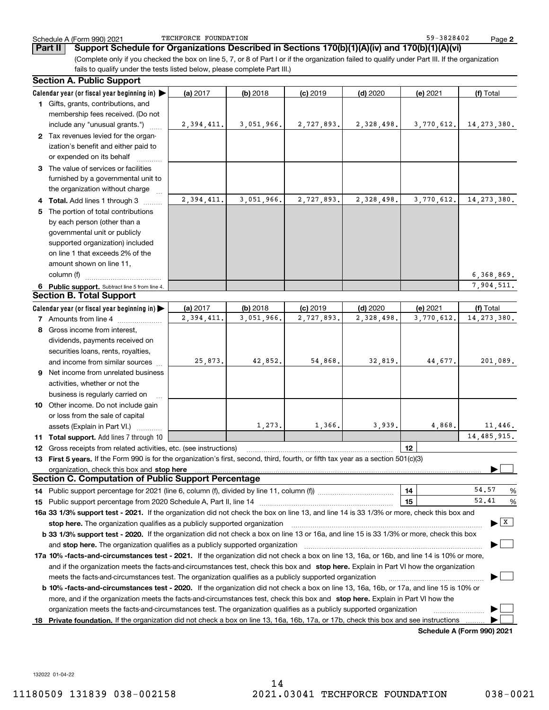TECHFORCE FOUNDATION

**2**

(Complete only if you checked the box on line 5, 7, or 8 of Part I or if the organization failed to qualify under Part III. If the organization **Part II** Support Schedule for Organizations Described in Sections 170(b)(1)(A)(iv) and 170(b)(1)(A)(vi)

fails to qualify under the tests listed below, please complete Part III.)

| Calendar year (or fiscal year beginning in)<br>(a) 2017<br>$(b)$ 2018<br>$(c)$ 2019<br>$(d)$ 2020<br>(e) 2021<br>(f) Total<br>1 Gifts, grants, contributions, and<br>membership fees received. (Do not<br>3,051,966.<br>2,727,893.<br>2,328,498.<br>3,770,612.<br>14, 273, 380.<br>include any "unusual grants.")<br>2,394,411.<br>2 Tax revenues levied for the organ-<br>ization's benefit and either paid to<br>or expended on its behalf<br>3 The value of services or facilities<br>furnished by a governmental unit to<br>the organization without charge<br>3,051,966.<br>2,328,498.<br>3,770,612.<br>14, 273, 380.<br>2,394,411.<br>2,727,893.<br>Total. Add lines 1 through 3<br>The portion of total contributions<br>by each person (other than a<br>governmental unit or publicly<br>supported organization) included<br>on line 1 that exceeds 2% of the<br>amount shown on line 11,<br>6,368,869.<br>column (f)<br>7,904,511.<br>6 Public support. Subtract line 5 from line 4.<br><b>Section B. Total Support</b><br>Calendar year (or fiscal year beginning in)<br>(a) 2017<br>$(b)$ 2018<br>$(c)$ 2019<br>$(d)$ 2020<br>(e) 2021<br>(f) Total<br>2,394,411.<br>3,051,966.<br>2,727,893.<br>2,328,498.<br>3,770,612.<br>14, 273, 380.<br><b>7</b> Amounts from line 4 |
|---------------------------------------------------------------------------------------------------------------------------------------------------------------------------------------------------------------------------------------------------------------------------------------------------------------------------------------------------------------------------------------------------------------------------------------------------------------------------------------------------------------------------------------------------------------------------------------------------------------------------------------------------------------------------------------------------------------------------------------------------------------------------------------------------------------------------------------------------------------------------------------------------------------------------------------------------------------------------------------------------------------------------------------------------------------------------------------------------------------------------------------------------------------------------------------------------------------------------------------------------------------------------------------|
|                                                                                                                                                                                                                                                                                                                                                                                                                                                                                                                                                                                                                                                                                                                                                                                                                                                                                                                                                                                                                                                                                                                                                                                                                                                                                       |
|                                                                                                                                                                                                                                                                                                                                                                                                                                                                                                                                                                                                                                                                                                                                                                                                                                                                                                                                                                                                                                                                                                                                                                                                                                                                                       |
|                                                                                                                                                                                                                                                                                                                                                                                                                                                                                                                                                                                                                                                                                                                                                                                                                                                                                                                                                                                                                                                                                                                                                                                                                                                                                       |
|                                                                                                                                                                                                                                                                                                                                                                                                                                                                                                                                                                                                                                                                                                                                                                                                                                                                                                                                                                                                                                                                                                                                                                                                                                                                                       |
|                                                                                                                                                                                                                                                                                                                                                                                                                                                                                                                                                                                                                                                                                                                                                                                                                                                                                                                                                                                                                                                                                                                                                                                                                                                                                       |
|                                                                                                                                                                                                                                                                                                                                                                                                                                                                                                                                                                                                                                                                                                                                                                                                                                                                                                                                                                                                                                                                                                                                                                                                                                                                                       |
|                                                                                                                                                                                                                                                                                                                                                                                                                                                                                                                                                                                                                                                                                                                                                                                                                                                                                                                                                                                                                                                                                                                                                                                                                                                                                       |
|                                                                                                                                                                                                                                                                                                                                                                                                                                                                                                                                                                                                                                                                                                                                                                                                                                                                                                                                                                                                                                                                                                                                                                                                                                                                                       |
|                                                                                                                                                                                                                                                                                                                                                                                                                                                                                                                                                                                                                                                                                                                                                                                                                                                                                                                                                                                                                                                                                                                                                                                                                                                                                       |
|                                                                                                                                                                                                                                                                                                                                                                                                                                                                                                                                                                                                                                                                                                                                                                                                                                                                                                                                                                                                                                                                                                                                                                                                                                                                                       |
|                                                                                                                                                                                                                                                                                                                                                                                                                                                                                                                                                                                                                                                                                                                                                                                                                                                                                                                                                                                                                                                                                                                                                                                                                                                                                       |
|                                                                                                                                                                                                                                                                                                                                                                                                                                                                                                                                                                                                                                                                                                                                                                                                                                                                                                                                                                                                                                                                                                                                                                                                                                                                                       |
|                                                                                                                                                                                                                                                                                                                                                                                                                                                                                                                                                                                                                                                                                                                                                                                                                                                                                                                                                                                                                                                                                                                                                                                                                                                                                       |
|                                                                                                                                                                                                                                                                                                                                                                                                                                                                                                                                                                                                                                                                                                                                                                                                                                                                                                                                                                                                                                                                                                                                                                                                                                                                                       |
|                                                                                                                                                                                                                                                                                                                                                                                                                                                                                                                                                                                                                                                                                                                                                                                                                                                                                                                                                                                                                                                                                                                                                                                                                                                                                       |
|                                                                                                                                                                                                                                                                                                                                                                                                                                                                                                                                                                                                                                                                                                                                                                                                                                                                                                                                                                                                                                                                                                                                                                                                                                                                                       |
|                                                                                                                                                                                                                                                                                                                                                                                                                                                                                                                                                                                                                                                                                                                                                                                                                                                                                                                                                                                                                                                                                                                                                                                                                                                                                       |
|                                                                                                                                                                                                                                                                                                                                                                                                                                                                                                                                                                                                                                                                                                                                                                                                                                                                                                                                                                                                                                                                                                                                                                                                                                                                                       |
|                                                                                                                                                                                                                                                                                                                                                                                                                                                                                                                                                                                                                                                                                                                                                                                                                                                                                                                                                                                                                                                                                                                                                                                                                                                                                       |
|                                                                                                                                                                                                                                                                                                                                                                                                                                                                                                                                                                                                                                                                                                                                                                                                                                                                                                                                                                                                                                                                                                                                                                                                                                                                                       |
|                                                                                                                                                                                                                                                                                                                                                                                                                                                                                                                                                                                                                                                                                                                                                                                                                                                                                                                                                                                                                                                                                                                                                                                                                                                                                       |
|                                                                                                                                                                                                                                                                                                                                                                                                                                                                                                                                                                                                                                                                                                                                                                                                                                                                                                                                                                                                                                                                                                                                                                                                                                                                                       |
| 8 Gross income from interest,                                                                                                                                                                                                                                                                                                                                                                                                                                                                                                                                                                                                                                                                                                                                                                                                                                                                                                                                                                                                                                                                                                                                                                                                                                                         |
|                                                                                                                                                                                                                                                                                                                                                                                                                                                                                                                                                                                                                                                                                                                                                                                                                                                                                                                                                                                                                                                                                                                                                                                                                                                                                       |
| dividends, payments received on                                                                                                                                                                                                                                                                                                                                                                                                                                                                                                                                                                                                                                                                                                                                                                                                                                                                                                                                                                                                                                                                                                                                                                                                                                                       |
| securities loans, rents, royalties,<br>42,852.<br>54,868.<br>32,819.<br>44,677.<br>201,089.<br>25,873.                                                                                                                                                                                                                                                                                                                                                                                                                                                                                                                                                                                                                                                                                                                                                                                                                                                                                                                                                                                                                                                                                                                                                                                |
| and income from similar sources                                                                                                                                                                                                                                                                                                                                                                                                                                                                                                                                                                                                                                                                                                                                                                                                                                                                                                                                                                                                                                                                                                                                                                                                                                                       |
| <b>9</b> Net income from unrelated business                                                                                                                                                                                                                                                                                                                                                                                                                                                                                                                                                                                                                                                                                                                                                                                                                                                                                                                                                                                                                                                                                                                                                                                                                                           |
| activities, whether or not the                                                                                                                                                                                                                                                                                                                                                                                                                                                                                                                                                                                                                                                                                                                                                                                                                                                                                                                                                                                                                                                                                                                                                                                                                                                        |
| business is regularly carried on                                                                                                                                                                                                                                                                                                                                                                                                                                                                                                                                                                                                                                                                                                                                                                                                                                                                                                                                                                                                                                                                                                                                                                                                                                                      |
| 10 Other income. Do not include gain                                                                                                                                                                                                                                                                                                                                                                                                                                                                                                                                                                                                                                                                                                                                                                                                                                                                                                                                                                                                                                                                                                                                                                                                                                                  |
| or loss from the sale of capital                                                                                                                                                                                                                                                                                                                                                                                                                                                                                                                                                                                                                                                                                                                                                                                                                                                                                                                                                                                                                                                                                                                                                                                                                                                      |
| 1,273.<br>1,366.<br>3,939.<br>11,446.<br>4,868.<br>assets (Explain in Part VI.)                                                                                                                                                                                                                                                                                                                                                                                                                                                                                                                                                                                                                                                                                                                                                                                                                                                                                                                                                                                                                                                                                                                                                                                                       |
| 14, 485, 915.<br>Total support. Add lines 7 through 10<br>11.                                                                                                                                                                                                                                                                                                                                                                                                                                                                                                                                                                                                                                                                                                                                                                                                                                                                                                                                                                                                                                                                                                                                                                                                                         |
| 12<br>Gross receipts from related activities, etc. (see instructions)<br>12                                                                                                                                                                                                                                                                                                                                                                                                                                                                                                                                                                                                                                                                                                                                                                                                                                                                                                                                                                                                                                                                                                                                                                                                           |
| 13 First 5 years. If the Form 990 is for the organization's first, second, third, fourth, or fifth tax year as a section 501(c)(3)                                                                                                                                                                                                                                                                                                                                                                                                                                                                                                                                                                                                                                                                                                                                                                                                                                                                                                                                                                                                                                                                                                                                                    |
| organization, check this box and stop here                                                                                                                                                                                                                                                                                                                                                                                                                                                                                                                                                                                                                                                                                                                                                                                                                                                                                                                                                                                                                                                                                                                                                                                                                                            |
| <b>Section C. Computation of Public Support Percentage</b>                                                                                                                                                                                                                                                                                                                                                                                                                                                                                                                                                                                                                                                                                                                                                                                                                                                                                                                                                                                                                                                                                                                                                                                                                            |
| 54.57<br>14<br>14 Public support percentage for 2021 (line 6, column (f), divided by line 11, column (f)) <i>mumment</i> management<br>%                                                                                                                                                                                                                                                                                                                                                                                                                                                                                                                                                                                                                                                                                                                                                                                                                                                                                                                                                                                                                                                                                                                                              |
| 52.41<br>15<br>%                                                                                                                                                                                                                                                                                                                                                                                                                                                                                                                                                                                                                                                                                                                                                                                                                                                                                                                                                                                                                                                                                                                                                                                                                                                                      |
| 16a 33 1/3% support test - 2021. If the organization did not check the box on line 13, and line 14 is 33 1/3% or more, check this box and                                                                                                                                                                                                                                                                                                                                                                                                                                                                                                                                                                                                                                                                                                                                                                                                                                                                                                                                                                                                                                                                                                                                             |
| $\blacktriangleright$ $\mid$ X<br>stop here. The organization qualifies as a publicly supported organization                                                                                                                                                                                                                                                                                                                                                                                                                                                                                                                                                                                                                                                                                                                                                                                                                                                                                                                                                                                                                                                                                                                                                                          |
| b 33 1/3% support test - 2020. If the organization did not check a box on line 13 or 16a, and line 15 is 33 1/3% or more, check this box                                                                                                                                                                                                                                                                                                                                                                                                                                                                                                                                                                                                                                                                                                                                                                                                                                                                                                                                                                                                                                                                                                                                              |
| and stop here. The organization qualifies as a publicly supported organization                                                                                                                                                                                                                                                                                                                                                                                                                                                                                                                                                                                                                                                                                                                                                                                                                                                                                                                                                                                                                                                                                                                                                                                                        |
| 17a 10% -facts-and-circumstances test - 2021. If the organization did not check a box on line 13, 16a, or 16b, and line 14 is 10% or more,                                                                                                                                                                                                                                                                                                                                                                                                                                                                                                                                                                                                                                                                                                                                                                                                                                                                                                                                                                                                                                                                                                                                            |
| and if the organization meets the facts-and-circumstances test, check this box and stop here. Explain in Part VI how the organization                                                                                                                                                                                                                                                                                                                                                                                                                                                                                                                                                                                                                                                                                                                                                                                                                                                                                                                                                                                                                                                                                                                                                 |
| meets the facts-and-circumstances test. The organization qualifies as a publicly supported organization                                                                                                                                                                                                                                                                                                                                                                                                                                                                                                                                                                                                                                                                                                                                                                                                                                                                                                                                                                                                                                                                                                                                                                               |
| <b>b 10% -facts-and-circumstances test - 2020.</b> If the organization did not check a box on line 13, 16a, 16b, or 17a, and line 15 is 10% or                                                                                                                                                                                                                                                                                                                                                                                                                                                                                                                                                                                                                                                                                                                                                                                                                                                                                                                                                                                                                                                                                                                                        |
| more, and if the organization meets the facts-and-circumstances test, check this box and stop here. Explain in Part VI how the                                                                                                                                                                                                                                                                                                                                                                                                                                                                                                                                                                                                                                                                                                                                                                                                                                                                                                                                                                                                                                                                                                                                                        |
| organization meets the facts-and-circumstances test. The organization qualifies as a publicly supported organization                                                                                                                                                                                                                                                                                                                                                                                                                                                                                                                                                                                                                                                                                                                                                                                                                                                                                                                                                                                                                                                                                                                                                                  |
| Private foundation. If the organization did not check a box on line 13, 16a, 16b, 17a, or 17b, check this box and see instructions<br>18<br><b>Cohodulo A (Form 000) 2024</b>                                                                                                                                                                                                                                                                                                                                                                                                                                                                                                                                                                                                                                                                                                                                                                                                                                                                                                                                                                                                                                                                                                         |

**Schedule A (Form 990) 2021**

132022 01-04-22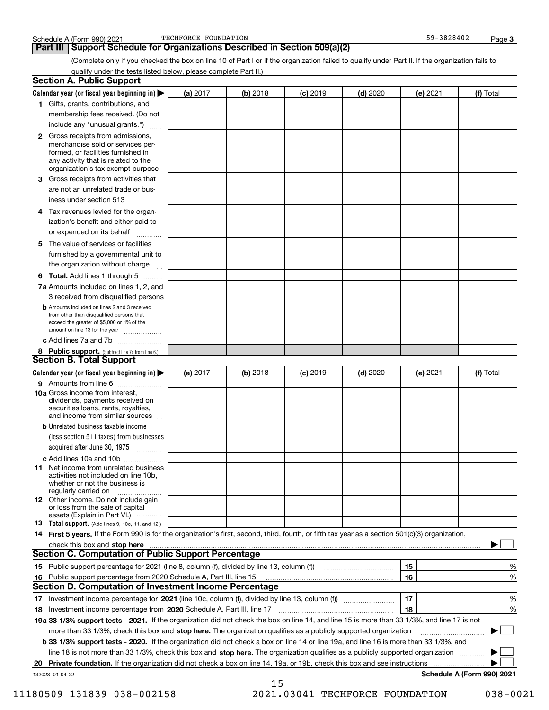### **Part III Support Schedule for Organizations Described in Section 509(a)(2)**

(Complete only if you checked the box on line 10 of Part I or if the organization failed to qualify under Part II. If the organization fails to qualify under the tests listed below, please complete Part II.)

| <b>Section A. Public Support</b>                                                                                                                                                                                               |            |          |            |            |          |                            |
|--------------------------------------------------------------------------------------------------------------------------------------------------------------------------------------------------------------------------------|------------|----------|------------|------------|----------|----------------------------|
| Calendar year (or fiscal year beginning in) $\blacktriangleright$                                                                                                                                                              | (a) 2017   | (b) 2018 | $(c)$ 2019 | $(d)$ 2020 | (e) 2021 | (f) Total                  |
| 1 Gifts, grants, contributions, and                                                                                                                                                                                            |            |          |            |            |          |                            |
| membership fees received. (Do not                                                                                                                                                                                              |            |          |            |            |          |                            |
| include any "unusual grants.")                                                                                                                                                                                                 |            |          |            |            |          |                            |
| 2 Gross receipts from admissions,<br>merchandise sold or services per-<br>formed, or facilities furnished in<br>any activity that is related to the<br>organization's tax-exempt purpose                                       |            |          |            |            |          |                            |
| 3 Gross receipts from activities that                                                                                                                                                                                          |            |          |            |            |          |                            |
| are not an unrelated trade or bus-<br>iness under section 513                                                                                                                                                                  |            |          |            |            |          |                            |
| 4 Tax revenues levied for the organ-                                                                                                                                                                                           |            |          |            |            |          |                            |
| ization's benefit and either paid to<br>or expended on its behalf<br>.                                                                                                                                                         |            |          |            |            |          |                            |
| 5 The value of services or facilities<br>furnished by a governmental unit to                                                                                                                                                   |            |          |            |            |          |                            |
| the organization without charge                                                                                                                                                                                                |            |          |            |            |          |                            |
| <b>6 Total.</b> Add lines 1 through 5                                                                                                                                                                                          |            |          |            |            |          |                            |
| 7a Amounts included on lines 1, 2, and<br>3 received from disqualified persons                                                                                                                                                 |            |          |            |            |          |                            |
| <b>b</b> Amounts included on lines 2 and 3 received<br>from other than disqualified persons that<br>exceed the greater of \$5,000 or 1% of the<br>amount on line 13 for the year                                               |            |          |            |            |          |                            |
| c Add lines 7a and 7b                                                                                                                                                                                                          |            |          |            |            |          |                            |
| 8 Public support. (Subtract line 7c from line 6.)<br><b>Section B. Total Support</b>                                                                                                                                           |            |          |            |            |          |                            |
| Calendar year (or fiscal year beginning in) $\blacktriangleright$                                                                                                                                                              | (a) $2017$ | (b) 2018 | $(c)$ 2019 | $(d)$ 2020 | (e) 2021 | (f) Total                  |
| 9 Amounts from line 6                                                                                                                                                                                                          |            |          |            |            |          |                            |
| 10a Gross income from interest,<br>dividends, payments received on<br>securities loans, rents, royalties,<br>and income from similar sources                                                                                   |            |          |            |            |          |                            |
| <b>b</b> Unrelated business taxable income                                                                                                                                                                                     |            |          |            |            |          |                            |
| (less section 511 taxes) from businesses<br>acquired after June 30, 1975<br>1.1.1.1.1.1.1.1.1.1                                                                                                                                |            |          |            |            |          |                            |
| c Add lines 10a and 10b                                                                                                                                                                                                        |            |          |            |            |          |                            |
| <b>11</b> Net income from unrelated business<br>activities not included on line 10b.<br>whether or not the business is<br>regularly carried on                                                                                 |            |          |            |            |          |                            |
| <b>12</b> Other income. Do not include gain<br>or loss from the sale of capital<br>assets (Explain in Part VI.)                                                                                                                |            |          |            |            |          |                            |
| <b>13</b> Total support. (Add lines 9, 10c, 11, and 12.)                                                                                                                                                                       |            |          |            |            |          |                            |
| 14 First 5 years. If the Form 990 is for the organization's first, second, third, fourth, or fifth tax year as a section 501(c)(3) organization,                                                                               |            |          |            |            |          |                            |
| check this box and stop here manufactured and control to the state of the state of the state of the state of the state of the state of the state of the state of the state of the state of the state of the state of the state |            |          |            |            |          |                            |
| <b>Section C. Computation of Public Support Percentage</b>                                                                                                                                                                     |            |          |            |            |          |                            |
|                                                                                                                                                                                                                                |            |          |            |            | 15       | %                          |
| 16 Public support percentage from 2020 Schedule A, Part III, line 15<br><b>Section D. Computation of Investment Income Percentage</b>                                                                                          |            |          |            |            | 16       | %                          |
|                                                                                                                                                                                                                                |            |          |            |            |          |                            |
| 17 Investment income percentage for 2021 (line 10c, column (f), divided by line 13, column (f))<br>18 Investment income percentage from 2020 Schedule A, Part III, line 17                                                     |            |          |            |            | 17<br>18 | %<br>%                     |
| 19a 33 1/3% support tests - 2021. If the organization did not check the box on line 14, and line 15 is more than 33 1/3%, and line 17 is not                                                                                   |            |          |            |            |          |                            |
| more than 33 1/3%, check this box and stop here. The organization qualifies as a publicly supported organization                                                                                                               |            |          |            |            |          |                            |
| b 33 1/3% support tests - 2020. If the organization did not check a box on line 14 or line 19a, and line 16 is more than 33 1/3%, and                                                                                          |            |          |            |            |          |                            |
| line 18 is not more than 33 1/3%, check this box and stop here. The organization qualifies as a publicly supported organization                                                                                                |            |          |            |            |          |                            |
| 20 Private foundation. If the organization did not check a box on line 14, 19a, or 19b, check this box and see instructions                                                                                                    |            |          |            |            |          |                            |
| 132023 01-04-22                                                                                                                                                                                                                |            |          |            |            |          | Schedule A (Form 990) 2021 |
|                                                                                                                                                                                                                                |            | 15       |            |            |          |                            |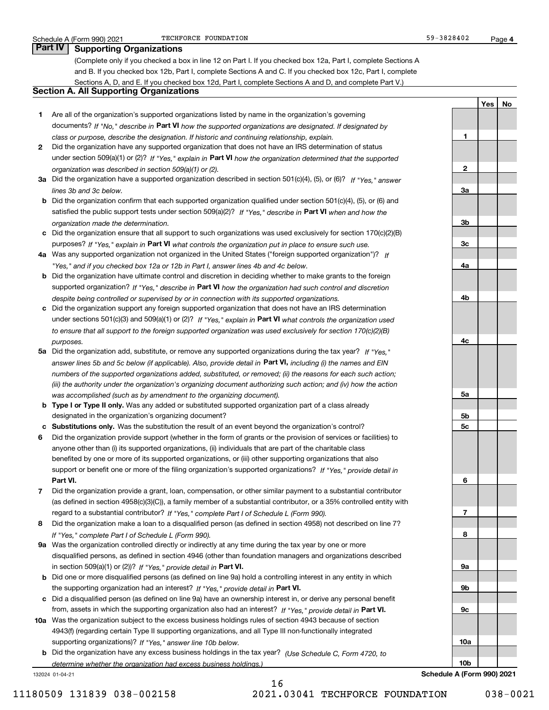**1**

**2**

**3a**

**3b**

**3c**

**4a**

**4b**

**4c**

**5a**

**5b5c**

**6**

**7**

**8**

**9a**

**9b**

**9c**

**10a**

**YesNo**

### **Part IV Supporting Organizations**

(Complete only if you checked a box in line 12 on Part I. If you checked box 12a, Part I, complete Sections A and B. If you checked box 12b, Part I, complete Sections A and C. If you checked box 12c, Part I, complete Sections A, D, and E. If you checked box 12d, Part I, complete Sections A and D, and complete Part V.)

### **Section A. All Supporting Organizations**

- **1** Are all of the organization's supported organizations listed by name in the organization's governing documents? If "No," describe in **Part VI** how the supported organizations are designated. If designated by *class or purpose, describe the designation. If historic and continuing relationship, explain.*
- **2** Did the organization have any supported organization that does not have an IRS determination of status under section 509(a)(1) or (2)? If "Yes," explain in Part VI how the organization determined that the supported *organization was described in section 509(a)(1) or (2).*
- **3a** Did the organization have a supported organization described in section 501(c)(4), (5), or (6)? If "Yes," answer *lines 3b and 3c below.*
- **b** Did the organization confirm that each supported organization qualified under section 501(c)(4), (5), or (6) and satisfied the public support tests under section 509(a)(2)? If "Yes," describe in **Part VI** when and how the *organization made the determination.*
- **c**Did the organization ensure that all support to such organizations was used exclusively for section 170(c)(2)(B) purposes? If "Yes," explain in **Part VI** what controls the organization put in place to ensure such use.
- **4a***If* Was any supported organization not organized in the United States ("foreign supported organization")? *"Yes," and if you checked box 12a or 12b in Part I, answer lines 4b and 4c below.*
- **b** Did the organization have ultimate control and discretion in deciding whether to make grants to the foreign supported organization? If "Yes," describe in **Part VI** how the organization had such control and discretion *despite being controlled or supervised by or in connection with its supported organizations.*
- **c** Did the organization support any foreign supported organization that does not have an IRS determination under sections 501(c)(3) and 509(a)(1) or (2)? If "Yes," explain in **Part VI** what controls the organization used *to ensure that all support to the foreign supported organization was used exclusively for section 170(c)(2)(B) purposes.*
- **5a** Did the organization add, substitute, or remove any supported organizations during the tax year? If "Yes," answer lines 5b and 5c below (if applicable). Also, provide detail in **Part VI,** including (i) the names and EIN *numbers of the supported organizations added, substituted, or removed; (ii) the reasons for each such action; (iii) the authority under the organization's organizing document authorizing such action; and (iv) how the action was accomplished (such as by amendment to the organizing document).*
- **b** Type I or Type II only. Was any added or substituted supported organization part of a class already designated in the organization's organizing document?
- **cSubstitutions only.**  Was the substitution the result of an event beyond the organization's control?
- **6** Did the organization provide support (whether in the form of grants or the provision of services or facilities) to **Part VI.** *If "Yes," provide detail in* support or benefit one or more of the filing organization's supported organizations? anyone other than (i) its supported organizations, (ii) individuals that are part of the charitable class benefited by one or more of its supported organizations, or (iii) other supporting organizations that also
- **7**Did the organization provide a grant, loan, compensation, or other similar payment to a substantial contributor *If "Yes," complete Part I of Schedule L (Form 990).* regard to a substantial contributor? (as defined in section 4958(c)(3)(C)), a family member of a substantial contributor, or a 35% controlled entity with
- **8** Did the organization make a loan to a disqualified person (as defined in section 4958) not described on line 7? *If "Yes," complete Part I of Schedule L (Form 990).*
- **9a** Was the organization controlled directly or indirectly at any time during the tax year by one or more in section 509(a)(1) or (2))? If "Yes," *provide detail in* <code>Part VI.</code> disqualified persons, as defined in section 4946 (other than foundation managers and organizations described
- **b**the supporting organization had an interest? If "Yes," provide detail in P**art VI**. Did one or more disqualified persons (as defined on line 9a) hold a controlling interest in any entity in which
- **c**Did a disqualified person (as defined on line 9a) have an ownership interest in, or derive any personal benefit from, assets in which the supporting organization also had an interest? If "Yes," provide detail in P**art VI.**
- **10a** Was the organization subject to the excess business holdings rules of section 4943 because of section supporting organizations)? If "Yes," answer line 10b below. 4943(f) (regarding certain Type II supporting organizations, and all Type III non-functionally integrated
- **b** Did the organization have any excess business holdings in the tax year? (Use Schedule C, Form 4720, to *determine whether the organization had excess business holdings.)*

132024 01-04-21

**10bSchedule A (Form 990) 2021**

16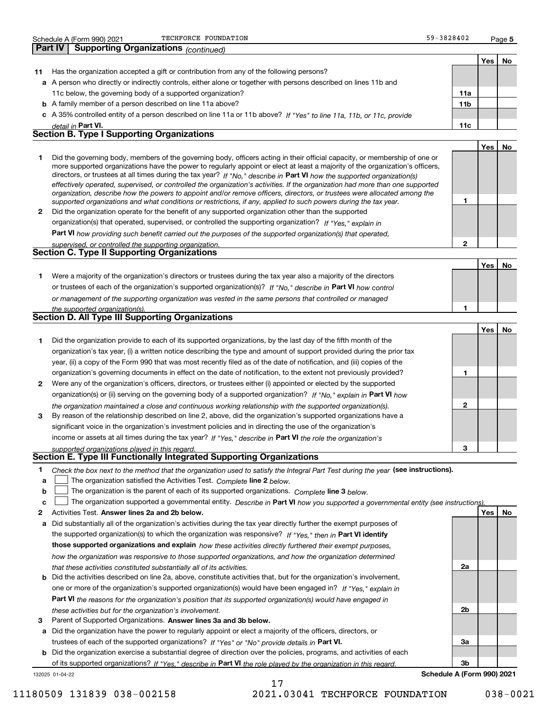| <b>Schedu</b><br>dule | റററ<br>.orr<br>(F<br>770<br>יווט | ∙מ∩מ<br>$\sim$ | FOUNDATION<br><b>TECHFORCT</b><br>. | $\mathbf{1}$ $\mathbf{A}$ $\mathbf{A}$<br>$\sim$<br>. u<br><u>04 U Z</u> | <sup>∪</sup> aαe |
|-----------------------|----------------------------------|----------------|-------------------------------------|--------------------------------------------------------------------------|------------------|
|                       |                                  |                |                                     |                                                                          |                  |

**5**59-3828402

**Yes No 11** Has the organization accepted a gift or contribution from any of the following persons? **a**A person who directly or indirectly controls, either alone or together with persons described on lines 11b and **b** A family member of a person described on line 11a above? **c** A 35% controlled entity of a person described on line 11a or 11b above? If "Yes" to line 11a, 11b, or 11c, provide **11a11bPart VI. 11c** *detail in*  11c below, the governing body of a supported organization? **Part IV Supporting Organizations** *(continued)* **Section B. Type I Supporting Organizations**

|  |                                                                                                                                                                                                                                                                                                                                                                                                                                                                                                                                                                                                                                                      |  | Yes | No |  |
|--|------------------------------------------------------------------------------------------------------------------------------------------------------------------------------------------------------------------------------------------------------------------------------------------------------------------------------------------------------------------------------------------------------------------------------------------------------------------------------------------------------------------------------------------------------------------------------------------------------------------------------------------------------|--|-----|----|--|
|  | Did the governing body, members of the governing body, officers acting in their official capacity, or membership of one or<br>more supported organizations have the power to regularly appoint or elect at least a majority of the organization's officers,<br>directors, or trustees at all times during the tax year? If "No," describe in Part VI how the supported organization(s)<br>effectively operated, supervised, or controlled the organization's activities. If the organization had more than one supported<br>organization, describe how the powers to appoint and/or remove officers, directors, or trustees were allocated among the |  |     |    |  |
|  | supported organizations and what conditions or restrictions, if any, applied to such powers during the tax year.                                                                                                                                                                                                                                                                                                                                                                                                                                                                                                                                     |  |     |    |  |
|  | Did the organization operate for the benefit of any supported organization other than the supported                                                                                                                                                                                                                                                                                                                                                                                                                                                                                                                                                  |  |     |    |  |
|  | organization(s) that operated, supervised, or controlled the supporting organization? If "Yes," explain in                                                                                                                                                                                                                                                                                                                                                                                                                                                                                                                                           |  |     |    |  |
|  | Part VI how providing such benefit carried out the purposes of the supported organization(s) that operated,                                                                                                                                                                                                                                                                                                                                                                                                                                                                                                                                          |  |     |    |  |
|  | supervised, or controlled the supporting organization.                                                                                                                                                                                                                                                                                                                                                                                                                                                                                                                                                                                               |  |     |    |  |
|  | <b>Section C. Type II Supporting Organizations</b>                                                                                                                                                                                                                                                                                                                                                                                                                                                                                                                                                                                                   |  |     |    |  |

|                                                         |                                                                                                                  |  | Yes |  |  |  |  |
|---------------------------------------------------------|------------------------------------------------------------------------------------------------------------------|--|-----|--|--|--|--|
|                                                         | Were a majority of the organization's directors or trustees during the tax year also a majority of the directors |  |     |  |  |  |  |
|                                                         | or trustees of each of the organization's supported organization(s)? If "No," describe in Part VI how control    |  |     |  |  |  |  |
|                                                         | or management of the supporting organization was vested in the same persons that controlled or managed           |  |     |  |  |  |  |
|                                                         | the supported organization(s).                                                                                   |  |     |  |  |  |  |
| <b>Section D. All Type III Supporting Organizations</b> |                                                                                                                  |  |     |  |  |  |  |

|              |                                                                                                                        |   | Yes l | No |
|--------------|------------------------------------------------------------------------------------------------------------------------|---|-------|----|
|              | Did the organization provide to each of its supported organizations, by the last day of the fifth month of the         |   |       |    |
|              | organization's tax year, (i) a written notice describing the type and amount of support provided during the prior tax  |   |       |    |
|              | year, (ii) a copy of the Form 990 that was most recently filed as of the date of notification, and (iii) copies of the |   |       |    |
|              | organization's governing documents in effect on the date of notification, to the extent not previously provided?       |   |       |    |
| $\mathbf{2}$ | Were any of the organization's officers, directors, or trustees either (i) appointed or elected by the supported       |   |       |    |
|              | organization(s) or (ii) serving on the governing body of a supported organization? If "No," explain in Part VI how     |   |       |    |
|              | the organization maintained a close and continuous working relationship with the supported organization(s).            | 2 |       |    |
| 3            | By reason of the relationship described on line 2, above, did the organization's supported organizations have a        |   |       |    |
|              | significant voice in the organization's investment policies and in directing the use of the organization's             |   |       |    |
|              | income or assets at all times during the tax year? If "Yes," describe in Part VI the role the organization's           |   |       |    |
|              | supported organizations played in this regard                                                                          | 3 |       |    |

# *supported organizations played in this regard.* **Section E. Type III Functionally Integrated Supporting Organizations**

|  | Check the box next to the method that the organization used to satisfy the Integral Part Test during the year (see instructions). |  |  |  |
|--|-----------------------------------------------------------------------------------------------------------------------------------|--|--|--|
|--|-----------------------------------------------------------------------------------------------------------------------------------|--|--|--|

- **a**The organization satisfied the Activities Test. *Complete* line 2 below.  $\mathcal{L}^{\text{max}}$
- **b**The organization is the parent of each of its supported organizations. *Complete* line 3 *below.*  $\mathcal{L}^{\text{max}}$

|  |  | <b>c</b> $\Box$ The organization supported a governmental entity. Describe in Part VI how you supported a governmental entity (see instructions). |  |  |  |  |  |  |  |  |
|--|--|---------------------------------------------------------------------------------------------------------------------------------------------------|--|--|--|--|--|--|--|--|
|--|--|---------------------------------------------------------------------------------------------------------------------------------------------------|--|--|--|--|--|--|--|--|

17

- **2Answer lines 2a and 2b below. Yes No** Activities Test.
- **a** Did substantially all of the organization's activities during the tax year directly further the exempt purposes of the supported organization(s) to which the organization was responsive? If "Yes," then in **Part VI identify those supported organizations and explain**  *how these activities directly furthered their exempt purposes, how the organization was responsive to those supported organizations, and how the organization determined that these activities constituted substantially all of its activities.*
- **b** Did the activities described on line 2a, above, constitute activities that, but for the organization's involvement, **Part VI**  *the reasons for the organization's position that its supported organization(s) would have engaged in* one or more of the organization's supported organization(s) would have been engaged in? If "Yes," e*xplain in these activities but for the organization's involvement.*
- **3** Parent of Supported Organizations. Answer lines 3a and 3b below.
- **a** Did the organization have the power to regularly appoint or elect a majority of the officers, directors, or trustees of each of the supported organizations? If "Yes" or "No" provide details in **Part VI.**

132025 01-04-22 **b** Did the organization exercise a substantial degree of direction over the policies, programs, and activities of each of its supported organizations? If "Yes," describe in Part VI the role played by the organization in this regard.

**3bSchedule A (Form 990) 2021**

**2a**

**2b**

**3a**

11180509 131839 038-002158 2021.03041 TECHFORCE FOUNDATION 038-0021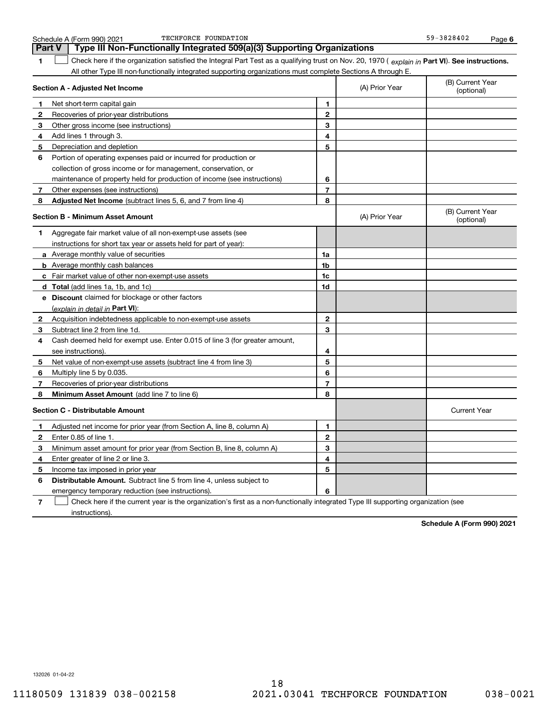|    | TECHFORCE FOUNDATION<br>Schedule A (Form 990) 2021                                                                                             |                |                | 59-3828402                     | Page 6 |
|----|------------------------------------------------------------------------------------------------------------------------------------------------|----------------|----------------|--------------------------------|--------|
|    | Type III Non-Functionally Integrated 509(a)(3) Supporting Organizations<br>Part V                                                              |                |                |                                |        |
| 1  | Check here if the organization satisfied the Integral Part Test as a qualifying trust on Nov. 20, 1970 (explain in Part VI). See instructions. |                |                |                                |        |
|    | All other Type III non-functionally integrated supporting organizations must complete Sections A through E.                                    |                |                |                                |        |
|    | Section A - Adjusted Net Income                                                                                                                |                | (A) Prior Year | (B) Current Year<br>(optional) |        |
| п. | Net short-term capital gain                                                                                                                    | 1              |                |                                |        |
| 2  | Recoveries of prior-year distributions                                                                                                         | $\overline{2}$ |                |                                |        |
| З. | Other gross income (see instructions)                                                                                                          | 3              |                |                                |        |
| 4  | Add lines 1 through 3.                                                                                                                         | 4              |                |                                |        |
| 5. | Depreciation and depletion                                                                                                                     | 5              |                |                                |        |
| 6  | Portion of operating expenses paid or incurred for production or                                                                               |                |                |                                |        |
|    | collection of gross income or for management, conservation, or                                                                                 |                |                |                                |        |
|    | maintenance of property held for production of income (see instructions)                                                                       | 6              |                |                                |        |
|    | Other expenses (see instructions)                                                                                                              | $\overline{7}$ |                |                                |        |
| 8  | Adjusted Net Income (subtract lines 5, 6, and 7 from line 4)                                                                                   | 8              |                |                                |        |
|    | <b>Section B - Minimum Asset Amount</b>                                                                                                        |                | (A) Prior Year | (B) Current Year<br>(optional) |        |
| 1. | Aggregate fair market value of all non-exempt-use assets (see                                                                                  |                |                |                                |        |
|    | instructions for short tax year or assets held for part of year):                                                                              |                |                |                                |        |
|    | a Average monthly value of securities                                                                                                          | 1a             |                |                                |        |
|    | <b>b</b> Average monthly cash balances                                                                                                         | 1b             |                |                                |        |
|    | c Fair market value of other non-exempt-use assets                                                                                             | 1c             |                |                                |        |
|    | d Total (add lines 1a, 1b, and 1c)                                                                                                             | 1d             |                |                                |        |
|    | e Discount claimed for blockage or other factors                                                                                               |                |                |                                |        |
|    | (explain in detail in Part VI):                                                                                                                |                |                |                                |        |
| 2  | Acquisition indebtedness applicable to non-exempt-use assets                                                                                   | $\mathbf{2}$   |                |                                |        |
| З  | Subtract line 2 from line 1d.                                                                                                                  | 3              |                |                                |        |
| 4  | Cash deemed held for exempt use. Enter 0.015 of line 3 (for greater amount,                                                                    |                |                |                                |        |
|    | see instructions).                                                                                                                             | 4              |                |                                |        |
| 5. | Net value of non-exempt-use assets (subtract line 4 from line 3)                                                                               | 5              |                |                                |        |
| 6  | Multiply line 5 by 0.035.                                                                                                                      | 6              |                |                                |        |
|    | Recoveries of prior-year distributions                                                                                                         | $\overline{7}$ |                |                                |        |
| 8  | Minimum Asset Amount (add line 7 to line 6)                                                                                                    | 8              |                |                                |        |
|    | <b>Section C - Distributable Amount</b>                                                                                                        |                |                | <b>Current Year</b>            |        |
|    | Adjusted net income for prior year (from Section A, line 8, column A)                                                                          | 1              |                |                                |        |
|    | Enter 0.85 of line 1.                                                                                                                          | 2              |                |                                |        |
| З. | Minimum asset amount for prior year (from Section B, line 8, column A)                                                                         | 3              |                |                                |        |
|    | Enter greater of line 2 or line 3.                                                                                                             | 4              |                |                                |        |
| 5. | Income tax imposed in prior year                                                                                                               | 5              |                |                                |        |
| 6  | <b>Distributable Amount.</b> Subtract line 5 from line 4, unless subject to                                                                    |                |                |                                |        |
|    | emergency temporary reduction (see instructions).                                                                                              | 6              |                |                                |        |
| 7  | Check here if the current year is the organization's first as a non-functionally integrated Type III supporting organization (see              |                |                |                                |        |

**Schedule A (Form 990) 2021**

132026 01-04-22

instructions).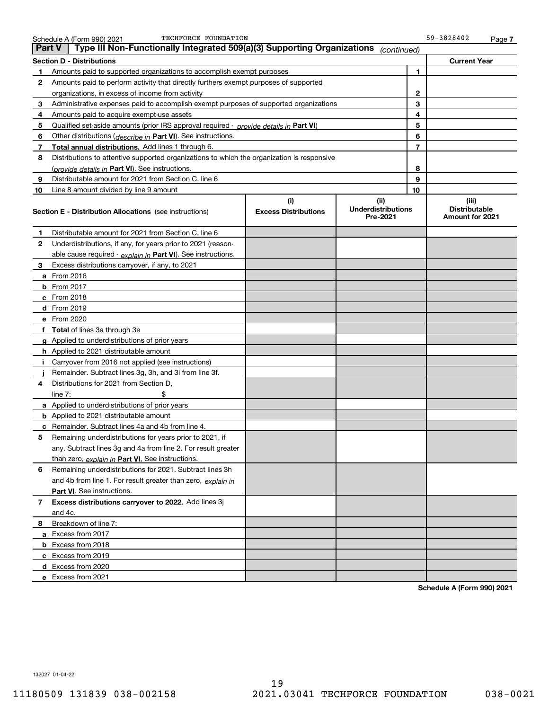| <b>Part V</b> | Type III Non-Functionally Integrated 509(a)(3) Supporting Organizations                    |                                    | (continued)                                   |                |                                                  |
|---------------|--------------------------------------------------------------------------------------------|------------------------------------|-----------------------------------------------|----------------|--------------------------------------------------|
|               | <b>Section D - Distributions</b>                                                           |                                    |                                               |                | <b>Current Year</b>                              |
| 1             | Amounts paid to supported organizations to accomplish exempt purposes                      |                                    |                                               | 1              |                                                  |
| 2             | Amounts paid to perform activity that directly furthers exempt purposes of supported       |                                    |                                               |                |                                                  |
|               | organizations, in excess of income from activity                                           |                                    |                                               | $\mathbf{2}$   |                                                  |
| 3             | Administrative expenses paid to accomplish exempt purposes of supported organizations      |                                    |                                               | 3              |                                                  |
| 4             | Amounts paid to acquire exempt-use assets                                                  |                                    |                                               | 4              |                                                  |
| 5             | Qualified set-aside amounts (prior IRS approval required - provide details in Part VI)     |                                    |                                               | 5              |                                                  |
| 6             | Other distributions ( <i>describe in</i> Part VI). See instructions.                       |                                    |                                               | 6              |                                                  |
| 7             | Total annual distributions. Add lines 1 through 6.                                         |                                    |                                               | $\overline{7}$ |                                                  |
| 8             | Distributions to attentive supported organizations to which the organization is responsive |                                    |                                               |                |                                                  |
|               | (provide details in Part VI). See instructions.                                            |                                    |                                               | 8              |                                                  |
| 9             | Distributable amount for 2021 from Section C, line 6                                       |                                    |                                               | 9              |                                                  |
| 10            | Line 8 amount divided by line 9 amount                                                     |                                    |                                               | 10             |                                                  |
|               | <b>Section E - Distribution Allocations</b> (see instructions)                             | (i)<br><b>Excess Distributions</b> | (ii)<br><b>Underdistributions</b><br>Pre-2021 |                | (iii)<br><b>Distributable</b><br>Amount for 2021 |
| 1             | Distributable amount for 2021 from Section C, line 6                                       |                                    |                                               |                |                                                  |
| 2             | Underdistributions, if any, for years prior to 2021 (reason-                               |                                    |                                               |                |                                                  |
|               | able cause required - explain in Part VI). See instructions.                               |                                    |                                               |                |                                                  |
| 3             | Excess distributions carryover, if any, to 2021                                            |                                    |                                               |                |                                                  |
|               | a From 2016                                                                                |                                    |                                               |                |                                                  |
|               | <b>b</b> From 2017                                                                         |                                    |                                               |                |                                                  |
|               | $c$ From 2018                                                                              |                                    |                                               |                |                                                  |
|               | d From 2019                                                                                |                                    |                                               |                |                                                  |
|               | e From 2020                                                                                |                                    |                                               |                |                                                  |
|               | f Total of lines 3a through 3e                                                             |                                    |                                               |                |                                                  |
|               | g Applied to underdistributions of prior years                                             |                                    |                                               |                |                                                  |
|               | <b>h</b> Applied to 2021 distributable amount                                              |                                    |                                               |                |                                                  |
|               | Carryover from 2016 not applied (see instructions)                                         |                                    |                                               |                |                                                  |
|               | Remainder. Subtract lines 3g, 3h, and 3i from line 3f.                                     |                                    |                                               |                |                                                  |
| 4             | Distributions for 2021 from Section D,                                                     |                                    |                                               |                |                                                  |
|               | line $7:$                                                                                  |                                    |                                               |                |                                                  |
|               | a Applied to underdistributions of prior years                                             |                                    |                                               |                |                                                  |
|               | <b>b</b> Applied to 2021 distributable amount                                              |                                    |                                               |                |                                                  |
|               | c Remainder. Subtract lines 4a and 4b from line 4.                                         |                                    |                                               |                |                                                  |
|               | 5 Remaining underdistributions for years prior to 2021, if                                 |                                    |                                               |                |                                                  |
|               | any. Subtract lines 3g and 4a from line 2. For result greater                              |                                    |                                               |                |                                                  |
|               | than zero, explain in Part VI. See instructions.                                           |                                    |                                               |                |                                                  |
| 6             | Remaining underdistributions for 2021. Subtract lines 3h                                   |                                    |                                               |                |                                                  |
|               | and 4b from line 1. For result greater than zero, explain in                               |                                    |                                               |                |                                                  |
|               | Part VI. See instructions.                                                                 |                                    |                                               |                |                                                  |
| 7             | Excess distributions carryover to 2022. Add lines 3j                                       |                                    |                                               |                |                                                  |
|               | and 4c.                                                                                    |                                    |                                               |                |                                                  |
| 8             | Breakdown of line 7:                                                                       |                                    |                                               |                |                                                  |
|               | a Excess from 2017                                                                         |                                    |                                               |                |                                                  |
|               | <b>b</b> Excess from 2018                                                                  |                                    |                                               |                |                                                  |
|               | c Excess from 2019                                                                         |                                    |                                               |                |                                                  |
|               | d Excess from 2020                                                                         |                                    |                                               |                |                                                  |
|               | e Excess from 2021                                                                         |                                    |                                               |                |                                                  |

**Schedule A (Form 990) 2021**

132027 01-04-22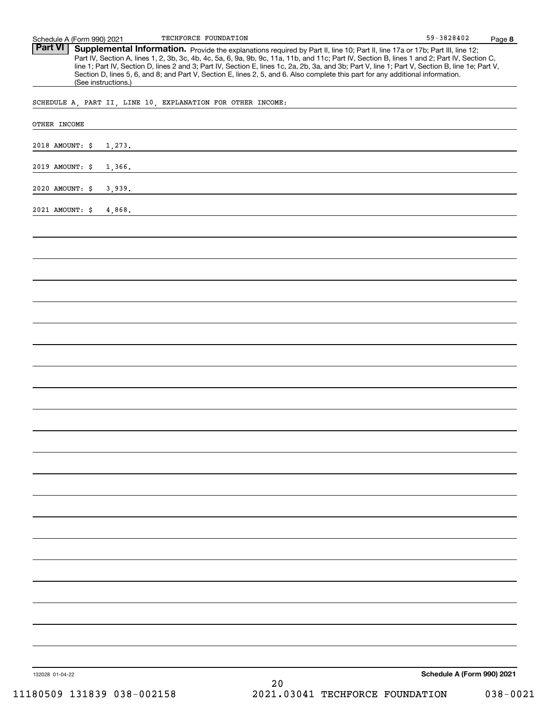Part VI | Supplemental Information. Provide the explanations required by Part II, line 10; Part II, line 17a or 17b; Part III, line 12; Part IV, Section A, lines 1, 2, 3b, 3c, 4b, 4c, 5a, 6, 9a, 9b, 9c, 11a, 11b, and 11c; Part IV, Section B, lines 1 and 2; Part IV, Section C, line 1; Part IV, Section D, lines 2 and 3; Part IV, Section E, lines 1c, 2a, 2b, 3a, and 3b; Part V, line 1; Part V, Section B, line 1e; Part V, Section D, lines 5, 6, and 8; and Part V, Section E, lines 2, 5, and 6. Also complete this part for any additional information. (See instructions.)

SCHEDULE A, PART II, LINE 10, EXPLANATION FOR OTHER INCOME:

| OTHER INCOME    |        |    |                            |
|-----------------|--------|----|----------------------------|
| 2018 AMOUNT: \$ | 1,273. |    |                            |
| 2019 AMOUNT: \$ | 1,366. |    |                            |
| 2020 AMOUNT: \$ | 3,939. |    |                            |
| 2021 AMOUNT: \$ | 4,868. |    |                            |
|                 |        |    |                            |
|                 |        |    |                            |
|                 |        |    |                            |
|                 |        |    |                            |
|                 |        |    |                            |
|                 |        |    |                            |
|                 |        |    |                            |
|                 |        |    |                            |
|                 |        |    |                            |
|                 |        |    |                            |
|                 |        |    |                            |
|                 |        |    |                            |
|                 |        |    |                            |
|                 |        |    |                            |
|                 |        |    |                            |
|                 |        |    |                            |
|                 |        |    |                            |
|                 |        |    |                            |
|                 |        |    |                            |
|                 |        |    |                            |
|                 |        |    |                            |
| 132028 01-04-22 |        | 20 | Schedule A (Form 990) 2021 |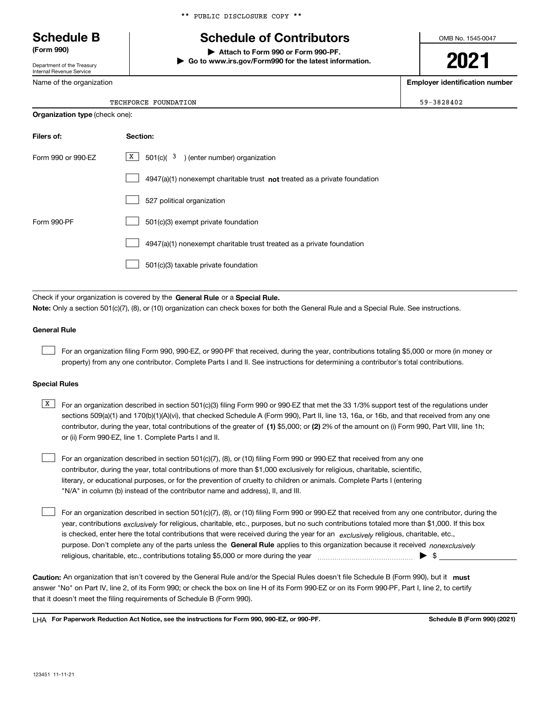### \*\* PUBLIC DISCLOSURE COPY \*\*

# **Schedule B Schedule of Contributors**

**(Form 990) | Attach to Form 990 or Form 990-PF.**

**| Go to www.irs.gov/Form990 for the latest information.**

OMB No. 1545-0047

**2021**

**Employer identification number**

59-3828402

Department of the Treasury Internal Revenue Service

Name of the organization

**Organization type** (check one):

|  | TECHFORCE FOUNDATION |
|--|----------------------|
|--|----------------------|

| Filers of:         | Section:                                                                    |
|--------------------|-----------------------------------------------------------------------------|
| Form 990 or 990-FZ | $X$ 501(c)( 3) (enter number) organization                                  |
|                    | $4947(a)(1)$ nonexempt charitable trust not treated as a private foundation |
|                    | 527 political organization                                                  |
| Form 990-PF        | 501(c)(3) exempt private foundation                                         |
|                    | 4947(a)(1) nonexempt charitable trust treated as a private foundation       |
|                    | 501(c)(3) taxable private foundation                                        |

Check if your organization is covered by the **General Rule** or a **Special Rule. Note:**  Only a section 501(c)(7), (8), or (10) organization can check boxes for both the General Rule and a Special Rule. See instructions.

### **General Rule**

 $\mathcal{L}^{\text{max}}$ 

For an organization filing Form 990, 990-EZ, or 990-PF that received, during the year, contributions totaling \$5,000 or more (in money or property) from any one contributor. Complete Parts I and II. See instructions for determining a contributor's total contributions.

### **Special Rules**

contributor, during the year, total contributions of the greater of (1**)** \$5,000; or (2) 2% of the amount on (i) Form 990, Part VIII, line 1h;  $\overline{X}$  For an organization described in section 501(c)(3) filing Form 990 or 990-EZ that met the 33 1/3% support test of the regulations under sections 509(a)(1) and 170(b)(1)(A)(vi), that checked Schedule A (Form 990), Part II, line 13, 16a, or 16b, and that received from any one or (ii) Form 990-EZ, line 1. Complete Parts I and II.

For an organization described in section 501(c)(7), (8), or (10) filing Form 990 or 990-EZ that received from any one contributor, during the year, total contributions of more than \$1,000 exclusively for religious, charitable, scientific, literary, or educational purposes, or for the prevention of cruelty to children or animals. Complete Parts I (entering "N/A" in column (b) instead of the contributor name and address), II, and III.  $\mathcal{L}^{\text{max}}$ 

purpose. Don't complete any of the parts unless the **General Rule** applies to this organization because it received *nonexclusively* year, contributions <sub>exclusively</sub> for religious, charitable, etc., purposes, but no such contributions totaled more than \$1,000. If this box is checked, enter here the total contributions that were received during the year for an  $\;$ exclusively religious, charitable, etc., For an organization described in section 501(c)(7), (8), or (10) filing Form 990 or 990-EZ that received from any one contributor, during the religious, charitable, etc., contributions totaling \$5,000 or more during the year  $\Box$ — $\Box$   $\Box$  $\mathcal{L}^{\text{max}}$ 

Caution: An organization that isn't covered by the General Rule and/or the Special Rules doesn't file Schedule B (Form 990), but it **must** answer "No" on Part IV, line 2, of its Form 990; or check the box on line H of its Form 990-EZ or on its Form 990-PF, Part I, line 2, to certify that it doesn't meet the filing requirements of Schedule B (Form 990).

LHA For Paperwork Reduction Act Notice, see the instructions for Form 990, 990-EZ, or 990-PF. **In the act and Schedule B** (Form 990) (2021)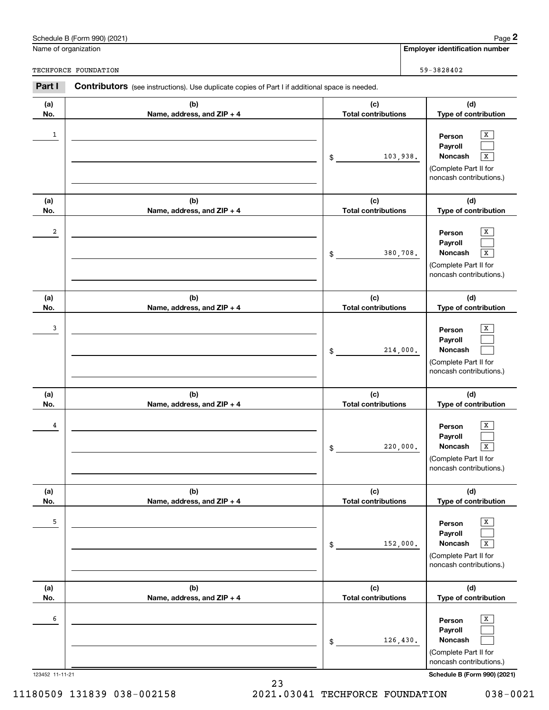| Name of organization | Schedule B (Form 990) (2021)                                                                          |                                   | Page $2$<br><b>Employer identification number</b>                                                                             |
|----------------------|-------------------------------------------------------------------------------------------------------|-----------------------------------|-------------------------------------------------------------------------------------------------------------------------------|
|                      | TECHFORCE FOUNDATION                                                                                  |                                   | 59-3828402                                                                                                                    |
| Part I               | <b>Contributors</b> (see instructions). Use duplicate copies of Part I if additional space is needed. |                                   |                                                                                                                               |
| (a)<br>No.           | (b)<br>Name, address, and ZIP + 4                                                                     | (c)<br><b>Total contributions</b> | (d)<br>Type of contribution                                                                                                   |
| 1                    |                                                                                                       | 103,938.<br>$\mathsf{\$}$         | x<br>Person<br>Payroll<br>Noncash<br>X<br>(Complete Part II for<br>noncash contributions.)                                    |
| (a)<br>No.           | (b)<br>Name, address, and ZIP + 4                                                                     | (c)<br><b>Total contributions</b> | (d)<br>Type of contribution                                                                                                   |
| 2                    |                                                                                                       | 380,708.<br>$\mathsf{\$}$         | x<br>Person<br>Payroll<br>Noncash<br>$\boxed{\text{X}}$<br>(Complete Part II for<br>noncash contributions.)                   |
| (a)<br>No.           | (b)<br>Name, address, and ZIP + 4                                                                     | (c)<br><b>Total contributions</b> | (d)<br>Type of contribution                                                                                                   |
| 3                    |                                                                                                       | 214,000.<br>$\mathsf{\$}$         | x<br>Person<br>Payroll<br>Noncash<br>(Complete Part II for<br>noncash contributions.)                                         |
| (a)<br>No.           | (b)<br>Name, address, and ZIP + 4                                                                     | (c)<br><b>Total contributions</b> | (d)<br>Type of contribution                                                                                                   |
| 4                    |                                                                                                       | 220,000.<br>$$\mathbb{S}$$        | $\overline{X}$<br>Person<br>Payroll<br>$\overline{\mathbf{x}}$<br>Noncash<br>(Complete Part II for<br>noncash contributions.) |
| (a)<br>No.           | (b)<br>Name, address, and ZIP + 4                                                                     | (c)<br><b>Total contributions</b> | (d)<br>Type of contribution                                                                                                   |
| 5                    |                                                                                                       | 152,000.<br>\$                    | X<br>Person<br>Payroll<br><b>Noncash</b><br>$\sqrt{x}$<br>(Complete Part II for<br>noncash contributions.)                    |
| (a)<br>No.           | (b)<br>Name, address, and ZIP + 4                                                                     | (c)<br><b>Total contributions</b> | (d)<br>Type of contribution                                                                                                   |
| 6<br>123452 11-11-21 |                                                                                                       | 126,430.<br>\$                    | x<br>Person<br>Payroll<br>Noncash<br>(Complete Part II for<br>noncash contributions.)<br>Schedule B (Form 990) (2021)         |

23

11180509 131839 038-002158 2021.03041 TECHFORCE FOUNDATION 038-0021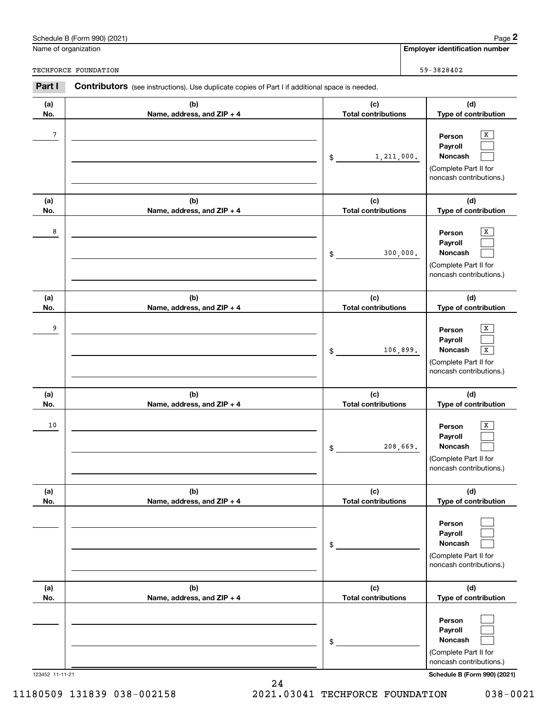|                      | Schedule B (Form 990) (2021)                                                                          |                                   | Page 2                                                                                                                  |
|----------------------|-------------------------------------------------------------------------------------------------------|-----------------------------------|-------------------------------------------------------------------------------------------------------------------------|
| Name of organization |                                                                                                       |                                   | <b>Employer identification number</b>                                                                                   |
|                      | TECHFORCE FOUNDATION                                                                                  |                                   | 59-3828402                                                                                                              |
| Part I               | <b>Contributors</b> (see instructions). Use duplicate copies of Part I if additional space is needed. |                                   |                                                                                                                         |
| (a)<br>No.           | (b)<br>Name, address, and ZIP + 4                                                                     | (c)<br><b>Total contributions</b> | (d)<br>Type of contribution                                                                                             |
| $\overline{7}$       |                                                                                                       | 1, 211, 000.<br>\$                | Х<br>Person<br>Payroll<br>Noncash<br>(Complete Part II for<br>noncash contributions.)                                   |
| (a)<br>No.           | (b)<br>Name, address, and ZIP + 4                                                                     | (c)<br><b>Total contributions</b> | (d)<br>Type of contribution                                                                                             |
| 8                    |                                                                                                       | 300,000.<br>\$                    | x<br>Person<br>Payroll<br>Noncash<br>(Complete Part II for<br>noncash contributions.)                                   |
| (a)<br>No.           | (b)<br>Name, address, and ZIP + 4                                                                     | (c)<br><b>Total contributions</b> | (d)<br>Type of contribution                                                                                             |
| 9                    |                                                                                                       | 106,899.<br>\$                    | Х<br>Person<br>Payroll<br>Noncash<br>$\overline{\mathbf{x}}$<br>(Complete Part II for<br>noncash contributions.)        |
| (a)<br>No.           | (b)<br>Name, address, and ZIP + 4                                                                     | (c)<br><b>Total contributions</b> | (d)<br>Type of contribution                                                                                             |
| 10                   |                                                                                                       | 208,669.<br>\$                    | x<br>Person<br>Payroll<br>Noncash<br>(Complete Part II for<br>noncash contributions.)                                   |
| (a)<br>No.           | (b)<br>Name, address, and ZIP + 4                                                                     | (c)<br><b>Total contributions</b> | (d)<br>Type of contribution                                                                                             |
|                      |                                                                                                       | \$                                | Person<br>Payroll<br>Noncash<br>(Complete Part II for<br>noncash contributions.)                                        |
| (a)<br>No.           | (b)<br>Name, address, and ZIP + 4                                                                     | (c)<br><b>Total contributions</b> | (d)<br>Type of contribution                                                                                             |
|                      | 123452 11-11-21                                                                                       | \$                                | Person<br>Payroll<br>Noncash<br>(Complete Part II for<br>noncash contributions.)<br><b>Schedule B (Form 990) (2021)</b> |

24 11180509 131839 038-002158 2021.03041 TECHFORCE FOUNDATION 038-0021

Schedule B (Form 990) (2021) Page 2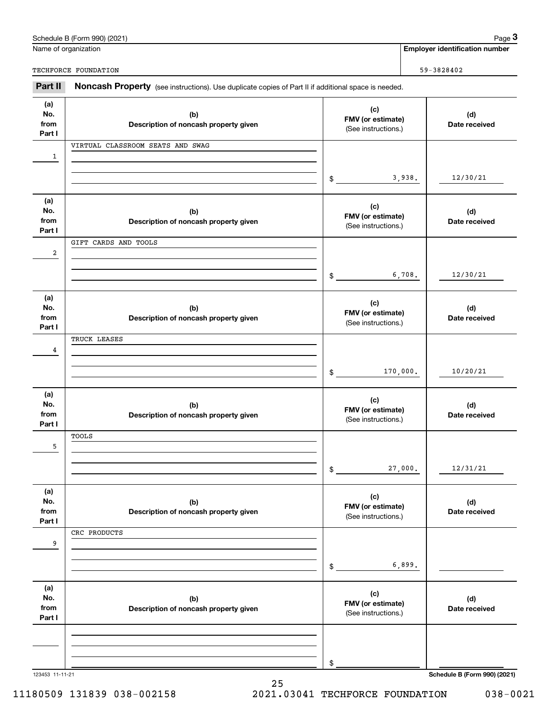|                              | Schedule B (Form 990) (2021)                                                                        |                                                 |          | Page 3                                |
|------------------------------|-----------------------------------------------------------------------------------------------------|-------------------------------------------------|----------|---------------------------------------|
|                              | Name of organization                                                                                |                                                 |          | <b>Employer identification number</b> |
|                              | TECHFORCE FOUNDATION                                                                                |                                                 |          | 59-3828402                            |
| Part II                      | Noncash Property (see instructions). Use duplicate copies of Part II if additional space is needed. |                                                 |          |                                       |
| (a)<br>No.<br>from<br>Part I | (b)<br>Description of noncash property given                                                        | (c)<br>FMV (or estimate)<br>(See instructions.) |          | (d)<br>Date received                  |
| $\mathbf{1}$                 | VIRTUAL CLASSROOM SEATS AND SWAG                                                                    |                                                 |          |                                       |
|                              |                                                                                                     | \$                                              | 3,938.   | 12/30/21                              |
| (a)<br>No.<br>from<br>Part I | (b)<br>Description of noncash property given                                                        | (c)<br>FMV (or estimate)<br>(See instructions.) |          | (d)<br>Date received                  |
| $\overline{\mathbf{c}}$      | GIFT CARDS AND TOOLS                                                                                |                                                 |          |                                       |
|                              |                                                                                                     | \$                                              | 6,708.   | 12/30/21                              |
| (a)<br>No.<br>from<br>Part I | (b)<br>Description of noncash property given                                                        | (c)<br>FMV (or estimate)<br>(See instructions.) |          | (d)<br>Date received                  |
| 4                            | TRUCK LEASES                                                                                        |                                                 |          |                                       |
|                              |                                                                                                     | \$                                              | 170,000. | 10/20/21                              |
| (a)<br>No.<br>from<br>Part I | (b)<br>Description of noncash property given                                                        | (c)<br>FMV (or estimate)<br>(See instructions.) |          | (d)<br>Date received                  |
| 5                            | TOOLS                                                                                               |                                                 |          |                                       |
|                              |                                                                                                     | \$                                              | 27,000.  | 12/31/21                              |
| (a)<br>No.<br>from<br>Part I | (b)<br>Description of noncash property given                                                        | (c)<br>FMV (or estimate)<br>(See instructions.) |          | (d)<br>Date received                  |
| 9                            | CRC PRODUCTS                                                                                        |                                                 |          |                                       |
|                              |                                                                                                     | \$                                              | 6,899.   |                                       |
| (a)<br>No.<br>from<br>Part I | (b)<br>Description of noncash property given                                                        | (c)<br>FMV (or estimate)<br>(See instructions.) |          | (d)<br>Date received                  |
|                              |                                                                                                     |                                                 |          |                                       |
|                              |                                                                                                     | \$                                              |          |                                       |
| 123453 11-11-21              |                                                                                                     |                                                 |          | Schedule B (Form 990) (2021)          |

Schedule B (Form 990) (2021) Page 3

11180509 131839 038-002158 2021.03041 TECHFORCE FOUNDATION 038-0021

25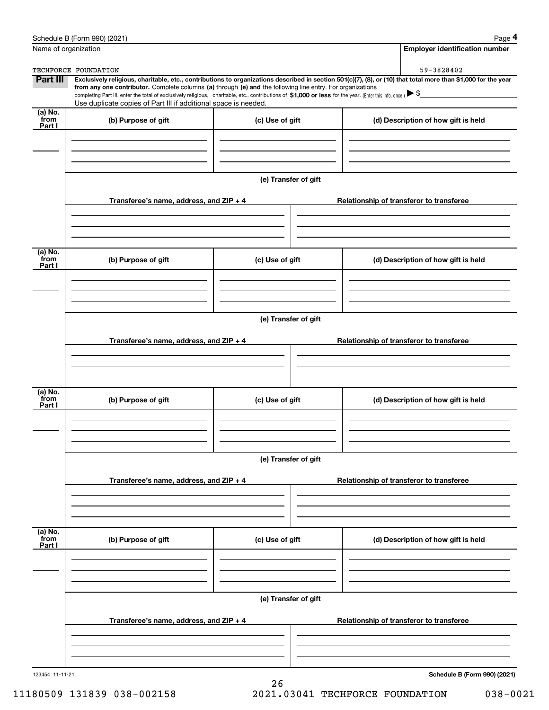|                           | Schedule B (Form 990) (2021)                                                                                                                                                                                                                                                                    |                      | Page 4                                                                                                                                                         |  |  |  |
|---------------------------|-------------------------------------------------------------------------------------------------------------------------------------------------------------------------------------------------------------------------------------------------------------------------------------------------|----------------------|----------------------------------------------------------------------------------------------------------------------------------------------------------------|--|--|--|
| Name of organization      |                                                                                                                                                                                                                                                                                                 |                      | <b>Employer identification number</b>                                                                                                                          |  |  |  |
|                           | TECHFORCE FOUNDATION                                                                                                                                                                                                                                                                            |                      | 59-3828402                                                                                                                                                     |  |  |  |
| Part III                  | from any one contributor. Complete columns (a) through (e) and the following line entry. For organizations<br>completing Part III, enter the total of exclusively religious, charitable, etc., contributions of \$1,000 or less for the year. (Enter this info. once.) $\blacktriangleright$ \$ |                      | Exclusively religious, charitable, etc., contributions to organizations described in section 501(c)(7), (8), or (10) that total more than \$1,000 for the year |  |  |  |
|                           | Use duplicate copies of Part III if additional space is needed.                                                                                                                                                                                                                                 |                      |                                                                                                                                                                |  |  |  |
| (a) No.<br>from           | (b) Purpose of gift                                                                                                                                                                                                                                                                             | (c) Use of gift      | (d) Description of how gift is held                                                                                                                            |  |  |  |
| Part I                    |                                                                                                                                                                                                                                                                                                 |                      |                                                                                                                                                                |  |  |  |
|                           |                                                                                                                                                                                                                                                                                                 | (e) Transfer of gift |                                                                                                                                                                |  |  |  |
|                           | Transferee's name, address, and ZIP + 4                                                                                                                                                                                                                                                         |                      | Relationship of transferor to transferee                                                                                                                       |  |  |  |
| (a) No.<br>from<br>Part I | (b) Purpose of gift                                                                                                                                                                                                                                                                             | (c) Use of gift      | (d) Description of how gift is held                                                                                                                            |  |  |  |
|                           |                                                                                                                                                                                                                                                                                                 |                      |                                                                                                                                                                |  |  |  |
|                           | (e) Transfer of gift                                                                                                                                                                                                                                                                            |                      |                                                                                                                                                                |  |  |  |
|                           | Transferee's name, address, and ZIP + 4                                                                                                                                                                                                                                                         |                      | Relationship of transferor to transferee                                                                                                                       |  |  |  |
| (a) No.<br>from<br>Part I | (b) Purpose of gift                                                                                                                                                                                                                                                                             | (c) Use of gift      | (d) Description of how gift is held                                                                                                                            |  |  |  |
|                           | (e) Transfer of gift                                                                                                                                                                                                                                                                            |                      |                                                                                                                                                                |  |  |  |
|                           | Transferee's name, address, and $ZIP + 4$                                                                                                                                                                                                                                                       |                      | Relationship of transferor to transferee                                                                                                                       |  |  |  |
|                           |                                                                                                                                                                                                                                                                                                 |                      |                                                                                                                                                                |  |  |  |
| (a) No.<br>from<br>Part I | (b) Purpose of gift                                                                                                                                                                                                                                                                             | (c) Use of gift      | (d) Description of how gift is held                                                                                                                            |  |  |  |
|                           |                                                                                                                                                                                                                                                                                                 |                      |                                                                                                                                                                |  |  |  |
|                           |                                                                                                                                                                                                                                                                                                 | (e) Transfer of gift |                                                                                                                                                                |  |  |  |
|                           | Transferee's name, address, and ZIP + 4                                                                                                                                                                                                                                                         |                      | Relationship of transferor to transferee                                                                                                                       |  |  |  |
|                           |                                                                                                                                                                                                                                                                                                 |                      |                                                                                                                                                                |  |  |  |

**Schedule B (Form 990) (2021)**

26 11180509 131839 038-002158 2021.03041 TECHFORCE FOUNDATION 038-0021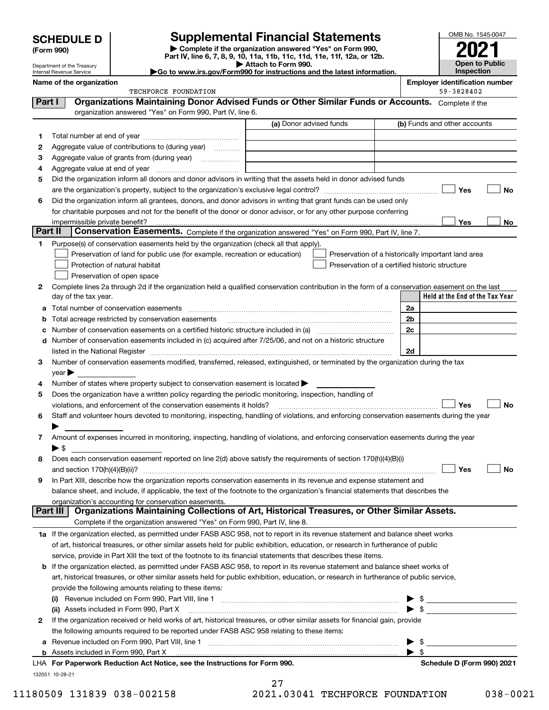Department of the Treasury Internal Revenue Service

| (Form 990) |  |
|------------|--|
|------------|--|

# **Supplemental Financial Statements**

**| Complete if the organization answered "Yes" on Form 990, Part IV, line 6, 7, 8, 9, 10, 11a, 11b, 11c, 11d, 11e, 11f, 12a, or 12b. | Attach to Form 990.** OMB No. 1545-0047 **Open to Public Inspection2021**

|  |  | Go to www.irs.gov/Form990 for instructions and the latest information. |  |  |
|--|--|------------------------------------------------------------------------|--|--|
|  |  |                                                                        |  |  |

|          | Name of the organization                                                                                                                                                                                         |                         | <b>Employer identification number</b>              |
|----------|------------------------------------------------------------------------------------------------------------------------------------------------------------------------------------------------------------------|-------------------------|----------------------------------------------------|
|          | TECHFORCE FOUNDATION                                                                                                                                                                                             |                         | 59-3828402                                         |
| Part I   | Organizations Maintaining Donor Advised Funds or Other Similar Funds or Accounts. Complete if the                                                                                                                |                         |                                                    |
|          | organization answered "Yes" on Form 990, Part IV, line 6.                                                                                                                                                        |                         |                                                    |
|          |                                                                                                                                                                                                                  | (a) Donor advised funds | (b) Funds and other accounts                       |
| 1        |                                                                                                                                                                                                                  |                         |                                                    |
| 2        | Aggregate value of contributions to (during year)                                                                                                                                                                |                         |                                                    |
| з        |                                                                                                                                                                                                                  |                         |                                                    |
| 4        |                                                                                                                                                                                                                  |                         |                                                    |
| 5        | Did the organization inform all donors and donor advisors in writing that the assets held in donor advised funds                                                                                                 |                         |                                                    |
|          |                                                                                                                                                                                                                  |                         | Yes<br>No                                          |
| 6        | Did the organization inform all grantees, donors, and donor advisors in writing that grant funds can be used only                                                                                                |                         |                                                    |
|          | for charitable purposes and not for the benefit of the donor or donor advisor, or for any other purpose conferring                                                                                               |                         |                                                    |
| Part II  |                                                                                                                                                                                                                  |                         | Yes<br>No                                          |
|          | Conservation Easements. Complete if the organization answered "Yes" on Form 990, Part IV, line 7.                                                                                                                |                         |                                                    |
| 1        | Purpose(s) of conservation easements held by the organization (check all that apply).                                                                                                                            |                         |                                                    |
|          | Preservation of land for public use (for example, recreation or education)                                                                                                                                       |                         | Preservation of a historically important land area |
|          | Protection of natural habitat                                                                                                                                                                                    |                         | Preservation of a certified historic structure     |
|          | Preservation of open space                                                                                                                                                                                       |                         |                                                    |
| 2        | Complete lines 2a through 2d if the organization held a qualified conservation contribution in the form of a conservation easement on the last                                                                   |                         | Held at the End of the Tax Year                    |
|          | day of the tax year.                                                                                                                                                                                             |                         |                                                    |
| а        | Total number of conservation easements                                                                                                                                                                           |                         | 2a                                                 |
| b        | Total acreage restricted by conservation easements                                                                                                                                                               |                         | 2 <sub>b</sub>                                     |
| с        |                                                                                                                                                                                                                  |                         | 2c                                                 |
| d        | Number of conservation easements included in (c) acquired after 7/25/06, and not on a historic structure                                                                                                         |                         |                                                    |
|          |                                                                                                                                                                                                                  |                         | 2d                                                 |
| 3        | Number of conservation easements modified, transferred, released, extinguished, or terminated by the organization during the tax                                                                                 |                         |                                                    |
|          | $year \blacktriangleright$                                                                                                                                                                                       |                         |                                                    |
| 4        | Number of states where property subject to conservation easement is located >                                                                                                                                    |                         |                                                    |
| 5        | Does the organization have a written policy regarding the periodic monitoring, inspection, handling of                                                                                                           |                         | Yes<br>No                                          |
| 6        | violations, and enforcement of the conservation easements it holds?<br>Staff and volunteer hours devoted to monitoring, inspecting, handling of violations, and enforcing conservation easements during the year |                         |                                                    |
|          |                                                                                                                                                                                                                  |                         |                                                    |
| 7        | Amount of expenses incurred in monitoring, inspecting, handling of violations, and enforcing conservation easements during the year                                                                              |                         |                                                    |
|          | $\blacktriangleright$ s                                                                                                                                                                                          |                         |                                                    |
| 8        | Does each conservation easement reported on line 2(d) above satisfy the requirements of section 170(h)(4)(B)(i)                                                                                                  |                         |                                                    |
|          |                                                                                                                                                                                                                  |                         | Yes<br>No                                          |
|          | In Part XIII, describe how the organization reports conservation easements in its revenue and expense statement and                                                                                              |                         |                                                    |
|          | balance sheet, and include, if applicable, the text of the footnote to the organization's financial statements that describes the                                                                                |                         |                                                    |
|          | organization's accounting for conservation easements.                                                                                                                                                            |                         |                                                    |
| Part III | Organizations Maintaining Collections of Art, Historical Treasures, or Other Similar Assets.                                                                                                                     |                         |                                                    |
|          | Complete if the organization answered "Yes" on Form 990, Part IV, line 8.                                                                                                                                        |                         |                                                    |
|          | 1a If the organization elected, as permitted under FASB ASC 958, not to report in its revenue statement and balance sheet works                                                                                  |                         |                                                    |
|          | of art, historical treasures, or other similar assets held for public exhibition, education, or research in furtherance of public                                                                                |                         |                                                    |
|          | service, provide in Part XIII the text of the footnote to its financial statements that describes these items.                                                                                                   |                         |                                                    |
| b        | If the organization elected, as permitted under FASB ASC 958, to report in its revenue statement and balance sheet works of                                                                                      |                         |                                                    |
|          | art, historical treasures, or other similar assets held for public exhibition, education, or research in furtherance of public service,                                                                          |                         |                                                    |
|          | provide the following amounts relating to these items:                                                                                                                                                           |                         |                                                    |
|          | $\left( 1\right)$                                                                                                                                                                                                |                         | \$                                                 |
|          | (ii) Assets included in Form 990, Part X                                                                                                                                                                         |                         | $\blacktriangleright$ \$                           |
| 2        | If the organization received or held works of art, historical treasures, or other similar assets for financial gain, provide                                                                                     |                         |                                                    |
|          | the following amounts required to be reported under FASB ASC 958 relating to these items:                                                                                                                        |                         |                                                    |
| а        | Revenue included on Form 990, Part VIII, line 1 manufactured contracts and contracts and contracts and contracts                                                                                                 |                         | \$                                                 |
|          |                                                                                                                                                                                                                  |                         | $\blacktriangleright$ s                            |
|          | LHA For Paperwork Reduction Act Notice, see the Instructions for Form 990.                                                                                                                                       |                         | Schedule D (Form 990) 2021                         |
|          | 132051 10-28-21                                                                                                                                                                                                  |                         |                                                    |

| 27 |                     |  |
|----|---------------------|--|
|    | <u>ን1 በ3በ11 መኮሮ</u> |  |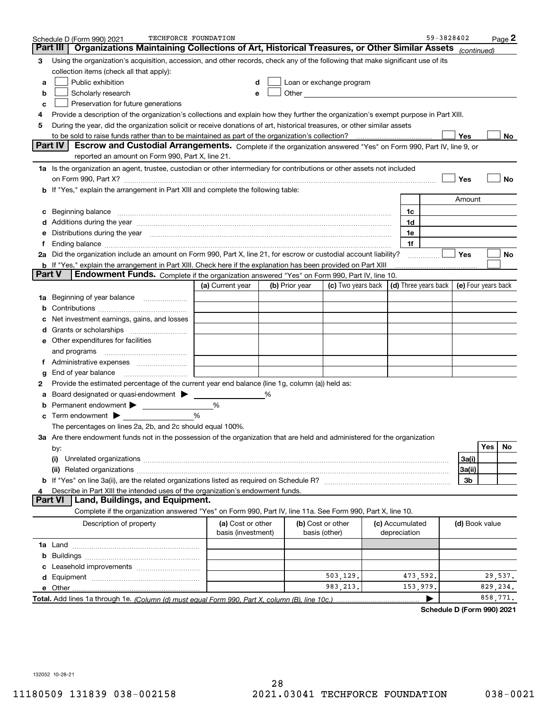|               | TECHFORCE FOUNDATION<br>Schedule D (Form 990) 2021                                                                                                                                                                             |                                         |                |                                    |                          |                                 | 59-3828402           |                     |          | $Page$ 2 |
|---------------|--------------------------------------------------------------------------------------------------------------------------------------------------------------------------------------------------------------------------------|-----------------------------------------|----------------|------------------------------------|--------------------------|---------------------------------|----------------------|---------------------|----------|----------|
|               | Organizations Maintaining Collections of Art, Historical Treasures, or Other Similar Assets (continued)<br>Part III                                                                                                            |                                         |                |                                    |                          |                                 |                      |                     |          |          |
| 3             | Using the organization's acquisition, accession, and other records, check any of the following that make significant use of its                                                                                                |                                         |                |                                    |                          |                                 |                      |                     |          |          |
|               | collection items (check all that apply):                                                                                                                                                                                       |                                         |                |                                    |                          |                                 |                      |                     |          |          |
| а             | Public exhibition                                                                                                                                                                                                              | d                                       |                |                                    | Loan or exchange program |                                 |                      |                     |          |          |
| b             | Scholarly research                                                                                                                                                                                                             | е                                       |                |                                    |                          |                                 |                      |                     |          |          |
| с             | Preservation for future generations                                                                                                                                                                                            |                                         |                |                                    |                          |                                 |                      |                     |          |          |
| 4             | Provide a description of the organization's collections and explain how they further the organization's exempt purpose in Part XIII.                                                                                           |                                         |                |                                    |                          |                                 |                      |                     |          |          |
| 5             | During the year, did the organization solicit or receive donations of art, historical treasures, or other similar assets                                                                                                       |                                         |                |                                    |                          |                                 |                      |                     |          |          |
|               | to be sold to raise funds rather than to be maintained as part of the organization's collection?                                                                                                                               |                                         |                |                                    |                          |                                 |                      | Yes                 |          | No       |
|               | <b>Part IV</b><br>Escrow and Custodial Arrangements. Complete if the organization answered "Yes" on Form 990, Part IV, line 9, or                                                                                              |                                         |                |                                    |                          |                                 |                      |                     |          |          |
|               | reported an amount on Form 990, Part X, line 21.                                                                                                                                                                               |                                         |                |                                    |                          |                                 |                      |                     |          |          |
|               | 1a Is the organization an agent, trustee, custodian or other intermediary for contributions or other assets not included                                                                                                       |                                         |                |                                    |                          |                                 |                      |                     |          |          |
|               | on Form 990, Part X? [11] matter contracts and contracts and contracts are contracted as a function of the set of the set of the set of the set of the set of the set of the set of the set of the set of the set of the set o |                                         |                |                                    |                          |                                 |                      | Yes                 |          | No       |
|               | If "Yes," explain the arrangement in Part XIII and complete the following table:                                                                                                                                               |                                         |                |                                    |                          |                                 |                      |                     |          |          |
|               |                                                                                                                                                                                                                                |                                         |                |                                    |                          |                                 |                      | Amount              |          |          |
| с             | Beginning balance <b>contract to the contract of the contract of the contract of the contract of the contract of t</b>                                                                                                         |                                         |                |                                    |                          | 1c                              |                      |                     |          |          |
|               | Additions during the year manufactured and an annual contract of the year manufactured and all the year manufactured and all the year manufactured and all the year manufactured and all the year manufactured and all the yea |                                         |                |                                    |                          | 1d                              |                      |                     |          |          |
|               | Distributions during the year manufactured and continuum control of the state of the control of the state of the state of the state of the state of the state of the state of the state of the state of the state of the state |                                         |                |                                    |                          | 1e                              |                      |                     |          |          |
| f             |                                                                                                                                                                                                                                |                                         |                |                                    |                          | 1f                              |                      |                     |          |          |
|               | 2a Did the organization include an amount on Form 990, Part X, line 21, for escrow or custodial account liability?                                                                                                             |                                         |                |                                    |                          |                                 | .                    | Yes                 |          | No       |
| <b>Part V</b> | b If "Yes," explain the arrangement in Part XIII. Check here if the explanation has been provided on Part XIII<br>Endowment Funds. Complete if the organization answered "Yes" on Form 990, Part IV, line 10.                  |                                         |                |                                    |                          |                                 |                      |                     |          |          |
|               |                                                                                                                                                                                                                                | (a) Current year                        | (b) Prior year |                                    | (c) Two years back       |                                 | (d) Three years back | (e) Four years back |          |          |
|               |                                                                                                                                                                                                                                |                                         |                |                                    |                          |                                 |                      |                     |          |          |
| 1a            |                                                                                                                                                                                                                                |                                         |                |                                    |                          |                                 |                      |                     |          |          |
|               |                                                                                                                                                                                                                                |                                         |                |                                    |                          |                                 |                      |                     |          |          |
|               | Net investment earnings, gains, and losses                                                                                                                                                                                     |                                         |                |                                    |                          |                                 |                      |                     |          |          |
| a             |                                                                                                                                                                                                                                |                                         |                |                                    |                          |                                 |                      |                     |          |          |
|               | e Other expenditures for facilities                                                                                                                                                                                            |                                         |                |                                    |                          |                                 |                      |                     |          |          |
|               | and programs                                                                                                                                                                                                                   |                                         |                |                                    |                          |                                 |                      |                     |          |          |
|               | End of year balance                                                                                                                                                                                                            |                                         |                |                                    |                          |                                 |                      |                     |          |          |
| g<br>2        | Provide the estimated percentage of the current year end balance (line 1g, column (a)) held as:                                                                                                                                |                                         |                |                                    |                          |                                 |                      |                     |          |          |
|               | Board designated or quasi-endowment > ____                                                                                                                                                                                     |                                         | %              |                                    |                          |                                 |                      |                     |          |          |
|               | Permanent endowment > ______________                                                                                                                                                                                           | %                                       |                |                                    |                          |                                 |                      |                     |          |          |
| с             | Term endowment $\blacktriangleright$                                                                                                                                                                                           | %                                       |                |                                    |                          |                                 |                      |                     |          |          |
|               | The percentages on lines 2a, 2b, and 2c should equal 100%.                                                                                                                                                                     |                                         |                |                                    |                          |                                 |                      |                     |          |          |
|               | 3a Are there endowment funds not in the possession of the organization that are held and administered for the organization                                                                                                     |                                         |                |                                    |                          |                                 |                      |                     |          |          |
|               | by:                                                                                                                                                                                                                            |                                         |                |                                    |                          |                                 |                      |                     | Yes      | No.      |
|               | (i)                                                                                                                                                                                                                            |                                         |                |                                    |                          |                                 |                      | 3a(i)               |          |          |
|               |                                                                                                                                                                                                                                |                                         |                |                                    |                          |                                 |                      | 3a(ii)              |          |          |
| b             |                                                                                                                                                                                                                                |                                         |                |                                    |                          |                                 |                      | 3b                  |          |          |
|               | Describe in Part XIII the intended uses of the organization's endowment funds.                                                                                                                                                 |                                         |                |                                    |                          |                                 |                      |                     |          |          |
|               | <b>Part VI</b><br>Land, Buildings, and Equipment.                                                                                                                                                                              |                                         |                |                                    |                          |                                 |                      |                     |          |          |
|               | Complete if the organization answered "Yes" on Form 990, Part IV, line 11a. See Form 990, Part X, line 10.                                                                                                                     |                                         |                |                                    |                          |                                 |                      |                     |          |          |
|               | Description of property                                                                                                                                                                                                        | (a) Cost or other<br>basis (investment) |                | (b) Cost or other<br>basis (other) |                          | (c) Accumulated<br>depreciation |                      | (d) Book value      |          |          |
|               |                                                                                                                                                                                                                                |                                         |                |                                    |                          |                                 |                      |                     |          |          |
| b             |                                                                                                                                                                                                                                |                                         |                |                                    |                          |                                 |                      |                     |          |          |
| c             |                                                                                                                                                                                                                                |                                         |                |                                    |                          |                                 |                      |                     |          |          |
| d             |                                                                                                                                                                                                                                |                                         |                |                                    | 503,129.                 | 473,592.                        |                      |                     |          | 29,537.  |
|               | e Other                                                                                                                                                                                                                        |                                         |                |                                    | 983, 213.                | 153,979.                        |                      |                     | 829,234. |          |
|               |                                                                                                                                                                                                                                |                                         |                |                                    |                          |                                 |                      |                     | 858,771. |          |

**Schedule D (Form 990) 2021**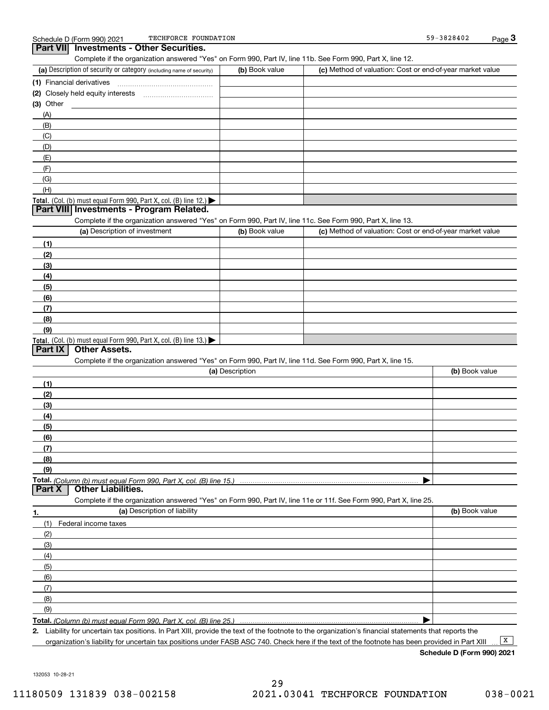| TECHFORCE FOUNDATION<br>Schedule D (Form 990) 2021                                                                |                 |                                                           | 59-3828402     | $Page$ <sup>3</sup> |
|-------------------------------------------------------------------------------------------------------------------|-----------------|-----------------------------------------------------------|----------------|---------------------|
| <b>Investments - Other Securities.</b><br><b>Part VIII</b>                                                        |                 |                                                           |                |                     |
| Complete if the organization answered "Yes" on Form 990, Part IV, line 11b. See Form 990, Part X, line 12.        |                 |                                                           |                |                     |
| (a) Description of security or category (including name of security)                                              | (b) Book value  | (c) Method of valuation: Cost or end-of-year market value |                |                     |
|                                                                                                                   |                 |                                                           |                |                     |
|                                                                                                                   |                 |                                                           |                |                     |
| $(3)$ Other                                                                                                       |                 |                                                           |                |                     |
|                                                                                                                   |                 |                                                           |                |                     |
| (A)                                                                                                               |                 |                                                           |                |                     |
| (B)                                                                                                               |                 |                                                           |                |                     |
| (C)                                                                                                               |                 |                                                           |                |                     |
| (D)                                                                                                               |                 |                                                           |                |                     |
| (E)                                                                                                               |                 |                                                           |                |                     |
| (F)                                                                                                               |                 |                                                           |                |                     |
| (G)                                                                                                               |                 |                                                           |                |                     |
| (H)                                                                                                               |                 |                                                           |                |                     |
| Total. (Col. (b) must equal Form 990, Part X, col. (B) line 12.)                                                  |                 |                                                           |                |                     |
| Part VIII Investments - Program Related.                                                                          |                 |                                                           |                |                     |
| Complete if the organization answered "Yes" on Form 990, Part IV, line 11c. See Form 990, Part X, line 13.        |                 |                                                           |                |                     |
| (a) Description of investment                                                                                     | (b) Book value  | (c) Method of valuation: Cost or end-of-year market value |                |                     |
|                                                                                                                   |                 |                                                           |                |                     |
| (1)                                                                                                               |                 |                                                           |                |                     |
| (2)                                                                                                               |                 |                                                           |                |                     |
| (3)                                                                                                               |                 |                                                           |                |                     |
| (4)                                                                                                               |                 |                                                           |                |                     |
| (5)                                                                                                               |                 |                                                           |                |                     |
| (6)                                                                                                               |                 |                                                           |                |                     |
| (7)                                                                                                               |                 |                                                           |                |                     |
| (8)                                                                                                               |                 |                                                           |                |                     |
| (9)                                                                                                               |                 |                                                           |                |                     |
| Total. (Col. (b) must equal Form 990, Part X, col. (B) line 13.)                                                  |                 |                                                           |                |                     |
| Other Assets.<br>Part IX                                                                                          |                 |                                                           |                |                     |
| Complete if the organization answered "Yes" on Form 990, Part IV, line 11d. See Form 990, Part X, line 15.        |                 |                                                           |                |                     |
|                                                                                                                   | (a) Description |                                                           | (b) Book value |                     |
|                                                                                                                   |                 |                                                           |                |                     |
| (1)                                                                                                               |                 |                                                           |                |                     |
| (2)                                                                                                               |                 |                                                           |                |                     |
| (3)                                                                                                               |                 |                                                           |                |                     |
| (4)                                                                                                               |                 |                                                           |                |                     |
| (5)                                                                                                               |                 |                                                           |                |                     |
| (6)                                                                                                               |                 |                                                           |                |                     |
| (7)                                                                                                               |                 |                                                           |                |                     |
| (8)                                                                                                               |                 |                                                           |                |                     |
| (9)                                                                                                               |                 |                                                           |                |                     |
|                                                                                                                   |                 |                                                           |                |                     |
| <b>Other Liabilities.</b><br>Part X                                                                               |                 |                                                           |                |                     |
|                                                                                                                   |                 |                                                           |                |                     |
| Complete if the organization answered "Yes" on Form 990, Part IV, line 11e or 11f. See Form 990, Part X, line 25. |                 |                                                           |                |                     |
| (a) Description of liability<br>1.                                                                                |                 |                                                           | (b) Book value |                     |
| (1)<br>Federal income taxes                                                                                       |                 |                                                           |                |                     |
| (2)                                                                                                               |                 |                                                           |                |                     |
| (3)                                                                                                               |                 |                                                           |                |                     |
| (4)                                                                                                               |                 |                                                           |                |                     |
| (5)                                                                                                               |                 |                                                           |                |                     |
|                                                                                                                   |                 |                                                           |                |                     |
| (6)                                                                                                               |                 |                                                           |                |                     |
| (7)                                                                                                               |                 |                                                           |                |                     |
| (8)                                                                                                               |                 |                                                           |                |                     |
| (9)                                                                                                               |                 |                                                           |                |                     |
| Total. (Column (b) must equal Form 990, Part X, col. (B) line 25.)                                                |                 |                                                           | ▶              |                     |

**2.** Liability for uncertain tax positions. In Part XIII, provide the text of the footnote to the organization's financial statements that reports the organization's liability for uncertain tax positions under FASB ASC 740. Check here if the text of the footnote has been provided in Part XIII

**Schedule D (Form 990) 2021**

 $\boxed{\mathbf{X}}$ 

132053 10-28-21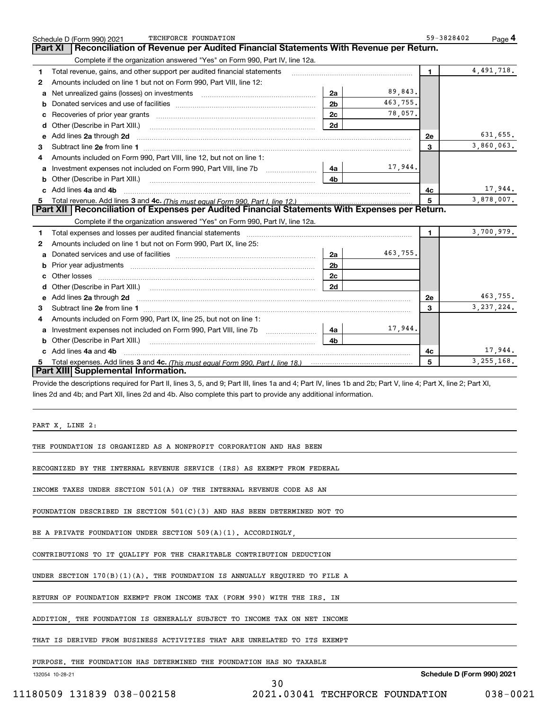| Schedule D (Form 990) 2021          | TECHFORCE FOUNDATION                                                                                                                                           |                |          | 59-3828402 | Page 4       |
|-------------------------------------|----------------------------------------------------------------------------------------------------------------------------------------------------------------|----------------|----------|------------|--------------|
| Part XI                             | Reconciliation of Revenue per Audited Financial Statements With Revenue per Return.                                                                            |                |          |            |              |
|                                     | Complete if the organization answered "Yes" on Form 990, Part IV, line 12a.                                                                                    |                |          |            |              |
| 1                                   | Total revenue, gains, and other support per audited financial statements                                                                                       |                |          | 1.         | 4,491,718.   |
| 2                                   | Amounts included on line 1 but not on Form 990, Part VIII, line 12:                                                                                            |                |          |            |              |
| а                                   |                                                                                                                                                                | 2a             | 89,843.  |            |              |
| b                                   |                                                                                                                                                                | 2 <sub>b</sub> | 463,755. |            |              |
| c                                   |                                                                                                                                                                | 2c             | 78,057.  |            |              |
| Other (Describe in Part XIII.)<br>d |                                                                                                                                                                | 2d             |          |            |              |
| Add lines 2a through 2d<br>е        |                                                                                                                                                                |                |          | <b>2e</b>  | 631,655.     |
| З                                   |                                                                                                                                                                |                |          | 3          | 3,860,063.   |
| 4                                   | Amounts included on Form 990, Part VIII, line 12, but not on line 1:                                                                                           |                |          |            |              |
| а                                   | Investment expenses not included on Form 990, Part VIII, line 7b                                                                                               | 4a             | 17,944.  |            |              |
| Other (Describe in Part XIII.)<br>b |                                                                                                                                                                | 4b             |          |            |              |
| Add lines 4a and 4b<br>c            |                                                                                                                                                                |                |          | 4c         | 17,944.      |
| 5                                   |                                                                                                                                                                |                |          | 5          | 3,878,007.   |
|                                     | Part XII   Reconciliation of Expenses per Audited Financial Statements With Expenses per Return.                                                               |                |          |            |              |
|                                     | Complete if the organization answered "Yes" on Form 990, Part IV, line 12a.                                                                                    |                |          |            |              |
| 1                                   |                                                                                                                                                                |                |          | 1.         | 3,700,979.   |
| 2                                   | Amounts included on line 1 but not on Form 990, Part IX, line 25:                                                                                              |                |          |            |              |
| а                                   | Donated services and use of facilities <b>Example 20</b> Figures 1                                                                                             | 2a             | 463,755. |            |              |
| b                                   |                                                                                                                                                                | 2 <sub>b</sub> |          |            |              |
| Other losses<br>с                   |                                                                                                                                                                | 2c             |          |            |              |
| d                                   |                                                                                                                                                                | 2d             |          |            |              |
| Add lines 2a through 2d<br>е        |                                                                                                                                                                |                |          | <b>2e</b>  | 463,755.     |
| З                                   |                                                                                                                                                                |                |          | 3          | 3, 237, 224. |
| 4                                   | Amounts included on Form 990, Part IX, line 25, but not on line 1:                                                                                             |                |          |            |              |
| а                                   |                                                                                                                                                                | 4a             | 17,944.  |            |              |
| Other (Describe in Part XIII.)<br>b |                                                                                                                                                                | 4b             |          |            |              |
| c Add lines 4a and 4b               |                                                                                                                                                                |                |          | 4c         | 17,944.      |
| 5.                                  |                                                                                                                                                                |                |          | 5          | 3, 255, 168. |
| Part XIII Supplemental Information. |                                                                                                                                                                |                |          |            |              |
|                                     | Provide the descriptions required for Part II, lines 3, 5, and 9; Part III, lines 1a and 4; Part IV, lines 1b and 2b; Part V, line 4; Part X, line 2; Part XI, |                |          |            |              |
|                                     | lines 2d and 4b; and Part XII, lines 2d and 4b. Also complete this part to provide any additional information.                                                 |                |          |            |              |
|                                     |                                                                                                                                                                |                |          |            |              |
|                                     |                                                                                                                                                                |                |          |            |              |
| PART X, LINE 2:                     |                                                                                                                                                                |                |          |            |              |
|                                     |                                                                                                                                                                |                |          |            |              |
|                                     | THE FOUNDATION IS ORGANIZED AS A NONPROFIT CORPORATION AND HAS BEEN                                                                                            |                |          |            |              |
|                                     |                                                                                                                                                                |                |          |            |              |
|                                     | RECOGNIZED BY THE INTERNAL REVENUE SERVICE (IRS) AS EXEMPT FROM FEDERAL                                                                                        |                |          |            |              |
|                                     |                                                                                                                                                                |                |          |            |              |
|                                     | INCOME TAXES UNDER SECTION 501(A) OF THE INTERNAL REVENUE CODE AS AN                                                                                           |                |          |            |              |
|                                     |                                                                                                                                                                |                |          |            |              |
|                                     | FOUNDATION DESCRIBED IN SECTION $501(C)(3)$ and has been determined not to                                                                                     |                |          |            |              |
|                                     |                                                                                                                                                                |                |          |            |              |
|                                     | BE A PRIVATE FOUNDATION UNDER SECTION 509(A)(1). ACCORDINGLY.                                                                                                  |                |          |            |              |
|                                     |                                                                                                                                                                |                |          |            |              |
|                                     | CONTRIBUTIONS TO IT QUALIFY FOR THE CHARITABLE CONTRIBUTION DEDUCTION                                                                                          |                |          |            |              |
|                                     |                                                                                                                                                                |                |          |            |              |
|                                     | UNDER SECTION 170(B)(1)(A). THE FOUNDATION IS ANNUALLY REQUIRED TO FILE A                                                                                      |                |          |            |              |
|                                     |                                                                                                                                                                |                |          |            |              |
|                                     | RETURN OF FOUNDATION EXEMPT FROM INCOME TAX (FORM 990) WITH THE IRS. IN                                                                                        |                |          |            |              |
|                                     |                                                                                                                                                                |                |          |            |              |
|                                     | ADDITION, THE FOUNDATION IS GENERALLY SUBJECT TO INCOME TAX ON NET INCOME                                                                                      |                |          |            |              |
|                                     |                                                                                                                                                                |                |          |            |              |
|                                     | THAT IS DERIVED FROM BUSINESS ACTIVITIES THAT ARE UNRELATED TO ITS EXEMPT                                                                                      |                |          |            |              |
|                                     |                                                                                                                                                                |                |          |            |              |
|                                     | PURPOSE. THE FOUNDATION HAS DETERMINED THE FOUNDATION HAS NO TAXABLE                                                                                           |                |          |            |              |

132054 10-28-21

**Schedule D (Form 990) 2021**

30 11180509 131839 038-002158 2021.03041 TECHFORCE FOUNDATION 038-0021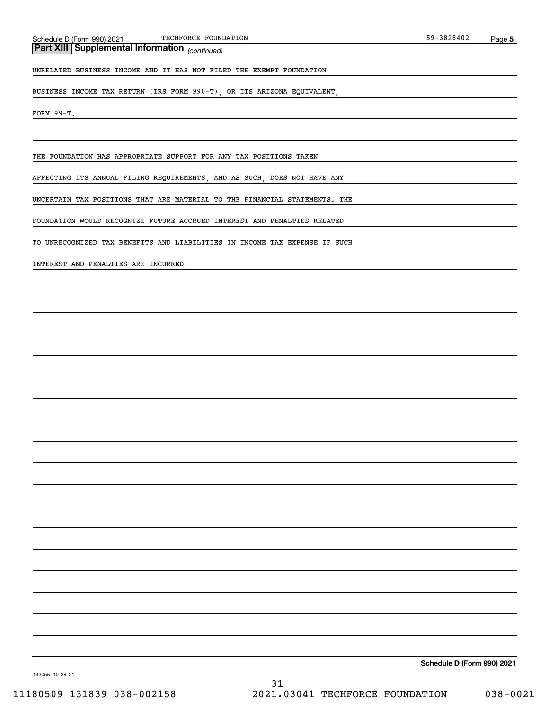*(continued)* **Part XIII Supplemental Information** 

UNRELATED BUSINESS INCOME AND IT HAS NOT FILED THE EXEMPT FOUNDATION

BUSINESS INCOME TAX RETURN (IRS FORM 990-T), OR ITS ARIZONA EQUIVALENT,

FORM 99-T.

THE FOUNDATION HAS APPROPRIATE SUPPORT FOR ANY TAX POSITIONS TAKEN

AFFECTING ITS ANNUAL FILING REQUIREMENTS, AND AS SUCH, DOES NOT HAVE ANY

UNCERTAIN TAX POSITIONS THAT ARE MATERIAL TO THE FINANCIAL STATEMENTS. THE

FOUNDATION WOULD RECOGNIZE FUTURE ACCRUED INTEREST AND PENALTIES RELATED

TO UNRECOGNIZED TAX BENEFITS AND LIABILITIES IN INCOME TAX EXPENSE IF SUCH

INTEREST AND PENALTIES ARE INCURRED.

**Schedule D (Form 990) 2021**

132055 10-28-21

31 11180509 131839 038-002158 2021.03041 TECHFORCE FOUNDATION 038-0021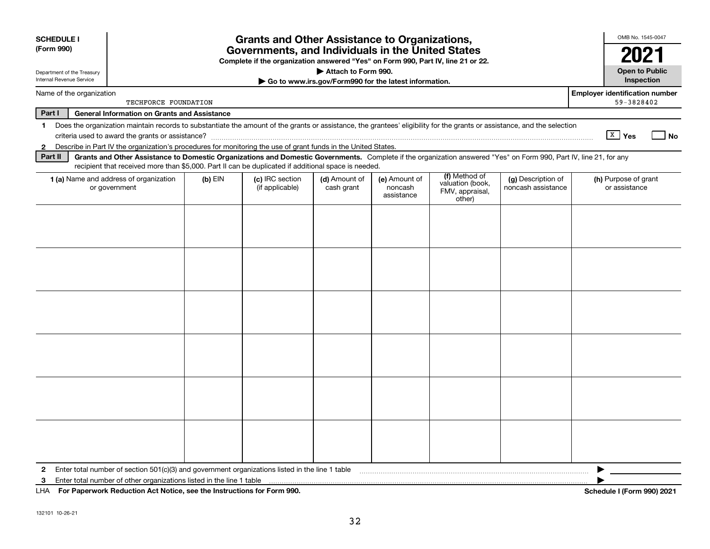| <b>SCHEDULE I</b><br>(Form 990)                        |                                                                                                                                                                                                                                                                           |           | <b>Grants and Other Assistance to Organizations,</b><br>Governments, and Individuals in the United States |                                                       |                                        |                                                                |                                          | OMB No. 1545-0047                                   |
|--------------------------------------------------------|---------------------------------------------------------------------------------------------------------------------------------------------------------------------------------------------------------------------------------------------------------------------------|-----------|-----------------------------------------------------------------------------------------------------------|-------------------------------------------------------|----------------------------------------|----------------------------------------------------------------|------------------------------------------|-----------------------------------------------------|
|                                                        |                                                                                                                                                                                                                                                                           |           | Complete if the organization answered "Yes" on Form 990, Part IV, line 21 or 22.                          |                                                       |                                        |                                                                |                                          |                                                     |
| Department of the Treasury<br>Internal Revenue Service |                                                                                                                                                                                                                                                                           |           |                                                                                                           | Attach to Form 990.                                   |                                        |                                                                |                                          | <b>Open to Public</b><br>Inspection                 |
|                                                        |                                                                                                                                                                                                                                                                           |           |                                                                                                           | Go to www.irs.gov/Form990 for the latest information. |                                        |                                                                |                                          |                                                     |
| Name of the organization                               | TECHFORCE FOUNDATION                                                                                                                                                                                                                                                      |           |                                                                                                           |                                                       |                                        |                                                                |                                          | <b>Employer identification number</b><br>59-3828402 |
| Part I                                                 | <b>General Information on Grants and Assistance</b>                                                                                                                                                                                                                       |           |                                                                                                           |                                                       |                                        |                                                                |                                          |                                                     |
| 1.                                                     | Does the organization maintain records to substantiate the amount of the grants or assistance, the grantees' eligibility for the grants or assistance, and the selection                                                                                                  |           |                                                                                                           |                                                       |                                        |                                                                |                                          |                                                     |
|                                                        | criteria used to award the grants or assistance?                                                                                                                                                                                                                          |           |                                                                                                           |                                                       |                                        |                                                                |                                          | $X$ Yes<br><b>No</b>                                |
| $\mathbf{2}$                                           | Describe in Part IV the organization's procedures for monitoring the use of grant funds in the United States.                                                                                                                                                             |           |                                                                                                           |                                                       |                                        |                                                                |                                          |                                                     |
| Part II                                                | Grants and Other Assistance to Domestic Organizations and Domestic Governments. Complete if the organization answered "Yes" on Form 990, Part IV, line 21, for any<br>recipient that received more than \$5,000. Part II can be duplicated if additional space is needed. |           |                                                                                                           |                                                       |                                        |                                                                |                                          |                                                     |
|                                                        | 1 (a) Name and address of organization<br>or government                                                                                                                                                                                                                   | $(b)$ EIN | (c) IRC section<br>(if applicable)                                                                        | (d) Amount of<br>cash grant                           | (e) Amount of<br>noncash<br>assistance | (f) Method of<br>valuation (book,<br>FMV, appraisal,<br>other) | (g) Description of<br>noncash assistance | (h) Purpose of grant<br>or assistance               |
|                                                        |                                                                                                                                                                                                                                                                           |           |                                                                                                           |                                                       |                                        |                                                                |                                          |                                                     |
|                                                        |                                                                                                                                                                                                                                                                           |           |                                                                                                           |                                                       |                                        |                                                                |                                          |                                                     |
|                                                        |                                                                                                                                                                                                                                                                           |           |                                                                                                           |                                                       |                                        |                                                                |                                          |                                                     |
|                                                        |                                                                                                                                                                                                                                                                           |           |                                                                                                           |                                                       |                                        |                                                                |                                          |                                                     |
|                                                        |                                                                                                                                                                                                                                                                           |           |                                                                                                           |                                                       |                                        |                                                                |                                          |                                                     |
|                                                        |                                                                                                                                                                                                                                                                           |           |                                                                                                           |                                                       |                                        |                                                                |                                          |                                                     |
| 2                                                      | Enter total number of section 501(c)(3) and government organizations listed in the line 1 table                                                                                                                                                                           |           |                                                                                                           |                                                       |                                        |                                                                |                                          |                                                     |
| 3                                                      | Enter total number of other organizations listed in the line 1 table                                                                                                                                                                                                      |           |                                                                                                           |                                                       |                                        |                                                                |                                          |                                                     |
| LHA                                                    | For Paperwork Reduction Act Notice, see the Instructions for Form 990.                                                                                                                                                                                                    |           |                                                                                                           |                                                       |                                        |                                                                |                                          | Schedule I (Form 990) 2021                          |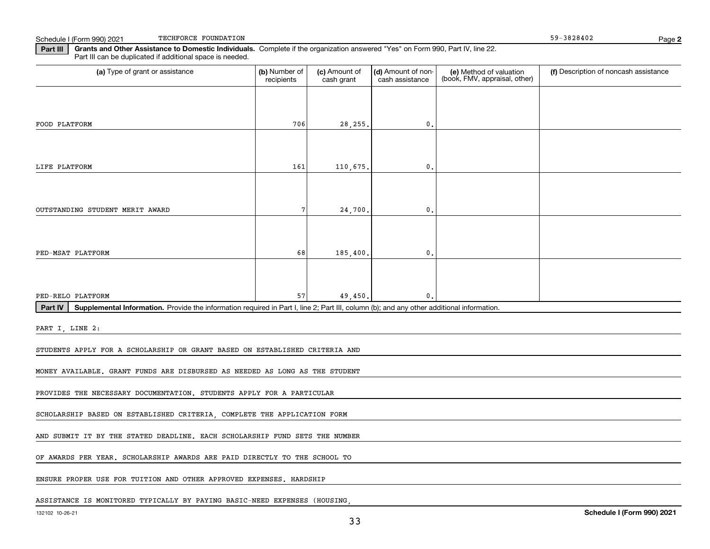Schedule I (Form 990) 2021 TECHFORCE FOUNDATION CONSIDERING SUBSERVIATION CONSIDERING SP-3828402 TECHFORCE FOUNDATION

**Part III Grants and Other Assistance to Domestic Individuals.**  Complete if the organization answered "Yes" on Form 990, Part IV, line 22. Part III can be duplicated if additional space is needed.

| (a) Type of grant or assistance                                                                                                                      | (b) Number of<br>recipients | (c) Amount of<br>cash grant | (d) Amount of non-<br>cash assistance | (e) Method of valuation<br>(book, FMV, appraisal, other) | (f) Description of noncash assistance |
|------------------------------------------------------------------------------------------------------------------------------------------------------|-----------------------------|-----------------------------|---------------------------------------|----------------------------------------------------------|---------------------------------------|
|                                                                                                                                                      |                             |                             |                                       |                                                          |                                       |
| FOOD PLATFORM                                                                                                                                        | 706                         | 28, 255.                    | $\mathbf 0$ .                         |                                                          |                                       |
|                                                                                                                                                      |                             |                             |                                       |                                                          |                                       |
| LIFE PLATFORM                                                                                                                                        | 161                         | 110,675,                    | $\mathbf 0$ .                         |                                                          |                                       |
|                                                                                                                                                      |                             |                             |                                       |                                                          |                                       |
| OUTSTANDING STUDENT MERIT AWARD                                                                                                                      | 7                           | 24,700.                     | 0.                                    |                                                          |                                       |
|                                                                                                                                                      |                             |                             |                                       |                                                          |                                       |
| PED-MSAT PLATFORM                                                                                                                                    | 68                          | 185,400.                    | 0.                                    |                                                          |                                       |
|                                                                                                                                                      |                             |                             |                                       |                                                          |                                       |
| PED-RELO PLATFORM                                                                                                                                    | 57                          | 49,450.                     | 0.                                    |                                                          |                                       |
| Part IV<br>Supplemental Information. Provide the information required in Part I, line 2; Part III, column (b); and any other additional information. |                             |                             |                                       |                                                          |                                       |
| PART I, LINE 2:                                                                                                                                      |                             |                             |                                       |                                                          |                                       |
| STUDENTS APPLY FOR A SCHOLARSHIP OR GRANT BASED ON ESTABLISHED CRITERIA AND                                                                          |                             |                             |                                       |                                                          |                                       |
| MONEY AVAILABLE. GRANT FUNDS ARE DISBURSED AS NEEDED AS LONG AS THE STUDENT                                                                          |                             |                             |                                       |                                                          |                                       |
| PROVIDES THE NECESSARY DOCUMENTATION. STUDENTS APPLY FOR A PARTICULAR                                                                                |                             |                             |                                       |                                                          |                                       |
| SCHOLARSHIP BASED ON ESTABLISHED CRITERIA, COMPLETE THE APPLICATION FORM                                                                             |                             |                             |                                       |                                                          |                                       |
| AND SUBMIT IT BY THE STATED DEADLINE. EACH SCHOLARSHIP FUND SETS THE NUMBER                                                                          |                             |                             |                                       |                                                          |                                       |
| OF AWARDS PER YEAR. SCHOLARSHIP AWARDS ARE PAID DIRECTLY TO THE SCHOOL TO                                                                            |                             |                             |                                       |                                                          |                                       |
| ENSURE PROPER USE FOR TUITION AND OTHER APPROVED EXPENSES. HARDSHIP                                                                                  |                             |                             |                                       |                                                          |                                       |
|                                                                                                                                                      |                             |                             |                                       |                                                          |                                       |
| ASSISTANCE IS MONITORED TYPICALLY BY PAYING BASIC-NEED EXPENSES (HOUSING                                                                             |                             |                             |                                       |                                                          |                                       |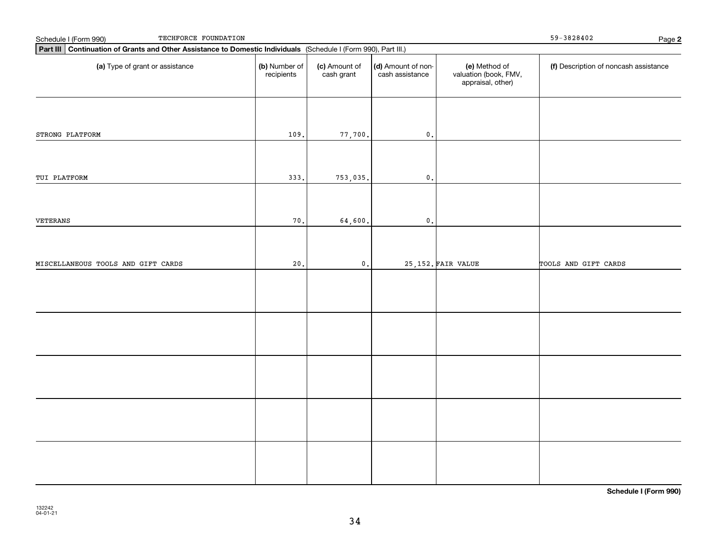| TECHFORCE FOUNDATION<br>Schedule I (Form 990)                                                                   | $59 - 3828402$              | Page 2                      |                                       |                                                             |                                       |  |
|-----------------------------------------------------------------------------------------------------------------|-----------------------------|-----------------------------|---------------------------------------|-------------------------------------------------------------|---------------------------------------|--|
| Part III Continuation of Grants and Other Assistance to Domestic Individuals (Schedule I (Form 990), Part III.) |                             |                             |                                       |                                                             |                                       |  |
| (a) Type of grant or assistance                                                                                 | (b) Number of<br>recipients | (c) Amount of<br>cash grant | (d) Amount of non-<br>cash assistance | (e) Method of<br>valuation (book, FMV,<br>appraisal, other) | (f) Description of noncash assistance |  |
| STRONG PLATFORM                                                                                                 | 109.                        | 77,700.                     | $\mathfrak o$ .                       |                                                             |                                       |  |
|                                                                                                                 |                             |                             |                                       |                                                             |                                       |  |
| TUI PLATFORM                                                                                                    | 333.                        | 753,035.                    | $\mathfrak o$ .                       |                                                             |                                       |  |
| VETERANS                                                                                                        | 70.                         | 64,600.                     | $\mathfrak o$ .                       |                                                             |                                       |  |
| MISCELLANEOUS TOOLS AND GIFT CARDS                                                                              | 20.                         | $\mathfrak o$ .             |                                       | 25, 152. FAIR VALUE                                         | TOOLS AND GIFT CARDS                  |  |
|                                                                                                                 |                             |                             |                                       |                                                             |                                       |  |
|                                                                                                                 |                             |                             |                                       |                                                             |                                       |  |
|                                                                                                                 |                             |                             |                                       |                                                             |                                       |  |
|                                                                                                                 |                             |                             |                                       |                                                             |                                       |  |
|                                                                                                                 |                             |                             |                                       |                                                             |                                       |  |

**Schedule I (Form 990)**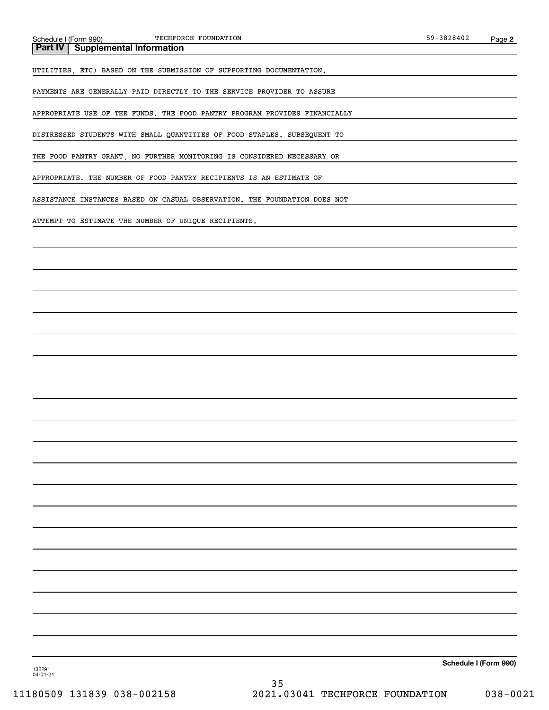**Part IV Supplemental Information**

UTILITIES, ETC) BASED ON THE SUBMISSION OF SUPPORTING DOCUMENTATION.

PAYMENTS ARE GENERALLY PAID DIRECTLY TO THE SERVICE PROVIDER TO ASSURE

APPROPRIATE USE OF THE FUNDS. THE FOOD PANTRY PROGRAM PROVIDES FINANCIALLY

DISTRESSED STUDENTS WITH SMALL QUANTITIES OF FOOD STAPLES. SUBSEQUENT TO

THE FOOD PANTRY GRANT, NO FURTHER MONITORING IS CONSIDERED NECESSARY OR

APPROPRIATE. THE NUMBER OF FOOD PANTRY RECIPIENTS IS AN ESTIMATE OF

ASSISTANCE INSTANCES BASED ON CASUAL OBSERVATION. THE FOUNDATION DOES NOT

ATTEMPT TO ESTIMATE THE NUMBER OF UNIQUE RECIPIENTS.

**Schedule I (Form 990)**

132291 04-01-21

35 11180509 131839 038-002158 2021.03041 TECHFORCE FOUNDATION 038-0021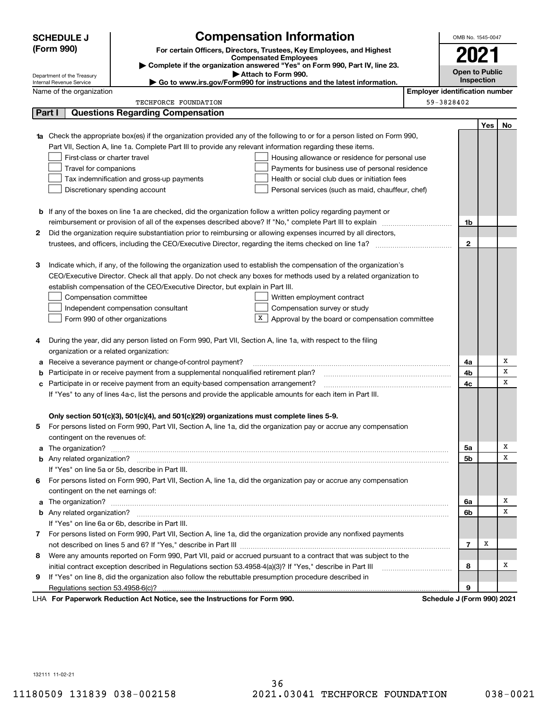|    | <b>SCHEDULE J</b>                                                                                                           | <b>Compensation Information</b>                                                                                                  |                       | OMB No. 1545-0047                     |     |    |  |  |  |
|----|-----------------------------------------------------------------------------------------------------------------------------|----------------------------------------------------------------------------------------------------------------------------------|-----------------------|---------------------------------------|-----|----|--|--|--|
|    | (Form 990)                                                                                                                  | For certain Officers, Directors, Trustees, Key Employees, and Highest                                                            |                       |                                       |     |    |  |  |  |
|    |                                                                                                                             | <b>Compensated Employees</b><br>Complete if the organization answered "Yes" on Form 990, Part IV, line 23.                       |                       | 2021                                  |     |    |  |  |  |
|    | Department of the Treasury                                                                                                  |                                                                                                                                  | <b>Open to Public</b> |                                       |     |    |  |  |  |
|    | Attach to Form 990.<br>► Go to www.irs.gov/Form990 for instructions and the latest information.<br>Internal Revenue Service |                                                                                                                                  |                       |                                       |     |    |  |  |  |
|    | Name of the organization                                                                                                    |                                                                                                                                  |                       | <b>Employer identification number</b> |     |    |  |  |  |
|    |                                                                                                                             | <b>TECHFORCE FOUNDATION</b>                                                                                                      |                       | 59-3828402                            |     |    |  |  |  |
|    | Part I                                                                                                                      | <b>Questions Regarding Compensation</b>                                                                                          |                       |                                       |     |    |  |  |  |
|    |                                                                                                                             |                                                                                                                                  |                       |                                       | Yes | No |  |  |  |
|    |                                                                                                                             | <b>1a</b> Check the appropriate box(es) if the organization provided any of the following to or for a person listed on Form 990, |                       |                                       |     |    |  |  |  |
|    |                                                                                                                             | Part VII, Section A, line 1a. Complete Part III to provide any relevant information regarding these items.                       |                       |                                       |     |    |  |  |  |
|    | First-class or charter travel                                                                                               | Housing allowance or residence for personal use                                                                                  |                       |                                       |     |    |  |  |  |
|    | Travel for companions                                                                                                       | Payments for business use of personal residence                                                                                  |                       |                                       |     |    |  |  |  |
|    |                                                                                                                             | Tax indemnification and gross-up payments<br>Health or social club dues or initiation fees                                       |                       |                                       |     |    |  |  |  |
|    |                                                                                                                             | Discretionary spending account<br>Personal services (such as maid, chauffeur, chef)                                              |                       |                                       |     |    |  |  |  |
|    |                                                                                                                             |                                                                                                                                  |                       |                                       |     |    |  |  |  |
|    |                                                                                                                             | <b>b</b> If any of the boxes on line 1a are checked, did the organization follow a written policy regarding payment or           |                       |                                       |     |    |  |  |  |
|    |                                                                                                                             | reimbursement or provision of all of the expenses described above? If "No," complete Part III to explain                         |                       | 1b                                    |     |    |  |  |  |
| 2  |                                                                                                                             | Did the organization require substantiation prior to reimbursing or allowing expenses incurred by all directors,                 |                       |                                       |     |    |  |  |  |
|    |                                                                                                                             |                                                                                                                                  |                       | $\mathbf{2}$                          |     |    |  |  |  |
| з  |                                                                                                                             | Indicate which, if any, of the following the organization used to establish the compensation of the organization's               |                       |                                       |     |    |  |  |  |
|    |                                                                                                                             | CEO/Executive Director. Check all that apply. Do not check any boxes for methods used by a related organization to               |                       |                                       |     |    |  |  |  |
|    |                                                                                                                             | establish compensation of the CEO/Executive Director, but explain in Part III.                                                   |                       |                                       |     |    |  |  |  |
|    | Compensation committee                                                                                                      | Written employment contract                                                                                                      |                       |                                       |     |    |  |  |  |
|    |                                                                                                                             | Compensation survey or study<br>Independent compensation consultant                                                              |                       |                                       |     |    |  |  |  |
|    |                                                                                                                             | X  <br>Form 990 of other organizations<br>Approval by the board or compensation committee                                        |                       |                                       |     |    |  |  |  |
|    |                                                                                                                             |                                                                                                                                  |                       |                                       |     |    |  |  |  |
| 4  |                                                                                                                             | During the year, did any person listed on Form 990, Part VII, Section A, line 1a, with respect to the filing                     |                       |                                       |     |    |  |  |  |
|    | organization or a related organization:                                                                                     |                                                                                                                                  |                       |                                       |     |    |  |  |  |
| а  |                                                                                                                             | Receive a severance payment or change-of-control payment?                                                                        |                       | 4a                                    |     | Х  |  |  |  |
| b  |                                                                                                                             | Participate in or receive payment from a supplemental nonqualified retirement plan?                                              |                       | 4b                                    |     | х  |  |  |  |
| с  |                                                                                                                             | Participate in or receive payment from an equity-based compensation arrangement?                                                 |                       | 4c                                    |     | x  |  |  |  |
|    |                                                                                                                             | If "Yes" to any of lines 4a-c, list the persons and provide the applicable amounts for each item in Part III.                    |                       |                                       |     |    |  |  |  |
|    |                                                                                                                             |                                                                                                                                  |                       |                                       |     |    |  |  |  |
|    |                                                                                                                             | Only section 501(c)(3), 501(c)(4), and 501(c)(29) organizations must complete lines 5-9.                                         |                       |                                       |     |    |  |  |  |
|    |                                                                                                                             | For persons listed on Form 990, Part VII, Section A, line 1a, did the organization pay or accrue any compensation                |                       |                                       |     |    |  |  |  |
|    | contingent on the revenues of:                                                                                              |                                                                                                                                  |                       |                                       |     |    |  |  |  |
| a  |                                                                                                                             |                                                                                                                                  |                       | 5a                                    |     | х  |  |  |  |
|    |                                                                                                                             |                                                                                                                                  |                       | 5b                                    |     | х  |  |  |  |
|    |                                                                                                                             | If "Yes" on line 5a or 5b, describe in Part III.                                                                                 |                       |                                       |     |    |  |  |  |
| 6. |                                                                                                                             | For persons listed on Form 990, Part VII, Section A, line 1a, did the organization pay or accrue any compensation                |                       |                                       |     |    |  |  |  |
|    | contingent on the net earnings of:                                                                                          |                                                                                                                                  |                       |                                       |     |    |  |  |  |
| a  |                                                                                                                             |                                                                                                                                  |                       | 6a                                    |     | х  |  |  |  |
|    |                                                                                                                             |                                                                                                                                  |                       | 6b                                    |     | x  |  |  |  |
|    |                                                                                                                             | If "Yes" on line 6a or 6b, describe in Part III.                                                                                 |                       |                                       |     |    |  |  |  |
|    |                                                                                                                             | 7 For persons listed on Form 990, Part VII, Section A, line 1a, did the organization provide any nonfixed payments               |                       |                                       |     |    |  |  |  |
|    |                                                                                                                             |                                                                                                                                  |                       | $\overline{7}$                        | х   |    |  |  |  |
| 8  |                                                                                                                             | Were any amounts reported on Form 990, Part VII, paid or accrued pursuant to a contract that was subject to the                  |                       |                                       |     |    |  |  |  |
|    |                                                                                                                             | initial contract exception described in Regulations section 53.4958-4(a)(3)? If "Yes," describe in Part III                      |                       | 8                                     |     | x  |  |  |  |
| 9  |                                                                                                                             | If "Yes" on line 8, did the organization also follow the rebuttable presumption procedure described in                           |                       |                                       |     |    |  |  |  |
|    |                                                                                                                             |                                                                                                                                  |                       | 9                                     |     |    |  |  |  |
|    |                                                                                                                             | LHA For Paperwork Reduction Act Notice, see the Instructions for Form 990.                                                       |                       | Schedule J (Form 990) 2021            |     |    |  |  |  |

132111 11-02-21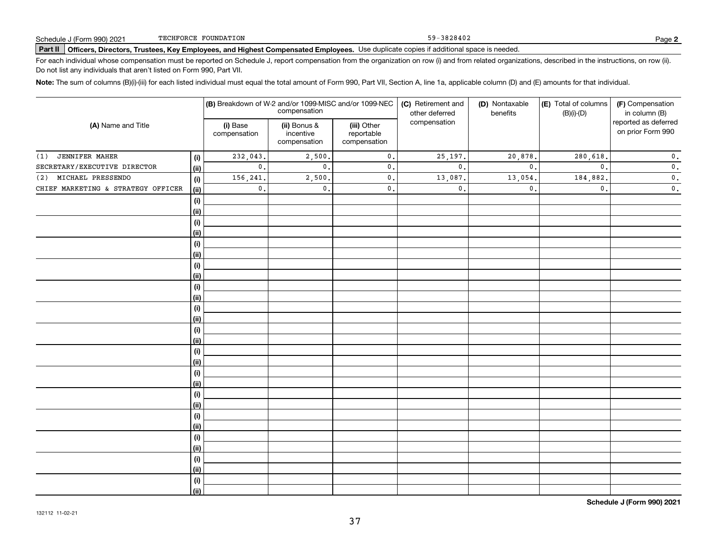59-3828402

# Page (Form 990) 2021 Page USCHFORCE FOUNDATION<br>Part II │ Officers, Directors, Trustees, Key Employees, and Highest Compensated Employees. Use duplicate copies if additional space is needed.

For each individual whose compensation must be reported on Schedule J, report compensation from the organization on row (i) and from related organizations, described in the instructions, on row (ii). Do not list any individuals that aren't listed on Form 990, Part VII.

**Note:**  The sum of columns (B)(i)-(iii) for each listed individual must equal the total amount of Form 990, Part VII, Section A, line 1a, applicable column (D) and (E) amounts for that individual.

| (A) Name and Title                 |                | (B) Breakdown of W-2 and/or 1099-MISC and/or 1099-NEC<br>compensation |                                           |                                           | (C) Retirement and<br>(D) Nontaxable<br>benefits<br>other deferred |                | (E) Total of columns<br>$(B)(i)-(D)$ | (F) Compensation<br>in column (B)         |  |
|------------------------------------|----------------|-----------------------------------------------------------------------|-------------------------------------------|-------------------------------------------|--------------------------------------------------------------------|----------------|--------------------------------------|-------------------------------------------|--|
|                                    |                | (i) Base<br>compensation                                              | (ii) Bonus &<br>incentive<br>compensation | (iii) Other<br>reportable<br>compensation | compensation                                                       |                |                                      | reported as deferred<br>on prior Form 990 |  |
| (1) JENNIFER MAHER                 | (i)            | 232,043.                                                              | 2,500.                                    | $\mathbf 0$ .                             | 25,197.                                                            | 20,878.        | 280,618.                             | $\mathbf 0$ .                             |  |
| SECRETARY/EXECUTIVE DIRECTOR       | <u>(ii)</u>    | $\mathsf{0}\,.$                                                       | $\mathbf{0}$ .                            | $\mathsf{0}\,.$                           | $\mathbf{0}$ .                                                     | $\mathbf{0}$ . | $\mathbf{0}$ .                       | $\mathbf 0$ .                             |  |
| (2) MICHAEL PRESSENDO              | (i)            | 156,241.                                                              | 2,500.                                    | $\mathbf{0}$ .                            | 13,087.                                                            | 13,054         | 184,882.                             | $\mathbf 0$ .                             |  |
| CHIEF MARKETING & STRATEGY OFFICER | <u>(ii)</u>    | $\mathfrak o$ .                                                       | 0.                                        | $\mathbf{0}$ .                            | $\mathbf{0}$ .                                                     | $\mathbf{0}$ . | $\mathfrak{o}$ .                     | $\overline{\mathbf{0}}$ .                 |  |
|                                    | (i)            |                                                                       |                                           |                                           |                                                                    |                |                                      |                                           |  |
|                                    | <u>(ii)</u>    |                                                                       |                                           |                                           |                                                                    |                |                                      |                                           |  |
|                                    | (i)            |                                                                       |                                           |                                           |                                                                    |                |                                      |                                           |  |
|                                    | <u>(ii)</u>    |                                                                       |                                           |                                           |                                                                    |                |                                      |                                           |  |
|                                    | (i)            |                                                                       |                                           |                                           |                                                                    |                |                                      |                                           |  |
|                                    | <u>(ii)</u>    |                                                                       |                                           |                                           |                                                                    |                |                                      |                                           |  |
|                                    | (i)            |                                                                       |                                           |                                           |                                                                    |                |                                      |                                           |  |
|                                    | <u>(ii)</u>    |                                                                       |                                           |                                           |                                                                    |                |                                      |                                           |  |
|                                    | $(\sf{i})$     |                                                                       |                                           |                                           |                                                                    |                |                                      |                                           |  |
|                                    | <u>(ii)</u>    |                                                                       |                                           |                                           |                                                                    |                |                                      |                                           |  |
|                                    | $(\sf{i})$     |                                                                       |                                           |                                           |                                                                    |                |                                      |                                           |  |
|                                    | <u>(ii)</u>    |                                                                       |                                           |                                           |                                                                    |                |                                      |                                           |  |
|                                    | (i)            |                                                                       |                                           |                                           |                                                                    |                |                                      |                                           |  |
|                                    | (ii)           |                                                                       |                                           |                                           |                                                                    |                |                                      |                                           |  |
|                                    | (i)            |                                                                       |                                           |                                           |                                                                    |                |                                      |                                           |  |
|                                    | <u>(ii)</u>    |                                                                       |                                           |                                           |                                                                    |                |                                      |                                           |  |
|                                    | (i)            |                                                                       |                                           |                                           |                                                                    |                |                                      |                                           |  |
|                                    | <u>(ii)</u>    |                                                                       |                                           |                                           |                                                                    |                |                                      |                                           |  |
|                                    | $(\sf{i})$     |                                                                       |                                           |                                           |                                                                    |                |                                      |                                           |  |
|                                    | <u>(ii)</u>    |                                                                       |                                           |                                           |                                                                    |                |                                      |                                           |  |
|                                    | (i)            |                                                                       |                                           |                                           |                                                                    |                |                                      |                                           |  |
|                                    | (ii)           |                                                                       |                                           |                                           |                                                                    |                |                                      |                                           |  |
|                                    | (i)            |                                                                       |                                           |                                           |                                                                    |                |                                      |                                           |  |
|                                    | (ii)           |                                                                       |                                           |                                           |                                                                    |                |                                      |                                           |  |
|                                    | (i)            |                                                                       |                                           |                                           |                                                                    |                |                                      |                                           |  |
|                                    | (ii)           |                                                                       |                                           |                                           |                                                                    |                |                                      |                                           |  |
|                                    | (i)            |                                                                       |                                           |                                           |                                                                    |                |                                      |                                           |  |
|                                    | $\overline{}}$ |                                                                       |                                           |                                           |                                                                    |                |                                      |                                           |  |

**Schedule J (Form 990) 2021**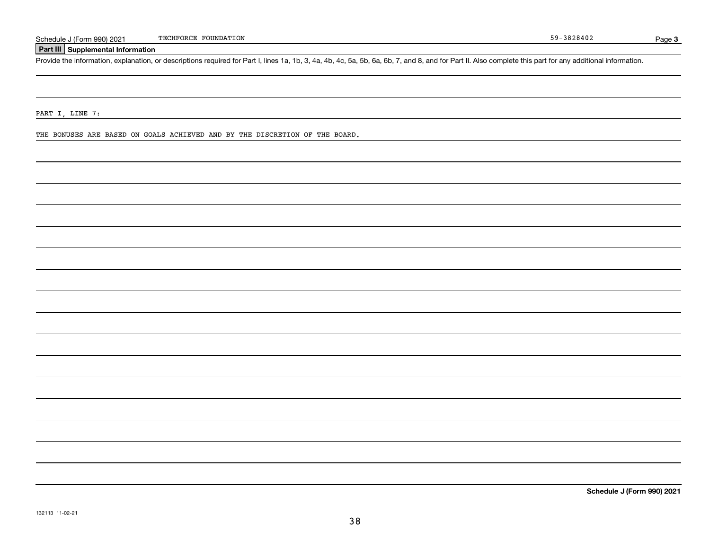### **Part III Supplemental Information**

Schedule J (Form 990) 2021 TECHFORCE FOUNDATION<br>Part III Supplemental Information<br>Provide the information, explanation, or descriptions required for Part I, lines 1a, 1b, 3, 4a, 4b, 4c, 5a, 5b, 6a, 6b, 7, and 8, and for Pa

PART I, LINE 7:

THE BONUSES ARE BASED ON GOALS ACHIEVED AND BY THE DISCRETION OF THE BOARD.

**Schedule J (Form 990) 2021**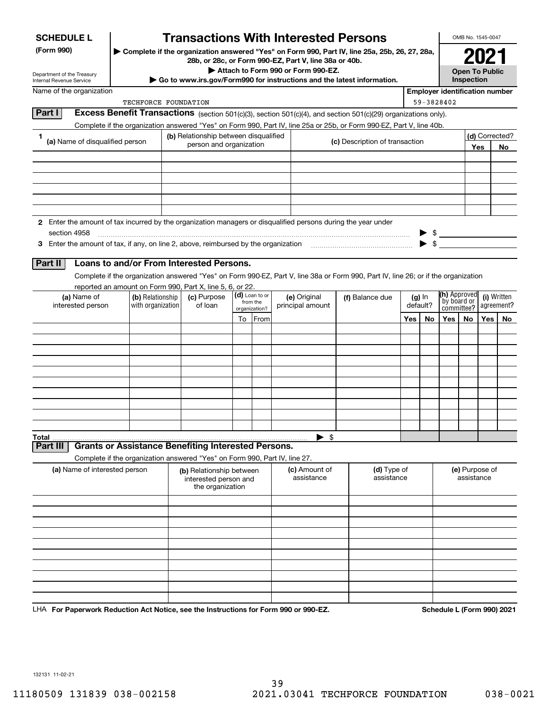| <b>SCHEDULE L</b> |  |
|-------------------|--|
|-------------------|--|

# **Transactions With Interested Persons**

**(Form 990) | Complete if the organization answered "Yes" on Form 990, Part IV, line 25a, 25b, 26, 27, 28a, 28b, or 28c, or Form 990-EZ, Part V, line 38a or 40b.**

**| Attach to Form 990 or Form 990-EZ.**

**| Go to www.irs.gov/Form990 for instructions and the latest information.**

| OMB No. 1545-0047 |  |
|-------------------|--|
|                   |  |

**Open To Public Inspection**

| Department of the Treasury |
|----------------------------|
|                            |
| Internal Revenue Service   |

Name of the organization

| Employer identification number |  |
|--------------------------------|--|

| TECHFORCE FOUNDATION                                                              | 59-3828402                                                                                                           |                                |     |    |  |  |  |  |
|-----------------------------------------------------------------------------------|----------------------------------------------------------------------------------------------------------------------|--------------------------------|-----|----|--|--|--|--|
| Part                                                                              | Excess Benefit Transactions (section 501(c)(3), section 501(c)(4), and section 501(c)(29) organizations only).       |                                |     |    |  |  |  |  |
|                                                                                   | Complete if the organization answered "Yes" on Form 990, Part IV, line 25a or 25b, or Form 990-EZ, Part V, line 40b. |                                |     |    |  |  |  |  |
| (b) Relationship between disqualified                                             |                                                                                                                      |                                |     |    |  |  |  |  |
| (a) Name of disqualified person                                                   | person and organization                                                                                              | (c) Description of transaction | Yes | No |  |  |  |  |
|                                                                                   |                                                                                                                      |                                |     |    |  |  |  |  |
|                                                                                   |                                                                                                                      |                                |     |    |  |  |  |  |
|                                                                                   |                                                                                                                      |                                |     |    |  |  |  |  |
|                                                                                   |                                                                                                                      |                                |     |    |  |  |  |  |
|                                                                                   |                                                                                                                      |                                |     |    |  |  |  |  |
|                                                                                   |                                                                                                                      |                                |     |    |  |  |  |  |
| 2                                                                                 | Enter the amount of tax incurred by the organization managers or disqualified persons during the year under          |                                |     |    |  |  |  |  |
| section 4958                                                                      |                                                                                                                      |                                |     |    |  |  |  |  |
| Enter the amount of tax, if any, on line 2, above, reimbursed by the organization |                                                                                                                      |                                |     |    |  |  |  |  |
|                                                                                   |                                                                                                                      |                                |     |    |  |  |  |  |

### **Part II Loans to and/or From Interested Persons.**

Complete if the organization answered "Yes" on Form 990-EZ, Part V, line 38a or Form 990, Part IV, line 26; or if the organization reported an amount on Form 990, Part X, line 5, 6, or 22.

| (a) Name of<br>interested person | (b) Relationship<br>with organization | (c) Purpose<br>of loan | $\left  \begin{array}{c} \textbf{(d)} \text{ Loan to or} \\ \text{from the} \end{array} \right $<br>organization? |      |          |  | (e) Original<br>principal amount | (f) Balance due | (g) In<br>default? |    | (h) Approved<br>by board or<br>committee? agreement? |    |  |  |
|----------------------------------|---------------------------------------|------------------------|-------------------------------------------------------------------------------------------------------------------|------|----------|--|----------------------------------|-----------------|--------------------|----|------------------------------------------------------|----|--|--|
|                                  |                                       |                        | To                                                                                                                | From |          |  | Yes                              | No              | Yes                | No | Yes                                                  | No |  |  |
|                                  |                                       |                        |                                                                                                                   |      |          |  |                                  |                 |                    |    |                                                      |    |  |  |
|                                  |                                       |                        |                                                                                                                   |      |          |  |                                  |                 |                    |    |                                                      |    |  |  |
|                                  |                                       |                        |                                                                                                                   |      |          |  |                                  |                 |                    |    |                                                      |    |  |  |
|                                  |                                       |                        |                                                                                                                   |      |          |  |                                  |                 |                    |    |                                                      |    |  |  |
|                                  |                                       |                        |                                                                                                                   |      |          |  |                                  |                 |                    |    |                                                      |    |  |  |
|                                  |                                       |                        |                                                                                                                   |      |          |  |                                  |                 |                    |    |                                                      |    |  |  |
|                                  |                                       |                        |                                                                                                                   |      |          |  |                                  |                 |                    |    |                                                      |    |  |  |
|                                  |                                       |                        |                                                                                                                   |      |          |  |                                  |                 |                    |    |                                                      |    |  |  |
|                                  |                                       |                        |                                                                                                                   |      |          |  |                                  |                 |                    |    |                                                      |    |  |  |
|                                  |                                       |                        |                                                                                                                   |      |          |  |                                  |                 |                    |    |                                                      |    |  |  |
|                                  |                                       |                        |                                                                                                                   |      | -\$<br>▶ |  |                                  |                 |                    |    |                                                      |    |  |  |

Part III

Complete if the organization answered "Yes" on Form 990, Part IV, line 27. **Grants or Assistance Benefiting Interested Persons.** 

|                               | Complete in the organization answered resident form 550, Fart IV, line 21. |                             |                           |                              |
|-------------------------------|----------------------------------------------------------------------------|-----------------------------|---------------------------|------------------------------|
| (a) Name of interested person | (b) Relationship between<br>interested person and<br>the organization      | (c) Amount of<br>assistance | (d) Type of<br>assistance | (e) Purpose of<br>assistance |
|                               |                                                                            |                             |                           |                              |
|                               |                                                                            |                             |                           |                              |
|                               |                                                                            |                             |                           |                              |
|                               |                                                                            |                             |                           |                              |
|                               |                                                                            |                             |                           |                              |
|                               |                                                                            |                             |                           |                              |
|                               |                                                                            |                             |                           |                              |
|                               |                                                                            |                             |                           |                              |
|                               |                                                                            |                             |                           |                              |
|                               |                                                                            |                             |                           |                              |

**For Paperwork Reduction Act Notice, see the Instructions for Form 990 or 990-EZ. Schedule L (Form 990) 2021** LHA

132131 11-02-21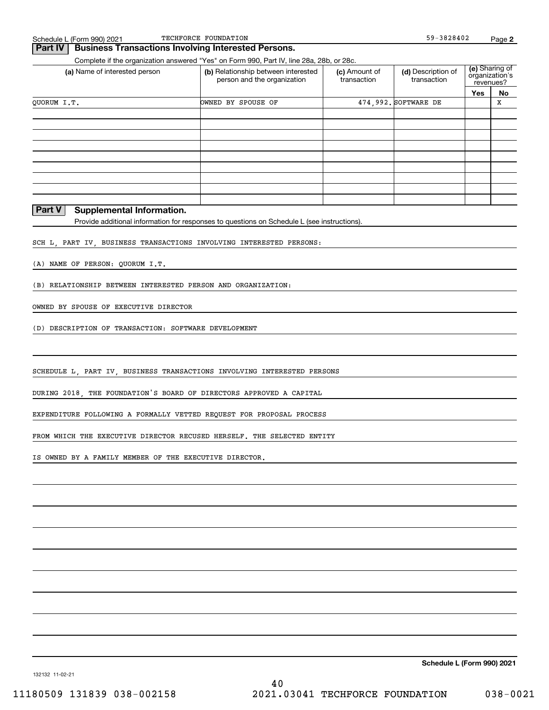### **Part IV** Business Transactions Involving Interested Persons.

Complete if the organization answered "Yes" on Form 990, Part IV, line 28a, 28b, or 28c.

| (a) Name of interested person | (b) Relationship between interested<br>person and the organization | (c) Amount of<br>transaction | (d) Description of<br>transaction |     | (e) Sharing of<br>organization's<br>revenues? |
|-------------------------------|--------------------------------------------------------------------|------------------------------|-----------------------------------|-----|-----------------------------------------------|
|                               |                                                                    |                              |                                   | Yes | No                                            |
| OUORUM I.T.                   | OWNED BY SPOUSE OF                                                 |                              | 474,992. SOFTWARE DE              |     | х                                             |
|                               |                                                                    |                              |                                   |     |                                               |
|                               |                                                                    |                              |                                   |     |                                               |
|                               |                                                                    |                              |                                   |     |                                               |
|                               |                                                                    |                              |                                   |     |                                               |
|                               |                                                                    |                              |                                   |     |                                               |
|                               |                                                                    |                              |                                   |     |                                               |
|                               |                                                                    |                              |                                   |     |                                               |
|                               |                                                                    |                              |                                   |     |                                               |
|                               |                                                                    |                              |                                   |     |                                               |

### **Part V Supplemental Information.**

Provide additional information for responses to questions on Schedule L (see instructions).

SCH L, PART IV, BUSINESS TRANSACTIONS INVOLVING INTERESTED PERSONS:

(A) NAME OF PERSON: QUORUM I.T.

(B) RELATIONSHIP BETWEEN INTERESTED PERSON AND ORGANIZATION:

OWNED BY SPOUSE OF EXECUTIVE DIRECTOR

(D) DESCRIPTION OF TRANSACTION: SOFTWARE DEVELOPMENT

SCHEDULE L, PART IV, BUSINESS TRANSACTIONS INVOLVING INTERESTED PERSONS

DURING 2018, THE FOUNDATION'S BOARD OF DIRECTORS APPROVED A CAPITAL

EXPENDITURE FOLLOWING A FORMALLY VETTED REQUEST FOR PROPOSAL PROCESS

FROM WHICH THE EXECUTIVE DIRECTOR RECUSED HERSELF. THE SELECTED ENTITY

IS OWNED BY A FAMILY MEMBER OF THE EXECUTIVE DIRECTOR.

**Schedule L (Form 990) 2021**

132132 11-02-21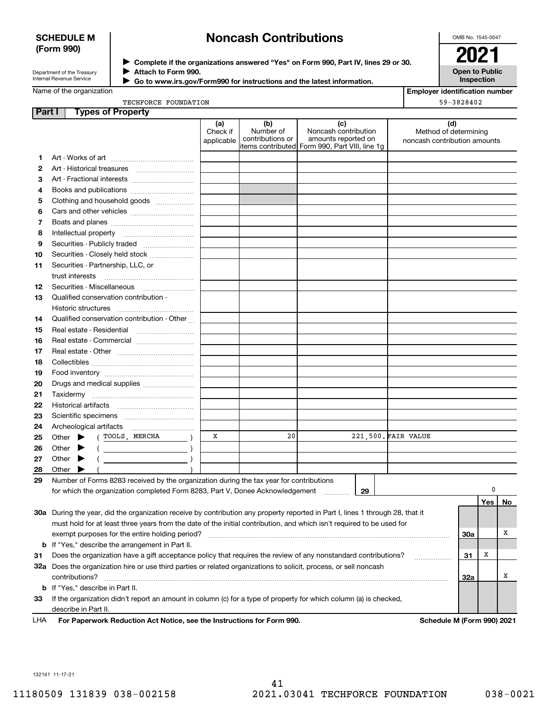### **SCHEDULE M (Form 990)**

# **Noncash Contributions**

OMB No. 1545-0047

| Department of the Treasury      |  |
|---------------------------------|--|
| <b>Internal Revenue Service</b> |  |

**Complete if the organizations answered "Yes" on Form 990, Part IV, lines 29 or 30.** <sup>J</sup>**2021 Attach to Form 990.** J

**Open to Public Inspection**

| Name of the organization |  |  |  |
|--------------------------|--|--|--|
|--------------------------|--|--|--|

|               | Internal Revenue Service<br>Go to www.irs.gov/Form990 for instructions and the latest information. |                               |                                      |                                                                                                        |                     | Inspection                                                   |
|---------------|----------------------------------------------------------------------------------------------------|-------------------------------|--------------------------------------|--------------------------------------------------------------------------------------------------------|---------------------|--------------------------------------------------------------|
|               | Name of the organization                                                                           |                               |                                      |                                                                                                        |                     | <b>Employer identification number</b>                        |
|               | TECHFORCE FOUNDATION                                                                               |                               |                                      |                                                                                                        |                     | 59-3828402                                                   |
| <b>Part I</b> | <b>Types of Property</b>                                                                           |                               |                                      |                                                                                                        |                     |                                                              |
|               |                                                                                                    | (a)<br>Check if<br>applicable | (b)<br>Number of<br>contributions or | (c)<br>Noncash contribution<br>amounts reported on<br> items contributed  Form 990, Part VIII, line 1g |                     | (d)<br>Method of determining<br>noncash contribution amounts |
| 1.            |                                                                                                    |                               |                                      |                                                                                                        |                     |                                                              |
| 2             |                                                                                                    |                               |                                      |                                                                                                        |                     |                                                              |
| з             | Art - Fractional interests                                                                         |                               |                                      |                                                                                                        |                     |                                                              |
| 4             |                                                                                                    |                               |                                      |                                                                                                        |                     |                                                              |
| 5             | Clothing and household goods                                                                       |                               |                                      |                                                                                                        |                     |                                                              |
| 6             |                                                                                                    |                               |                                      |                                                                                                        |                     |                                                              |
| 7             |                                                                                                    |                               |                                      |                                                                                                        |                     |                                                              |
| 8             |                                                                                                    |                               |                                      |                                                                                                        |                     |                                                              |
| 9             |                                                                                                    |                               |                                      |                                                                                                        |                     |                                                              |
| 10            | Securities - Closely held stock                                                                    |                               |                                      |                                                                                                        |                     |                                                              |
| 11            | Securities - Partnership, LLC, or                                                                  |                               |                                      |                                                                                                        |                     |                                                              |
|               | trust interests                                                                                    |                               |                                      |                                                                                                        |                     |                                                              |
| 12            | Securities - Miscellaneous                                                                         |                               |                                      |                                                                                                        |                     |                                                              |
| 13            | Qualified conservation contribution -                                                              |                               |                                      |                                                                                                        |                     |                                                              |
|               | Historic structures                                                                                |                               |                                      |                                                                                                        |                     |                                                              |
| 14            | Qualified conservation contribution - Other                                                        |                               |                                      |                                                                                                        |                     |                                                              |
| 15            | Real estate - Residential                                                                          |                               |                                      |                                                                                                        |                     |                                                              |
| 16            | Real estate - Commercial                                                                           |                               |                                      |                                                                                                        |                     |                                                              |
| 17            |                                                                                                    |                               |                                      |                                                                                                        |                     |                                                              |
| 18            |                                                                                                    |                               |                                      |                                                                                                        |                     |                                                              |
| 19            |                                                                                                    |                               |                                      |                                                                                                        |                     |                                                              |
| 20            | Drugs and medical supplies                                                                         |                               |                                      |                                                                                                        |                     |                                                              |
| 21            |                                                                                                    |                               |                                      |                                                                                                        |                     |                                                              |
| 22            |                                                                                                    |                               |                                      |                                                                                                        |                     |                                                              |
| 23            |                                                                                                    |                               |                                      |                                                                                                        |                     |                                                              |
| 24            |                                                                                                    |                               |                                      |                                                                                                        |                     |                                                              |
| 25            | (TOOLS, MERCHA<br>Other $\blacktriangleright$                                                      | x                             | 20                                   |                                                                                                        | 221,500. FAIR VALUE |                                                              |
| 26            | Other $\blacktriangleright$<br>$($ $)$                                                             |                               |                                      |                                                                                                        |                     |                                                              |
| 27            | Other<br>▸<br>$\overline{a}$                                                                       |                               |                                      |                                                                                                        |                     |                                                              |
| 28            | Other                                                                                              |                               |                                      |                                                                                                        |                     |                                                              |
| 29            | Number of Forms 8283 received by the organization during the tax year for contributions            |                               |                                      |                                                                                                        |                     |                                                              |
|               | $\sim$ consideration is constant of Francis 0000. Boot M. Bourse, Astronomic discussed             |                               |                                      | $\sim$                                                                                                 |                     |                                                              |

|     | for which the organization completed Form 8283, Part V, Donee Acknowledgement<br>29                                        |     |       |    |
|-----|----------------------------------------------------------------------------------------------------------------------------|-----|-------|----|
|     |                                                                                                                            |     | Yes l | No |
| 30a | During the year, did the organization receive by contribution any property reported in Part I, lines 1 through 28, that it |     |       |    |
|     | must hold for at least three years from the date of the initial contribution, and which isn't required to be used for      |     |       |    |
|     | exempt purposes for the entire holding period?                                                                             | 30a |       |    |
|     | <b>b</b> If "Yes," describe the arrangement in Part II.                                                                    |     |       |    |
| 31  | Does the organization have a gift acceptance policy that requires the review of any nonstandard contributions?             | 31  | x     |    |
| 32a | Does the organization hire or use third parties or related organizations to solicit, process, or sell noncash              |     |       |    |
|     | contributions?                                                                                                             | 32a |       |    |
|     | <b>b</b> If "Yes," describe in Part II.                                                                                    |     |       |    |
| 33  | If the organization didn't report an amount in column (c) for a type of property for which column (a) is checked,          |     |       |    |
|     | describe in Part II.                                                                                                       |     |       |    |

**For Paperwork Reduction Act Notice, see the Instructions for Form 990. Schedule M (Form 990) 2021** LHA

132141 11-17-21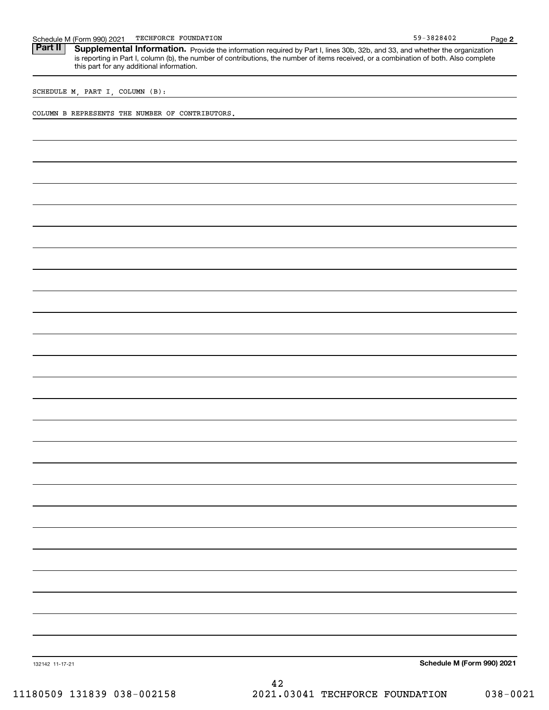| M (Form 990) 2021 و<br>Schedule | TECHFORCE FOUNDATION | 0.00105<br>∡382840<br>~ u | Paɑe |
|---------------------------------|----------------------|---------------------------|------|
|                                 |                      |                           |      |

Part II | Supplemental Information. Provide the information required by Part I, lines 30b, 32b, and 33, and whether the organization is reporting in Part I, column (b), the number of contributions, the number of items received, or a combination of both. Also complete this part for any additional information.

SCHEDULE M, PART I, COLUMN (B):

COLUMN B REPRESENTS THE NUMBER OF CONTRIBUTORS.

**Schedule M (Form 990) 2021**

132142 11-17-21

**2**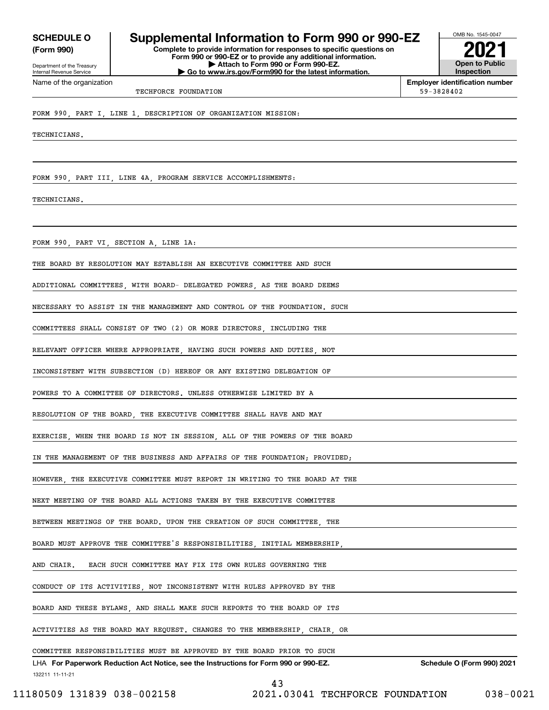**(Form 990)**

Department of the Treasury Internal Revenue Service Name of the organization

# **SCHEDULE O Supplemental Information to Form 990 or 990-EZ**

**Complete to provide information for responses to specific questions on Form 990 or 990-EZ or to provide any additional information. | Attach to Form 990 or Form 990-EZ. | Go to www.irs.gov/Form990 for the latest information.**



**Employer identification number** TECHFORCE FOUNDATION 59-3828402

FORM 990, PART I, LINE 1, DESCRIPTION OF ORGANIZATION MISSION:

TECHNICIANS.

FORM 990, PART III, LINE 4A, PROGRAM SERVICE ACCOMPLISHMENTS:

TECHNICIANS.

FORM 990, PART VI, SECTION A, LINE 1A:

THE BOARD BY RESOLUTION MAY ESTABLISH AN EXECUTIVE COMMITTEE AND SUCH

ADDITIONAL COMMITTEES, WITH BOARD- DELEGATED POWERS, AS THE BOARD DEEMS

NECESSARY TO ASSIST IN THE MANAGEMENT AND CONTROL OF THE FOUNDATION. SUCH

COMMITTEES SHALL CONSIST OF TWO (2) OR MORE DIRECTORS, INCLUDING THE

RELEVANT OFFICER WHERE APPROPRIATE, HAVING SUCH POWERS AND DUTIES, NOT

INCONSISTENT WITH SUBSECTION (D) HEREOF OR ANY EXISTING DELEGATION OF

POWERS TO A COMMITTEE OF DIRECTORS. UNLESS OTHERWISE LIMITED BY A

RESOLUTION OF THE BOARD, THE EXECUTIVE COMMITTEE SHALL HAVE AND MAY

EXERCISE, WHEN THE BOARD IS NOT IN SESSION, ALL OF THE POWERS OF THE BOARD

IN THE MANAGEMENT OF THE BUSINESS AND AFFAIRS OF THE FOUNDATION; PROVIDED;

HOWEVER, THE EXECUTIVE COMMITTEE MUST REPORT IN WRITING TO THE BOARD AT THE

NEXT MEETING OF THE BOARD ALL ACTIONS TAKEN BY THE EXECUTIVE COMMITTEE

BETWEEN MEETINGS OF THE BOARD. UPON THE CREATION OF SUCH COMMITTEE THE

BOARD MUST APPROVE THE COMMITTEE'S RESPONSIBILITIES, INITIAL MEMBERSHIP,

AND CHAIR. EACH SUCH COMMITTEE MAY FIX ITS OWN RULES GOVERNING THE

CONDUCT OF ITS ACTIVITIES, NOT INCONSISTENT WITH RULES APPROVED BY THE

BOARD AND THESE BYLAWS, AND SHALL MAKE SUCH REPORTS TO THE BOARD OF ITS

ACTIVITIES AS THE BOARD MAY REQUEST. CHANGES TO THE MEMBERSHIP, CHAIR, OR

132211 11-11-21 LHA For Paperwork Reduction Act Notice, see the Instructions for Form 990 or 990-EZ. Schedule O (Form 990) 2021

43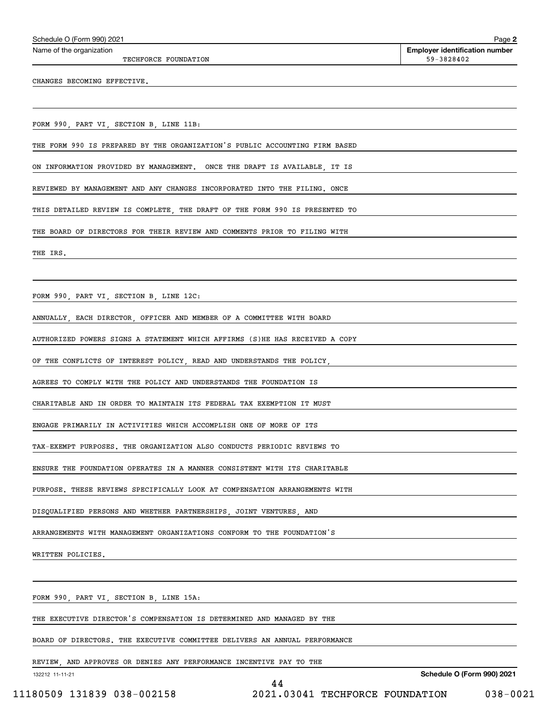TECHFORCE FOUNDATION 59-3828402

**2Employer identification number** Schedule O (Form 990) 2021 Page Name of the organization

CHANGES BECOMING EFFECTIVE.

FORM 990, PART VI, SECTION B, LINE 11B:

THE FORM 990 IS PREPARED BY THE ORGANIZATION'S PUBLIC ACCOUNTING FIRM BASED

ON INFORMATION PROVIDED BY MANAGEMENT. ONCE THE DRAFT IS AVAILABLE, IT IS

REVIEWED BY MANAGEMENT AND ANY CHANGES INCORPORATED INTO THE FILING. ONCE

THIS DETAILED REVIEW IS COMPLETE, THE DRAFT OF THE FORM 990 IS PRESENTED TO

THE BOARD OF DIRECTORS FOR THEIR REVIEW AND COMMENTS PRIOR TO FILING WITH

THE IRS.

FORM 990, PART VI, SECTION B, LINE 12C:

ANNUALLY, EACH DIRECTOR, OFFICER AND MEMBER OF A COMMITTEE WITH BOARD

AUTHORIZED POWERS SIGNS A STATEMENT WHICH AFFIRMS (S)HE HAS RECEIVED A COPY

OF THE CONFLICTS OF INTEREST POLICY, READ AND UNDERSTANDS THE POLICY,

AGREES TO COMPLY WITH THE POLICY AND UNDERSTANDS THE FOUNDATION IS

CHARITABLE AND IN ORDER TO MAINTAIN ITS FEDERAL TAX EXEMPTION IT MUST

ENGAGE PRIMARILY IN ACTIVITIES WHICH ACCOMPLISH ONE OF MORE OF ITS

TAX-EXEMPT PURPOSES. THE ORGANIZATION ALSO CONDUCTS PERIODIC REVIEWS TO

ENSURE THE FOUNDATION OPERATES IN A MANNER CONSISTENT WITH ITS CHARITABLE

PURPOSE. THESE REVIEWS SPECIFICALLY LOOK AT COMPENSATION ARRANGEMENTS WITH

DISQUALIFIED PERSONS AND WHETHER PARTNERSHIPS, JOINT VENTURES, AND

ARRANGEMENTS WITH MANAGEMENT ORGANIZATIONS CONFORM TO THE FOUNDATION'S

WRITTEN POLICIES.

FORM 990, PART VI, SECTION B, LINE 15A:

THE EXECUTIVE DIRECTOR'S COMPENSATION IS DETERMINED AND MANAGED BY THE

BOARD OF DIRECTORS. THE EXECUTIVE COMMITTEE DELIVERS AN ANNUAL PERFORMANCE

REVIEW, AND APPROVES OR DENIES ANY PERFORMANCE INCENTIVE PAY TO THE

132212 11-11-21

**Schedule O (Form 990) 2021**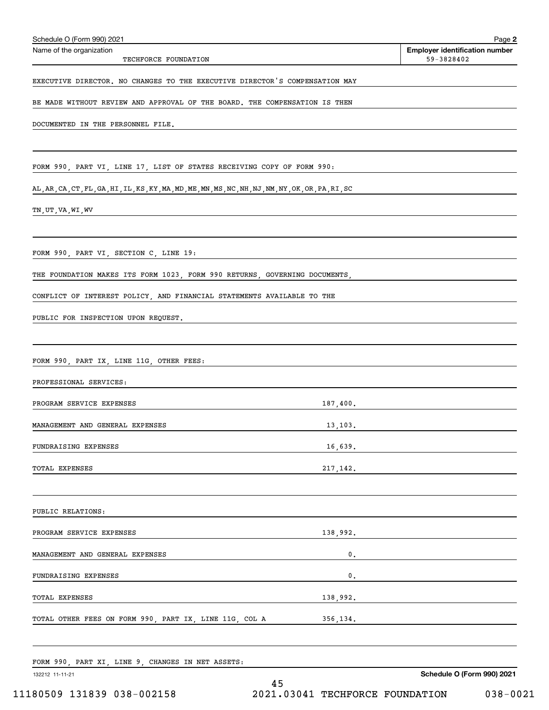| Schedule O (Form 990) 2021                                                                         |          | Page 2                                              |
|----------------------------------------------------------------------------------------------------|----------|-----------------------------------------------------|
| Name of the organization<br>TECHFORCE FOUNDATION                                                   |          | <b>Employer identification number</b><br>59-3828402 |
| EXECUTIVE DIRECTOR. NO CHANGES TO THE EXECUTIVE DIRECTOR'S COMPENSATION MAY                        |          |                                                     |
| BE MADE WITHOUT REVIEW AND APPROVAL OF THE BOARD. THE COMPENSATION IS THEN                         |          |                                                     |
| DOCUMENTED IN THE PERSONNEL FILE.                                                                  |          |                                                     |
| FORM 990, PART VI, LINE 17, LIST OF STATES RECEIVING COPY OF FORM 990:                             |          |                                                     |
| AL, AR, CA, CT, FL, GA, HI, IL, KS, KY, MA, MD, ME, MN, MS, NC, NH, NJ, NM, NY, OK, OR, PA, RI, SC |          |                                                     |
| TN,UT,VA,WI,WV                                                                                     |          |                                                     |
| FORM 990, PART VI, SECTION C, LINE 19:                                                             |          |                                                     |
| THE FOUNDATION MAKES ITS FORM 1023, FORM 990 RETURNS, GOVERNING DOCUMENTS,                         |          |                                                     |
| CONFLICT OF INTEREST POLICY, AND FINANCIAL STATEMENTS AVAILABLE TO THE                             |          |                                                     |
| PUBLIC FOR INSPECTION UPON REQUEST.                                                                |          |                                                     |
|                                                                                                    |          |                                                     |
| FORM 990, PART IX, LINE 11G, OTHER FEES:                                                           |          |                                                     |
| PROFESSIONAL SERVICES:                                                                             |          |                                                     |
| PROGRAM SERVICE EXPENSES                                                                           | 187,400. |                                                     |
| MANAGEMENT AND GENERAL EXPENSES                                                                    | 13,103.  |                                                     |
| FUNDRAISING EXPENSES                                                                               |          |                                                     |
| TOTAL EXPENSES                                                                                     | 217,142. |                                                     |
| PUBLIC RELATIONS:                                                                                  |          |                                                     |
| PROGRAM SERVICE EXPENSES                                                                           |          | 138,992.                                            |
| MANAGEMENT AND GENERAL EXPENSES                                                                    | 0.       |                                                     |
| FUNDRAISING EXPENSES                                                                               | $0$ .    |                                                     |
| TOTAL EXPENSES                                                                                     |          | 138,992.                                            |
| TOTAL OTHER FEES ON FORM 990, PART IX, LINE 11G, COL A                                             |          | 356, 134.                                           |
| FORM 990, PART XI, LINE 9, CHANGES IN NET ASSETS:                                                  |          |                                                     |
| 132212 11-11-21                                                                                    | 45       | Schedule O (Form 990) 2021                          |